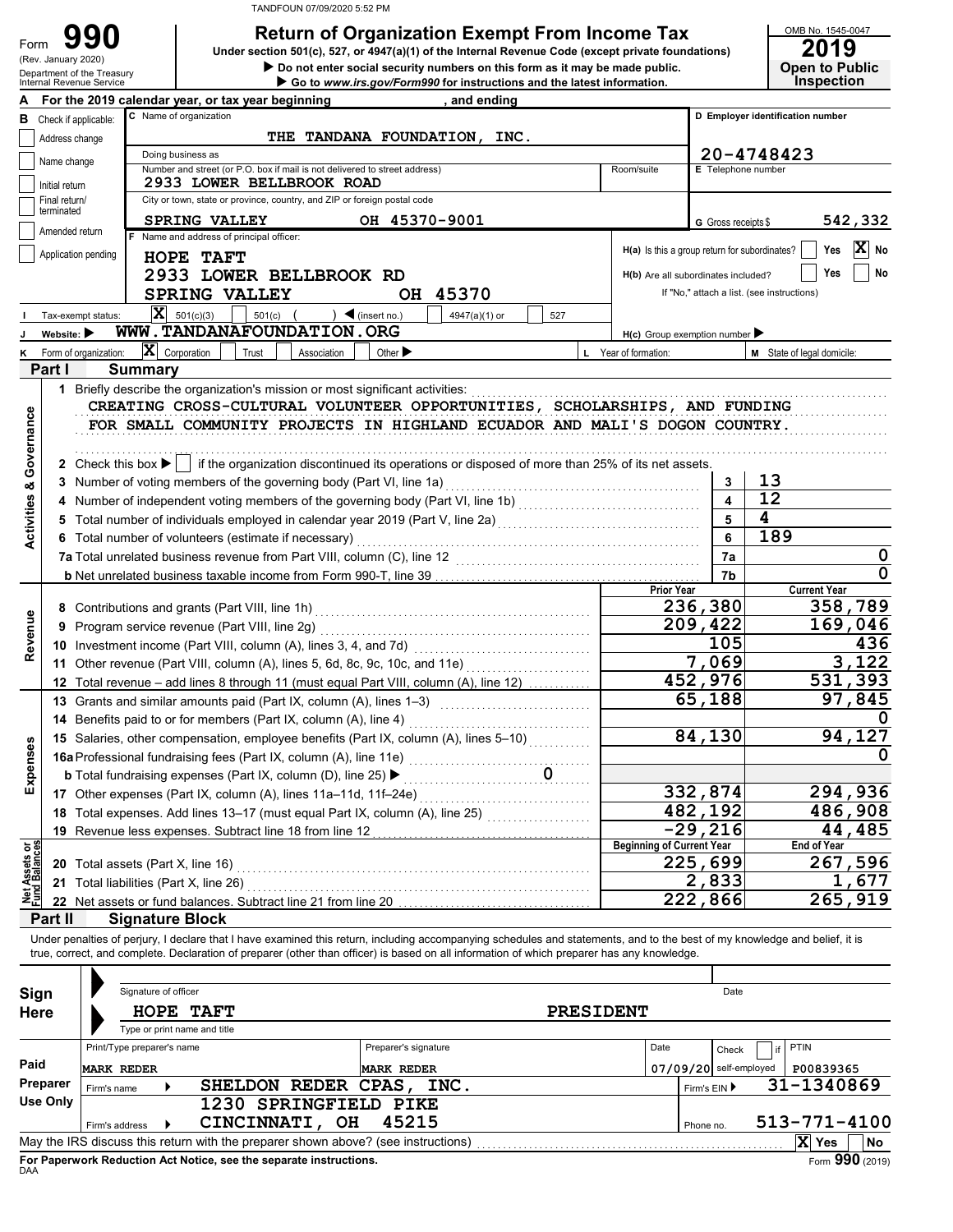Form

(Rev. January 2020)

# **990 2019 2019 2019 2019 Define incomplance Tax Property Section 501(c), 527, or 4947(a)(1)** of the Internal Revenue Code (except private foundations) **2019**

(increased by the section of the security numbers on this form as it may be made public.<br>
Department of the Treasury **Depart of the Service Constructions** on this form as it may be made public.<br>Inspection and the latest i

OMB No. 1545-0047 **Open to Public** 

|                                        |                                | Internal Revenue Service      |                                                                            |                                                                                                                                                                                                                                      |                             | $\blacktriangleright$ Go to www.irs.gov/Form990 for instructions and the latest information. |                  |                                     |                        |                         |                                            | <b>INSPECTION</b>   |  |  |
|----------------------------------------|--------------------------------|-------------------------------|----------------------------------------------------------------------------|--------------------------------------------------------------------------------------------------------------------------------------------------------------------------------------------------------------------------------------|-----------------------------|----------------------------------------------------------------------------------------------|------------------|-------------------------------------|------------------------|-------------------------|--------------------------------------------|---------------------|--|--|
|                                        |                                |                               |                                                                            | For the 2019 calendar year, or tax year beginning                                                                                                                                                                                    |                             | , and ending                                                                                 |                  |                                     |                        |                         |                                            |                     |  |  |
|                                        |                                | <b>B</b> Check if applicable: | C Name of organization<br>D Employer identification number                 |                                                                                                                                                                                                                                      |                             |                                                                                              |                  |                                     |                        |                         |                                            |                     |  |  |
|                                        | Address change                 |                               |                                                                            |                                                                                                                                                                                                                                      |                             | THE TANDANA FOUNDATION, INC.                                                                 |                  |                                     |                        |                         |                                            |                     |  |  |
|                                        | Name change                    |                               | Doing business as                                                          |                                                                                                                                                                                                                                      |                             |                                                                                              |                  |                                     |                        |                         | 20-4748423                                 |                     |  |  |
|                                        |                                |                               |                                                                            | Number and street (or P.O. box if mail is not delivered to street address)                                                                                                                                                           |                             |                                                                                              |                  | Room/suite                          |                        |                         | E Telephone number                         |                     |  |  |
|                                        | Initial return                 |                               |                                                                            | 2933 LOWER BELLBROOK ROAD                                                                                                                                                                                                            |                             |                                                                                              |                  |                                     |                        |                         |                                            |                     |  |  |
|                                        | Final return/<br>terminated    |                               |                                                                            | City or town, state or province, country, and ZIP or foreign postal code                                                                                                                                                             |                             |                                                                                              |                  |                                     |                        |                         |                                            |                     |  |  |
|                                        |                                |                               |                                                                            | <b>SPRING VALLEY</b>                                                                                                                                                                                                                 | OH 45370-9001               |                                                                                              |                  |                                     |                        | G Gross receipts \$     |                                            | 542,332             |  |  |
|                                        | Amended return                 |                               |                                                                            | F Name and address of principal officer:                                                                                                                                                                                             |                             |                                                                                              |                  |                                     |                        |                         |                                            |                     |  |  |
|                                        |                                | Application pending           |                                                                            | HOPE TAFT                                                                                                                                                                                                                            |                             | X No<br>Yes<br>H(a) Is this a group return for subordinates?                                 |                  |                                     |                        |                         |                                            |                     |  |  |
|                                        |                                |                               |                                                                            | 2933 LOWER BELLBROOK RD                                                                                                                                                                                                              |                             |                                                                                              |                  | H(b) Are all subordinates included? |                        |                         |                                            | No<br>Yes           |  |  |
|                                        |                                |                               |                                                                            | <b>SPRING VALLEY</b>                                                                                                                                                                                                                 |                             | OH 45370                                                                                     |                  |                                     |                        |                         | If "No," attach a list. (see instructions) |                     |  |  |
|                                        |                                | Tax-exempt status:            | $ \mathbf{X} $ 501(c)(3)                                                   | $501(c)$ (                                                                                                                                                                                                                           | $\bigcup$ (insert no.)      | 4947(a)(1) or                                                                                | 527              |                                     |                        |                         |                                            |                     |  |  |
|                                        | Website: $\blacktriangleright$ |                               |                                                                            | WWW.TANDANAFOUNDATION.ORG                                                                                                                                                                                                            |                             |                                                                                              |                  | $H(c)$ Group exemption number       |                        |                         |                                            |                     |  |  |
|                                        |                                |                               | $\mathbf{X}$ Corporation                                                   | Trust<br>Association                                                                                                                                                                                                                 |                             |                                                                                              |                  |                                     |                        |                         |                                            |                     |  |  |
|                                        |                                | Form of organization:         |                                                                            |                                                                                                                                                                                                                                      | Other $\blacktriangleright$ |                                                                                              |                  | L Year of formation:                |                        |                         | M State of legal domicile:                 |                     |  |  |
|                                        | Part I                         |                               | <b>Summary</b>                                                             |                                                                                                                                                                                                                                      |                             |                                                                                              |                  |                                     |                        |                         |                                            |                     |  |  |
|                                        |                                |                               |                                                                            | 1 Briefly describe the organization's mission or most significant activities:                                                                                                                                                        |                             |                                                                                              |                  |                                     |                        |                         |                                            |                     |  |  |
|                                        |                                |                               |                                                                            | CREATING CROSS-CULTURAL VOLUNTEER OPPORTUNITIES, SCHOLARSHIPS, AND FUNDING                                                                                                                                                           |                             |                                                                                              |                  |                                     |                        |                         |                                            |                     |  |  |
|                                        |                                |                               | FOR SMALL COMMUNITY PROJECTS IN HIGHLAND ECUADOR AND MALI'S DOGON COUNTRY. |                                                                                                                                                                                                                                      |                             |                                                                                              |                  |                                     |                        |                         |                                            |                     |  |  |
|                                        |                                |                               |                                                                            |                                                                                                                                                                                                                                      |                             |                                                                                              |                  |                                     |                        |                         |                                            |                     |  |  |
|                                        | 2.                             |                               |                                                                            | Check this box $\blacktriangleright$   if the organization discontinued its operations or disposed of more than 25% of its net assets.                                                                                               |                             |                                                                                              |                  |                                     |                        |                         |                                            |                     |  |  |
|                                        |                                |                               |                                                                            | 3 Number of voting members of the governing body (Part VI, line 1a)                                                                                                                                                                  |                             |                                                                                              |                  |                                     |                        | 3                       | 13                                         |                     |  |  |
|                                        | 4                              |                               |                                                                            | Number of independent voting members of the governing body (Part VI, line 1b) [[[[[[[[[[[[[[[[[[[[[[[[[[[[[[[                                                                                                                        |                             |                                                                                              |                  |                                     |                        | $\overline{\mathbf{4}}$ | 12                                         |                     |  |  |
| <b>Activities &amp; Governance</b>     | 5                              |                               |                                                                            | Total number of individuals employed in calendar year 2019 (Part V, line 2a) [[[[[[[[[[[[[[[[[[[[[[[[[[[[[[[[                                                                                                                        |                             |                                                                                              | 5                | 4                                   |                        |                         |                                            |                     |  |  |
|                                        |                                |                               |                                                                            | 6 Total number of volunteers (estimate if necessary)                                                                                                                                                                                 |                             |                                                                                              | 6                | 189                                 |                        |                         |                                            |                     |  |  |
|                                        |                                |                               |                                                                            |                                                                                                                                                                                                                                      |                             |                                                                                              | 7a               |                                     | 0                      |                         |                                            |                     |  |  |
|                                        |                                |                               |                                                                            |                                                                                                                                                                                                                                      |                             |                                                                                              |                  |                                     |                        | 7b                      |                                            | 0                   |  |  |
|                                        |                                |                               |                                                                            |                                                                                                                                                                                                                                      |                             |                                                                                              |                  | <b>Prior Year</b>                   |                        |                         |                                            | <b>Current Year</b> |  |  |
|                                        |                                |                               |                                                                            |                                                                                                                                                                                                                                      |                             |                                                                                              |                  |                                     | 236,380                |                         |                                            | 358,789             |  |  |
| Revenue                                | 9                              |                               |                                                                            |                                                                                                                                                                                                                                      |                             |                                                                                              |                  |                                     | 209,422                |                         |                                            | 169,046             |  |  |
|                                        |                                |                               |                                                                            |                                                                                                                                                                                                                                      |                             |                                                                                              |                  | 105                                 |                        | 436                     |                                            |                     |  |  |
|                                        |                                |                               |                                                                            |                                                                                                                                                                                                                                      |                             | 7,069                                                                                        |                  |                                     | 3,122                  |                         |                                            |                     |  |  |
|                                        |                                |                               |                                                                            | 11 Other revenue (Part VIII, column (A), lines 5, 6d, 8c, 9c, 10c, and 11e)                                                                                                                                                          |                             |                                                                                              |                  |                                     |                        |                         |                                            |                     |  |  |
|                                        |                                |                               |                                                                            | 12 Total revenue – add lines 8 through 11 (must equal Part VIII, column (A), line 12)                                                                                                                                                |                             |                                                                                              |                  |                                     | 452,976                |                         |                                            | 531,393             |  |  |
|                                        |                                |                               |                                                                            | 13 Grants and similar amounts paid (Part IX, column (A), lines 1-3)                                                                                                                                                                  |                             |                                                                                              | 65,188           |                                     |                        | 97,845                  |                                            |                     |  |  |
|                                        |                                |                               |                                                                            |                                                                                                                                                                                                                                      |                             |                                                                                              |                  |                                     |                        |                         |                                            |                     |  |  |
|                                        |                                |                               |                                                                            | 15 Salaries, other compensation, employee benefits (Part IX, column (A), lines 5-10)                                                                                                                                                 |                             |                                                                                              |                  |                                     | 84,130                 |                         |                                            | 94,127              |  |  |
| penses                                 |                                |                               |                                                                            |                                                                                                                                                                                                                                      |                             |                                                                                              |                  |                                     |                        |                         |                                            | O                   |  |  |
|                                        |                                |                               |                                                                            | <b>b</b> Total fundraising expenses (Part IX, column (D), line 25) $\blacktriangleright$                                                                                                                                             |                             |                                                                                              | $\Omega$         |                                     |                        |                         |                                            |                     |  |  |
| ŭ                                      |                                |                               |                                                                            |                                                                                                                                                                                                                                      |                             |                                                                                              |                  |                                     | 332,874                |                         |                                            | 294,936             |  |  |
|                                        |                                |                               |                                                                            | 18 Total expenses. Add lines 13-17 (must equal Part IX, column (A), line 25) [                                                                                                                                                       |                             |                                                                                              |                  |                                     | 482,192                |                         |                                            | 486,908             |  |  |
|                                        | 19                             |                               |                                                                            | Revenue less expenses. Subtract line 18 from line 12                                                                                                                                                                                 |                             |                                                                                              |                  |                                     | $-29,216$              |                         |                                            | 44,485              |  |  |
|                                        |                                |                               |                                                                            |                                                                                                                                                                                                                                      |                             |                                                                                              |                  | <b>Beginning of Current Year</b>    |                        |                         |                                            | <b>End of Year</b>  |  |  |
| <b>Net Assets or<br/>Fund Balances</b> |                                |                               |                                                                            | 20 Total assets (Part X, line 16) <b>Constant Construct Constant Constant Construct Constant Constant Constant Constant Constant Constant Constant Constant Constant Constant Constant Constant Constant Constant Constant Const</b> |                             |                                                                                              |                  |                                     | $\overline{2}$ 25,699  |                         |                                            | 267,596             |  |  |
|                                        |                                |                               | 21 Total liabilities (Part X, line 26)                                     |                                                                                                                                                                                                                                      |                             |                                                                                              |                  |                                     | 2,833                  |                         |                                            | 1,677               |  |  |
|                                        |                                |                               |                                                                            | 22 Net assets or fund balances. Subtract line 21 from line 20                                                                                                                                                                        |                             |                                                                                              |                  |                                     | 222,866                |                         |                                            | 265,919             |  |  |
|                                        | Part II                        |                               | <b>Signature Block</b>                                                     |                                                                                                                                                                                                                                      |                             |                                                                                              |                  |                                     |                        |                         |                                            |                     |  |  |
|                                        |                                |                               |                                                                            | Under penalties of perjury, I declare that I have examined this return, including accompanying schedules and statements, and to the best of my knowledge and belief, it is                                                           |                             |                                                                                              |                  |                                     |                        |                         |                                            |                     |  |  |
|                                        |                                |                               |                                                                            | true, correct, and complete. Declaration of preparer (other than officer) is based on all information of which preparer has any knowledge.                                                                                           |                             |                                                                                              |                  |                                     |                        |                         |                                            |                     |  |  |
|                                        |                                |                               |                                                                            |                                                                                                                                                                                                                                      |                             |                                                                                              |                  |                                     |                        |                         |                                            |                     |  |  |
|                                        |                                |                               | Signature of officer                                                       |                                                                                                                                                                                                                                      |                             |                                                                                              |                  |                                     |                        | Date                    |                                            |                     |  |  |
| Sign                                   |                                |                               |                                                                            |                                                                                                                                                                                                                                      |                             |                                                                                              |                  |                                     |                        |                         |                                            |                     |  |  |
| <b>Here</b>                            |                                |                               | HOPE TAFT                                                                  |                                                                                                                                                                                                                                      |                             |                                                                                              | <b>PRESIDENT</b> |                                     |                        |                         |                                            |                     |  |  |
|                                        |                                |                               | Type or print name and title                                               |                                                                                                                                                                                                                                      |                             |                                                                                              |                  |                                     |                        |                         |                                            |                     |  |  |
|                                        |                                |                               | Print/Type preparer's name                                                 |                                                                                                                                                                                                                                      | Preparer's signature        |                                                                                              |                  | Date                                |                        | Check                   | PTIN<br>if                                 |                     |  |  |
| Paid                                   |                                | <b>MARK REDER</b>             |                                                                            |                                                                                                                                                                                                                                      | <b>MARK REDER</b>           |                                                                                              |                  |                                     | 07/09/20 self-employed |                         |                                            | P00839365           |  |  |
|                                        | Preparer                       |                               | SHELDON REDER CPAS,<br><b>INC.</b><br>Firm's name                          |                                                                                                                                                                                                                                      |                             |                                                                                              |                  |                                     |                        | Firm's EIN ▶            |                                            | 31-1340869          |  |  |
|                                        | <b>Use Only</b>                |                               |                                                                            | 1230 SPRINGFIELD PIKE                                                                                                                                                                                                                |                             |                                                                                              |                  |                                     |                        |                         |                                            |                     |  |  |
|                                        |                                | Firm's address                |                                                                            | CINCINNATI, OH                                                                                                                                                                                                                       | 45215                       |                                                                                              |                  |                                     | Phone no.              |                         |                                            | 513-771-4100        |  |  |
|                                        |                                |                               |                                                                            | May the IRS discuss this return with the preparer shown above? (see instructions)                                                                                                                                                    |                             |                                                                                              |                  |                                     |                        |                         |                                            | X Yes<br>No         |  |  |

| Sign        |                              | Signature of officer |                                                                                   |                      | Date             |              |                        |                    |  |  |  |  |
|-------------|------------------------------|----------------------|-----------------------------------------------------------------------------------|----------------------|------------------|--------------|------------------------|--------------------|--|--|--|--|
| <b>Here</b> |                              | HOPE                 | <b>TAFT</b>                                                                       |                      | <b>PRESIDENT</b> |              |                        |                    |  |  |  |  |
|             | Type or print name and title |                      |                                                                                   |                      |                  |              |                        |                    |  |  |  |  |
|             | Print/Type preparer's name   |                      |                                                                                   | Preparer's signature |                  | Date         | Check                  | <b>PTIN</b>        |  |  |  |  |
| Paid        | <b>MARK REDER</b>            |                      |                                                                                   | MARK REDER           |                  |              | 07/09/20 self-employed | P00839365          |  |  |  |  |
| Preparer    | Firm's name                  |                      | SHELDON REDER CPAS                                                                | INC.                 |                  | Firm's EIN ▶ |                        | 31-1340869         |  |  |  |  |
| Use Only    |                              |                      | <b>SPRINGFIELD</b><br>1230                                                        | PIKE                 |                  |              |                        |                    |  |  |  |  |
|             | Firm's address               |                      | CINCINNATI,<br>OH                                                                 | 45215                |                  | Phone no.    |                        | 513-771-4100       |  |  |  |  |
|             |                              |                      | May the IRS discuss this return with the preparer shown above? (see instructions) |                      |                  |              |                        | X Yes<br><b>No</b> |  |  |  |  |
| <b>DAA</b>  |                              |                      | For Paperwork Reduction Act Notice, see the separate instructions.                |                      |                  |              |                        | Form 990 (2019)    |  |  |  |  |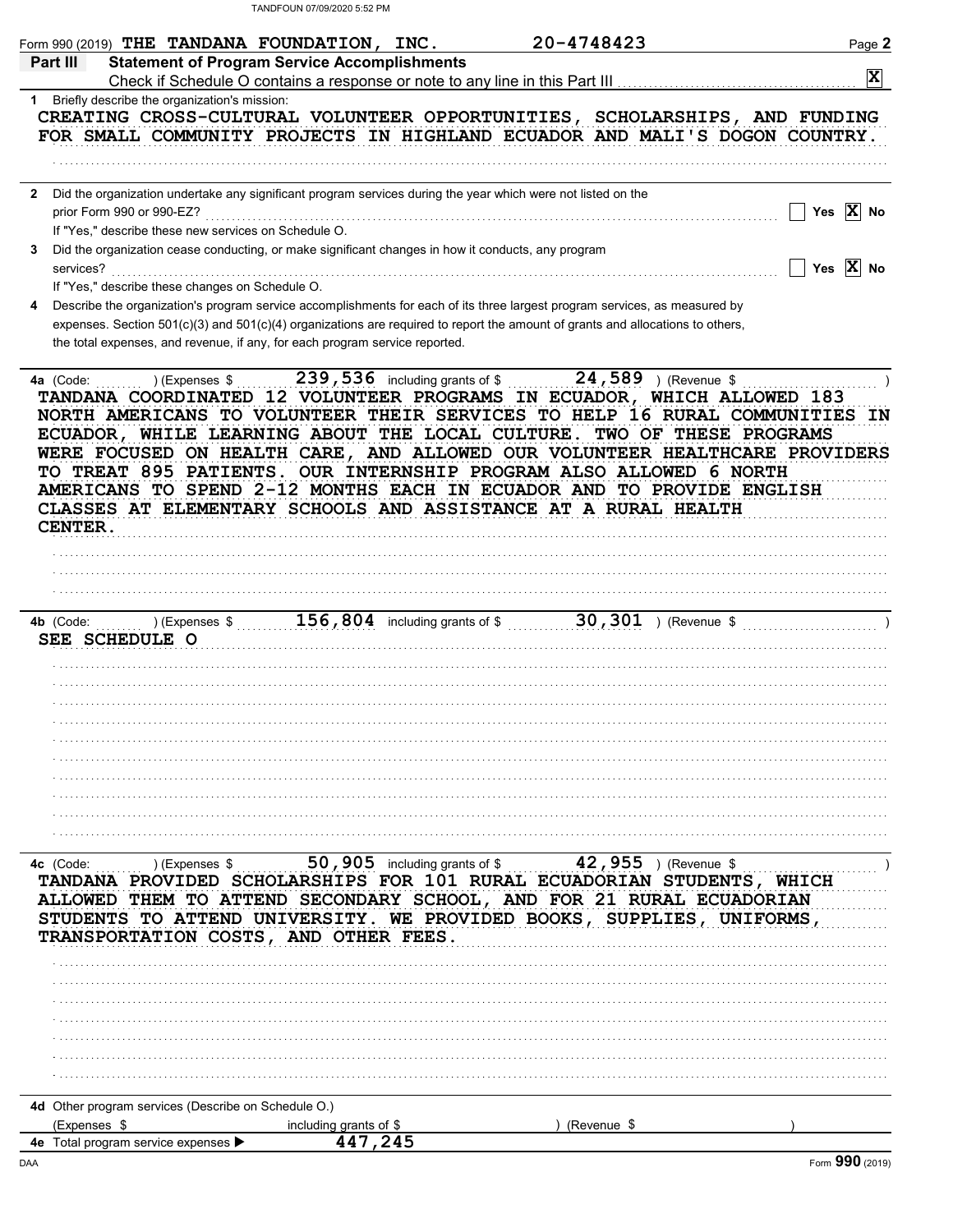|                      |                                                      | Form 990 (2019) THE TANDANA FOUNDATION, INC.                                                                                                                                                                                                                                                                                                                                                                                                                                                                                                                                           | 20-4748423  | Page 2                  |
|----------------------|------------------------------------------------------|----------------------------------------------------------------------------------------------------------------------------------------------------------------------------------------------------------------------------------------------------------------------------------------------------------------------------------------------------------------------------------------------------------------------------------------------------------------------------------------------------------------------------------------------------------------------------------------|-------------|-------------------------|
| Part III             |                                                      | <b>Statement of Program Service Accomplishments</b>                                                                                                                                                                                                                                                                                                                                                                                                                                                                                                                                    |             | $\overline{\mathbf{x}}$ |
| $1 \quad$            | Briefly describe the organization's mission:         | Check if Schedule O contains a response or note to any line in this Part III                                                                                                                                                                                                                                                                                                                                                                                                                                                                                                           |             |                         |
|                      |                                                      | CREATING CROSS-CULTURAL VOLUNTEER OPPORTUNITIES, SCHOLARSHIPS, AND FUNDING                                                                                                                                                                                                                                                                                                                                                                                                                                                                                                             |             |                         |
|                      |                                                      | FOR SMALL COMMUNITY PROJECTS IN HIGHLAND ECUADOR AND MALI'S DOGON COUNTRY.                                                                                                                                                                                                                                                                                                                                                                                                                                                                                                             |             |                         |
|                      |                                                      |                                                                                                                                                                                                                                                                                                                                                                                                                                                                                                                                                                                        |             |                         |
| $\mathbf{2}$         |                                                      | Did the organization undertake any significant program services during the year which were not listed on the                                                                                                                                                                                                                                                                                                                                                                                                                                                                           |             |                         |
|                      | prior Form 990 or 990-EZ?                            |                                                                                                                                                                                                                                                                                                                                                                                                                                                                                                                                                                                        |             | Yes $ \overline{X} $ No |
|                      | If "Yes," describe these new services on Schedule O. |                                                                                                                                                                                                                                                                                                                                                                                                                                                                                                                                                                                        |             |                         |
| 3.                   |                                                      | Did the organization cease conducting, or make significant changes in how it conducts, any program                                                                                                                                                                                                                                                                                                                                                                                                                                                                                     |             |                         |
| services?            |                                                      |                                                                                                                                                                                                                                                                                                                                                                                                                                                                                                                                                                                        |             | Yes $\overline{X}$ No   |
|                      | If "Yes," describe these changes on Schedule O.      |                                                                                                                                                                                                                                                                                                                                                                                                                                                                                                                                                                                        |             |                         |
| 4                    |                                                      | Describe the organization's program service accomplishments for each of its three largest program services, as measured by                                                                                                                                                                                                                                                                                                                                                                                                                                                             |             |                         |
|                      |                                                      | expenses. Section 501(c)(3) and 501(c)(4) organizations are required to report the amount of grants and allocations to others,                                                                                                                                                                                                                                                                                                                                                                                                                                                         |             |                         |
|                      |                                                      | the total expenses, and revenue, if any, for each program service reported.                                                                                                                                                                                                                                                                                                                                                                                                                                                                                                            |             |                         |
| 4a (Code:<br>CENTER. | ) (Expenses \$                                       | 239,536 including grants of \$24,589 ) (Revenue \$<br>TANDANA COORDINATED 12 VOLUNTEER PROGRAMS IN ECUADOR, WHICH ALLOWED 183<br>NORTH AMERICANS TO VOLUNTEER THEIR SERVICES TO HELP 16 RURAL COMMUNITIES IN<br>ECUADOR, WHILE LEARNING ABOUT THE LOCAL CULTURE. TWO OF THESE PROGRAMS<br>WERE FOCUSED ON HEALTH CARE, AND ALLOWED OUR VOLUNTEER HEALTHCARE PROVIDERS<br>TO TREAT 895 PATIENTS. OUR INTERNSHIP PROGRAM ALSO ALLOWED 6 NORTH<br>AMERICANS TO SPEND 2-12 MONTHS EACH IN ECUADOR AND TO PROVIDE ENGLISH<br>CLASSES AT ELEMENTARY SCHOOLS AND ASSISTANCE AT A RURAL HEALTH |             |                         |
| 4b (Code:            | ) (Expenses \$<br>SEE SCHEDULE O                     | 156,804 including grants of \$ 30,301 ) (Revenue \$                                                                                                                                                                                                                                                                                                                                                                                                                                                                                                                                    |             |                         |
|                      |                                                      |                                                                                                                                                                                                                                                                                                                                                                                                                                                                                                                                                                                        |             |                         |
|                      |                                                      |                                                                                                                                                                                                                                                                                                                                                                                                                                                                                                                                                                                        |             |                         |
|                      |                                                      | TANDANA PROVIDED SCHOLARSHIPS FOR 101 RURAL ECUADORIAN STUDENTS, WHICH<br>ALLOWED THEM TO ATTEND SECONDARY SCHOOL, AND FOR 21 RURAL ECUADORIAN<br>STUDENTS TO ATTEND UNIVERSITY. WE PROVIDED BOOKS, SUPPLIES, UNIFORMS,<br>TRANSPORTATION COSTS, AND OTHER FEES.                                                                                                                                                                                                                                                                                                                       |             |                         |
|                      | 4d Other program services (Describe on Schedule O.)  |                                                                                                                                                                                                                                                                                                                                                                                                                                                                                                                                                                                        |             |                         |
| (Expenses \$         |                                                      | including grants of \$                                                                                                                                                                                                                                                                                                                                                                                                                                                                                                                                                                 | (Revenue \$ |                         |
|                      | 4e Total program service expenses ▶                  | 447.245                                                                                                                                                                                                                                                                                                                                                                                                                                                                                                                                                                                |             |                         |

DAA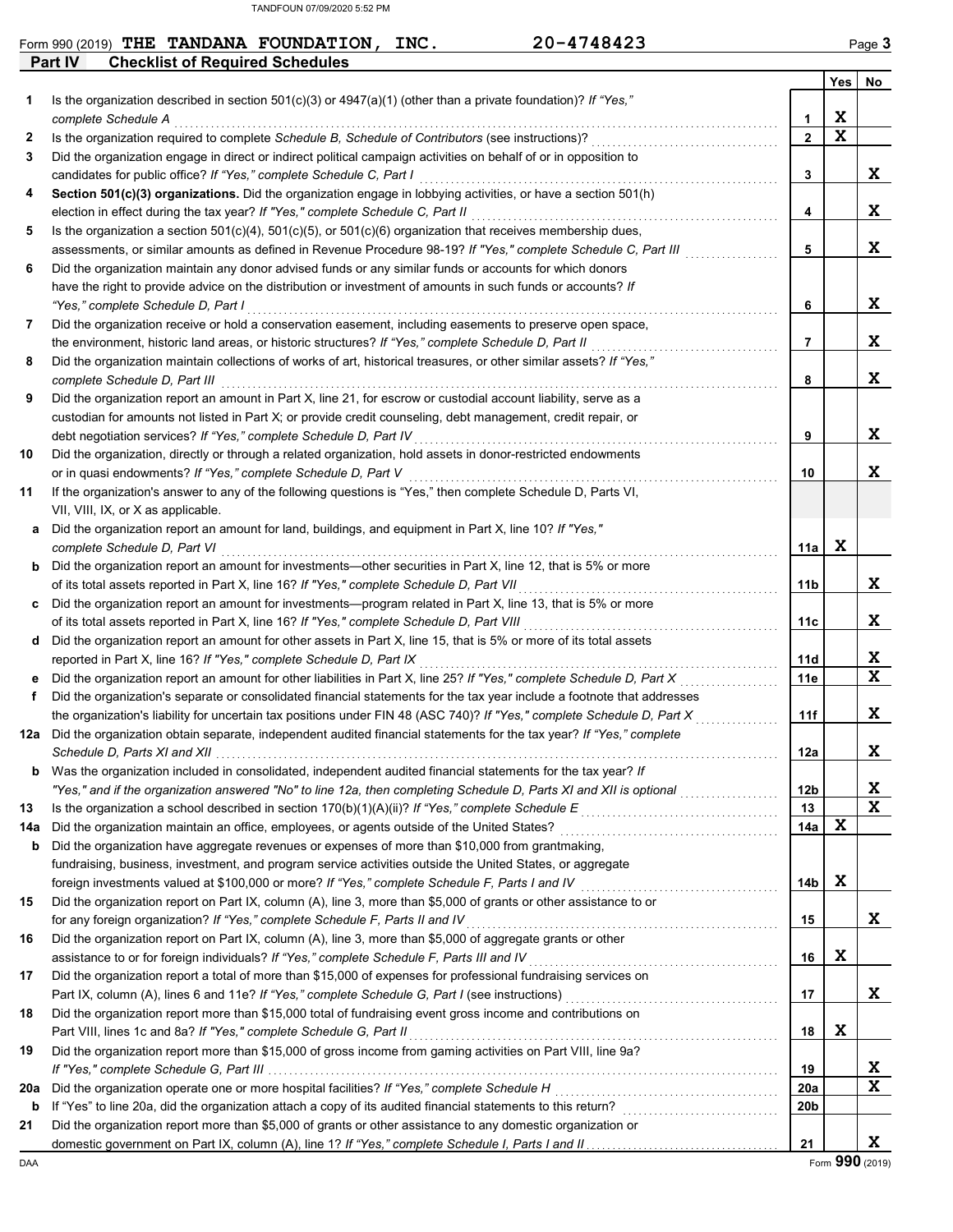domestic government on Part IX, column (A), line 1? If "Yes," complete Schedule I, Parts I and II.

### **1 Part IV Checklist of Required Schedules 2 3 4 5 6 7** Is the organization described in section 501(c)(3) or 4947(a)(1) (other than a private foundation)? *If "Yes,"* complete Schedule A continuum complete Schedule A complete Schedule A continuum continuum complete Schedule A Is the organization required to complete *Schedule B, Schedule of Contributors* (see instructions)? Did the organization engage in direct or indirect political campaign activities on behalf of or in opposition to candidates for public office? *If "Yes," complete Schedule C, Part I* . . . . . . . . . . . . . . . . . . . . . . . . . . . . . . . . . . . . . . . . . . . . . . . . . . . . . . . . . . . . . . . . . . . . . **Section 501(c)(3) organizations.** Did the organization engage in lobbying activities, or have a section 501(h) election in effect during the tax year? *If "Yes," complete Schedule C, Part II* .............................. Is the organization a section 501(c)(4), 501(c)(5), or 501(c)(6) organization that receives membership dues, assessments, or similar amounts as defined in Revenue Procedure 98-19? If "Yes," complete Schedule C, Part III ................... Did the organization maintain any donor advised funds or any similar funds or accounts for which donors have the right to provide advice on the distribution or investment of amounts in such funds or accounts? *If "Yes," complete Schedule D, Part I* . . . . . . . . . . . . . . . . . . . . . . . . . . . . . . . . . . . . . . . . . . . . . . . . . . . . . . . . . . . . . . . . . . . . . . . . . . . . . . . . . . . . . . . . . . . . . . . . . . . . . . Did the organization receive or hold a conservation easement, including easements to preserve open space, the environment, historic land areas, or historic structures? *If "Yes," complete Schedule D, Part II* . . . . . . . . . . . . . . . . . . . . . . . . . . . . . . . . . . . . **8 9 10 11 12a** Did the organization obtain separate, independent audited financial statements for the tax year? *If "Yes," complete* **13 14a** Did the organization maintain an office, employees, or agents outside of the United States? . . . . . . . . . . . . . . . . . . . . . . . . . . . . . . . . . . . . . . . . . . **b** Did the organization have aggregate revenues or expenses of more than \$10,000 from grantmaking, **15 16** Did the organization maintain collections of works of art, historical treasures, or other similar assets? *If "Yes," complete Schedule D, Part III* . . . . . . . . . . . . . . . . . . . . . . . . . . . . . . . . . . . . . . . . . . . . . . . . . . . . . . . . . . . . . . . . . . . . . . . . . . . . . . . . . . . . . . . . . . . . . . . . . . . . . . . . . . . Did the organization report an amount in Part X, line 21, for escrow or custodial account liability, serve as a custodian for amounts not listed in Part X; or provide credit counseling, debt management, credit repair, or debt negotiation services? *If "Yes," complete Schedule D, Part IV* . . . . . . . . . . . . . . . . . . . . . . . . . . . . . . . . . . . . . . . . . . . . . . . . . . . . . . . . . . . . . . . . . . . . . . Did the organization, directly or through a related organization, hold assets in donor-restricted endowments If the organization's answer to any of the following questions is "Yes," then complete Schedule D, Parts VI, VII, VIII, IX, or X as applicable. *Schedule D, Parts XI and XII* . . . . . . . . . . . . . . . . . . . . . . . . . . . . . . . . . . . . . . . . . . . . . . . . . . . . . . . . . . . . . . . . . . . . . . . . . . . . . . . . . . . . . . . . . . . . . . . . . . . . . . . . . . . . Is the organization a school described in section 170(b)(1)(A)(ii)? *If "Yes," complete Schedule E* . . . . . . . . . . . . . . . . . . . . . . . . . . . . . . . . . . . . . . fundraising, business, investment, and program service activities outside the United States, or aggregate Did the organization report on Part IX, column (A), line 3, more than \$5,000 of grants or other assistance to or for any foreign organization? *If "Yes," complete Schedule F, Parts II and IV* . . . . . . . . . . . . . . . . . . . . . . . . . . . . . . . . . . . . . . . . . . . . . . . . . . . . . . . . . . . . Did the organization report on Part IX, column (A), line 3, more than \$5,000 of aggregate grants or other assistance to or for foreign individuals? *If "Yes," complete Schedule F, Parts III and IV* . . . . . . . . . . . . . . . . . . . . . . . . . . . . . . . . . . . . . . . . . . . . . . . . **17 18 19** Did the organization report a total of more than \$15,000 of expenses for professional fundraising services on Did the organization report more than \$15,000 total of fundraising event gross income and contributions on Did the organization report more than \$15,000 of gross income from gaming activities on Part VIII, line 9a? **Yes No 19 18 17 16 15 14b 14a 13 10 9 8 7 6 5 4 3 2 1** or in quasi endowments? If "Yes," complete Schedule D, Part V Did the organization report an amount for land, buildings, and equipment in Part X, line 10? *If "Yes,"* complete Schedule D, Part VI of its total assets reported in Part X, line 16? If "Yes," complete Schedule D, Part VII **b** Did the organization report an amount for investments—other securities in Part X, line 12, that is 5% or more Did the organization report an amount for investments—program related in Part X, line 13, that is 5% or more **c** of its total assets reported in Part X, line 16? *If "Yes," complete Schedule D, Part VIII* . . . . . . . . . . . . . . . . . . . . . . . . . . . . . . . . . . . . . . . . . . . . . . . . . reported in Part X, line 16? *If "Yes," complete Schedule D, Part IX* . . . . . . . . . . . . . . . . . . . . . . . . . . . . . . . . . . . . . . . . . . . . . . . . . . . . . . . . . . . . . . . . . . . . . Did the organization report an amount for other assets in Part X, line 15, that is 5% or more of its total assets Did the organization report an amount for other liabilities in Part X, line 25? *If "Yes," complete Schedule D, Part X* . . . . . . . . . . . . . . . . . . . **e** Did the organization's separate or consolidated financial statements for the tax year include a footnote that addresses the organization's liability for uncertain tax positions under FIN 48 (ASC 740)? If "Yes," complete Schedule D, Part X "Yes," and if the organization answered "No" to line 12a, then completing Schedule D, Parts XI and XII is optional Was the organization included in consolidated, independent audited financial statements for the tax year? *If* **b** Part IX, column (A), lines 6 and 11e? *If "Yes," complete Schedule G, Part I* (see instructions) . . . . . . . . . . . . . . . . . . . . . . . . . . . . . . . . . . . . . . . . . Part VIII, lines 1c and 8a? *If "Yes," complete Schedule G, Part II* . . . . . . . . . . . . . . . . . . . . . . . . . . . . . . . . . . . . . . . . . . . . . . . . . . . . . . . . . . . . . . . . . . . . . . . *If "Yes," complete Schedule G, Part III* . . . . . . . . . . . . . . . . . . . . . . . . . . . . . . . . . . . . . . . . . . . . . . . . . . . . . . . . . . . . . . . . . . . . . . . . . . . . . . . . . . . . . . . . . . . . . . . . . . **a d f 11a 11b 11c 11d 11e 11f 12a 12b** foreign investments valued at \$100,000 or more? *If "Yes," complete Schedule F, Parts I and IV* . . . . . . . . . . . . . . . . . . . . . . . . . . . . . . . . . . . . . . **20a** Did the organization operate one or more hospital facilities? If "Yes," complete Schedule H **b** If "Yes" to line 20a, did the organization attach a copy of its audited financial statements to this return? **20a 20b 21** Did the organization report more than \$5,000 of grants or other assistance to any domestic organization or **X X X X X X X X X X X X X X X X X X X X X X X X X X X**

**X**

**21**

### **THE TANDANA FOUNDATION, INC. 20-4748423**

|  |  |  | Form 990 (2019) THE TANDANA FOUNDATION, | INC. | 20-4748423 | ెage చ |
|--|--|--|-----------------------------------------|------|------------|--------|
|--|--|--|-----------------------------------------|------|------------|--------|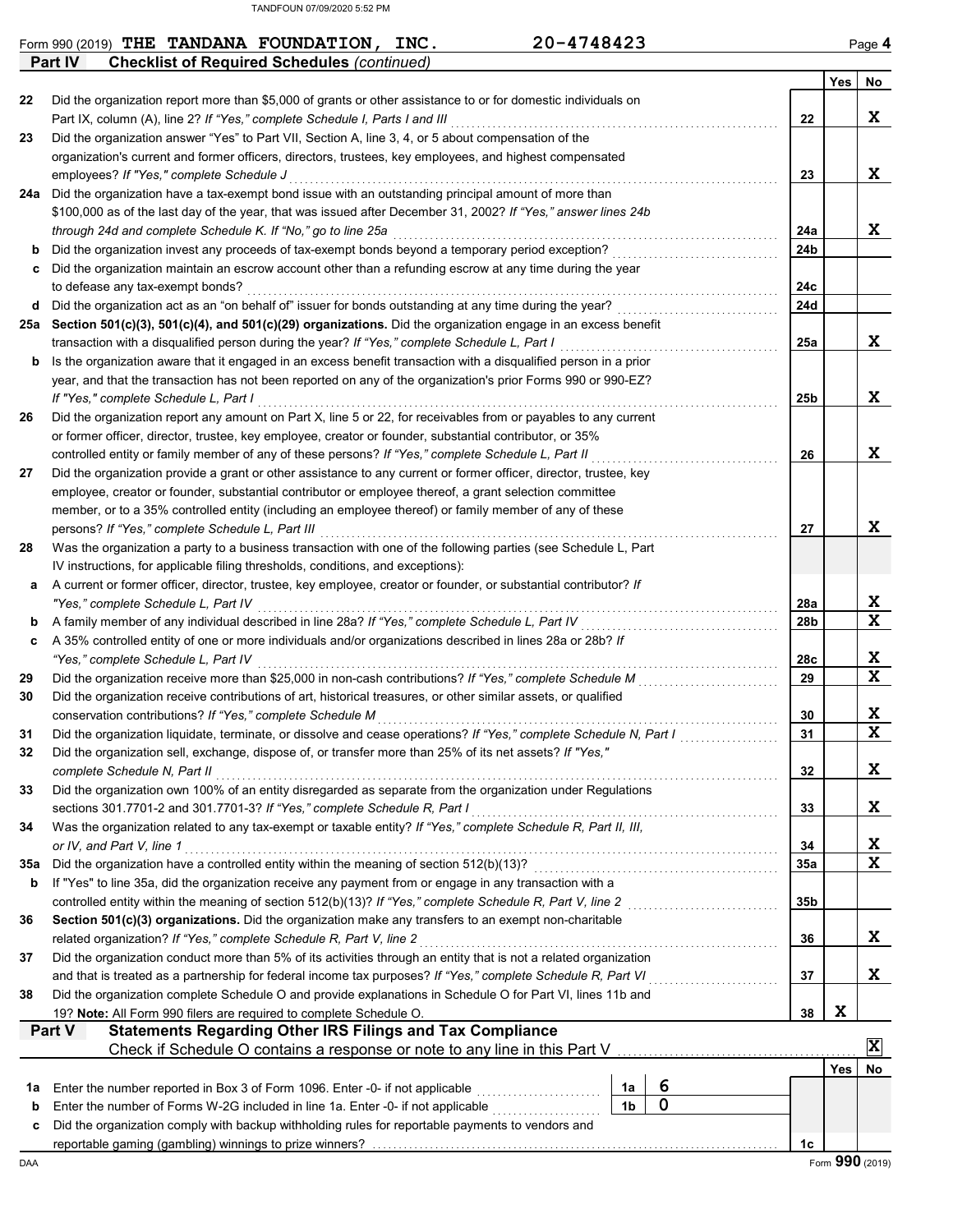|     | 20-4748423<br>Form 990 (2019) THE TANDANA FOUNDATION, INC.                                                                                                        |                |             |                 |     | Page 4                  |
|-----|-------------------------------------------------------------------------------------------------------------------------------------------------------------------|----------------|-------------|-----------------|-----|-------------------------|
|     | Part IV<br><b>Checklist of Required Schedules (continued)</b>                                                                                                     |                |             |                 |     |                         |
|     |                                                                                                                                                                   |                |             |                 | Yes | No                      |
| 22  | Did the organization report more than \$5,000 of grants or other assistance to or for domestic individuals on                                                     |                |             |                 |     |                         |
|     | Part IX, column (A), line 2? If "Yes," complete Schedule I, Parts I and III                                                                                       |                |             | 22              |     | X                       |
| 23  | Did the organization answer "Yes" to Part VII, Section A, line 3, 4, or 5 about compensation of the                                                               |                |             |                 |     |                         |
|     | organization's current and former officers, directors, trustees, key employees, and highest compensated                                                           |                |             |                 |     |                         |
|     | employees? If "Yes," complete Schedule J                                                                                                                          |                |             | 23              |     | X                       |
|     | 24a Did the organization have a tax-exempt bond issue with an outstanding principal amount of more than                                                           |                |             |                 |     |                         |
|     | \$100,000 as of the last day of the year, that was issued after December 31, 2002? If "Yes," answer lines 24b                                                     |                |             |                 |     | X                       |
|     | through 24d and complete Schedule K. If "No," go to line 25a<br>Did the organization invest any proceeds of tax-exempt bonds beyond a temporary period exception? |                |             | 24a             |     |                         |
| b   |                                                                                                                                                                   |                |             | 24b             |     |                         |
| c   | Did the organization maintain an escrow account other than a refunding escrow at any time during the year<br>to defease any tax-exempt bonds?                     |                |             | 24c             |     |                         |
| d   | Did the organization act as an "on behalf of" issuer for bonds outstanding at any time during the year?                                                           |                |             | 24d             |     |                         |
|     | 25a Section 501(c)(3), 501(c)(4), and 501(c)(29) organizations. Did the organization engage in an excess benefit                                                  |                |             |                 |     |                         |
|     | transaction with a disqualified person during the year? If "Yes," complete Schedule L, Part I                                                                     |                |             | 25a             |     | X                       |
| b   | Is the organization aware that it engaged in an excess benefit transaction with a disqualified person in a prior                                                  |                |             |                 |     |                         |
|     | year, and that the transaction has not been reported on any of the organization's prior Forms 990 or 990-EZ?                                                      |                |             |                 |     |                         |
|     | If "Yes," complete Schedule L, Part I                                                                                                                             |                |             | 25 <sub>b</sub> |     | X                       |
| 26  | Did the organization report any amount on Part X, line 5 or 22, for receivables from or payables to any current                                                   |                |             |                 |     |                         |
|     | or former officer, director, trustee, key employee, creator or founder, substantial contributor, or 35%                                                           |                |             |                 |     |                         |
|     | controlled entity or family member of any of these persons? If "Yes," complete Schedule L, Part II                                                                |                |             | 26              |     | X                       |
| 27  | Did the organization provide a grant or other assistance to any current or former officer, director, trustee, key                                                 |                |             |                 |     |                         |
|     | employee, creator or founder, substantial contributor or employee thereof, a grant selection committee                                                            |                |             |                 |     |                         |
|     | member, or to a 35% controlled entity (including an employee thereof) or family member of any of these                                                            |                |             |                 |     |                         |
|     | persons? If "Yes," complete Schedule L, Part III                                                                                                                  |                |             | 27              |     | X                       |
| 28  | Was the organization a party to a business transaction with one of the following parties (see Schedule L, Part                                                    |                |             |                 |     |                         |
|     | IV instructions, for applicable filing thresholds, conditions, and exceptions):                                                                                   |                |             |                 |     |                         |
| а   | A current or former officer, director, trustee, key employee, creator or founder, or substantial contributor? If                                                  |                |             |                 |     |                         |
|     | "Yes," complete Schedule L, Part IV                                                                                                                               |                |             | 28a             |     | X                       |
| b   | A family member of any individual described in line 28a? If "Yes," complete Schedule L, Part IV                                                                   |                |             | 28b             |     | X                       |
| c   | A 35% controlled entity of one or more individuals and/or organizations described in lines 28a or 28b? If                                                         |                |             |                 |     |                         |
|     | "Yes," complete Schedule L, Part IV                                                                                                                               |                |             | 28c             |     | X                       |
| 29  | Did the organization receive more than \$25,000 in non-cash contributions? If "Yes," complete Schedule M                                                          |                |             | 29              |     | X                       |
| 30  | Did the organization receive contributions of art, historical treasures, or other similar assets, or qualified                                                    |                |             |                 |     |                         |
|     | conservation contributions? If "Yes," complete Schedule M                                                                                                         |                |             | 30              |     | X                       |
| 31  | Did the organization liquidate, terminate, or dissolve and cease operations? If "Yes," complete Schedule N, Part I                                                |                |             | 31              |     | $\mathbf x$             |
| 32  | Did the organization sell, exchange, dispose of, or transfer more than 25% of its net assets? If "Yes,"                                                           |                |             |                 |     |                         |
|     | complete Schedule N, Part II                                                                                                                                      |                |             | 32              |     | X                       |
| 33  | Did the organization own 100% of an entity disregarded as separate from the organization under Regulations                                                        |                |             |                 |     |                         |
|     | sections 301.7701-2 and 301.7701-3? If "Yes," complete Schedule R, Part I                                                                                         |                |             | 33              |     | X                       |
| 34  | Was the organization related to any tax-exempt or taxable entity? If "Yes," complete Schedule R, Part II, III,<br>or IV, and Part V, line 1                       |                |             | 34              |     | X                       |
| 35a | Did the organization have a controlled entity within the meaning of section 512(b)(13)?                                                                           |                |             | <b>35a</b>      |     | $\mathbf x$             |
| b   | If "Yes" to line 35a, did the organization receive any payment from or engage in any transaction with a                                                           |                |             |                 |     |                         |
|     | controlled entity within the meaning of section 512(b)(13)? If "Yes," complete Schedule R, Part V, line 2                                                         |                |             | 35b             |     |                         |
| 36  | Section 501(c)(3) organizations. Did the organization make any transfers to an exempt non-charitable                                                              |                |             |                 |     |                         |
|     | related organization? If "Yes," complete Schedule R, Part V, line 2                                                                                               |                |             | 36              |     | X                       |
| 37  | Did the organization conduct more than 5% of its activities through an entity that is not a related organization                                                  |                |             |                 |     |                         |
|     | and that is treated as a partnership for federal income tax purposes? If "Yes," complete Schedule R, Part VI                                                      |                |             | 37              |     | X                       |
| 38  | Did the organization complete Schedule O and provide explanations in Schedule O for Part VI, lines 11b and                                                        |                |             |                 |     |                         |
|     | 19? Note: All Form 990 filers are required to complete Schedule O.                                                                                                |                |             | 38              | X   |                         |
|     | Part V<br><b>Statements Regarding Other IRS Filings and Tax Compliance</b>                                                                                        |                |             |                 |     |                         |
|     | Check if Schedule O contains a response or note to any line in this Part V                                                                                        |                |             |                 |     | $\overline{\mathbf{x}}$ |
|     |                                                                                                                                                                   |                |             |                 | Yes | No                      |
| 1a  | Enter the number reported in Box 3 of Form 1096. Enter -0- if not applicable                                                                                      | 1а             | 6           |                 |     |                         |
| b   | Enter the number of Forms W-2G included in line 1a. Enter -0- if not applicable                                                                                   | 1 <sub>b</sub> | $\mathbf 0$ |                 |     |                         |
| c   | Did the organization comply with backup withholding rules for reportable payments to vendors and                                                                  |                |             |                 |     |                         |
|     |                                                                                                                                                                   |                |             | 1c              |     |                         |
| DAA |                                                                                                                                                                   |                |             |                 |     | Form 990 (2019)         |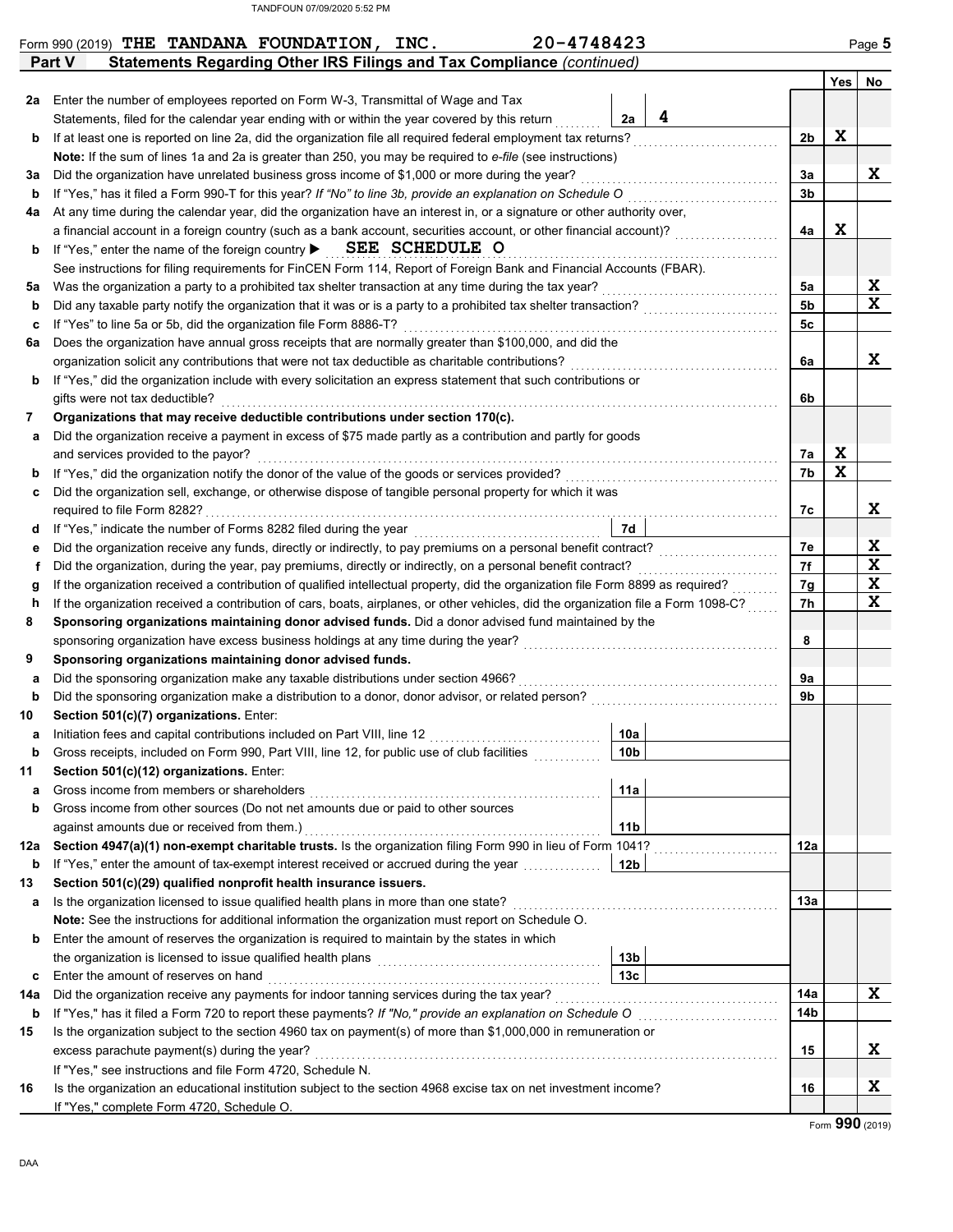|        | 20-4748423<br>Form 990 (2019) THE TANDANA FOUNDATION, INC.                                                                         |                 |                      |        | Page 5           |  |  |  |  |  |  |
|--------|------------------------------------------------------------------------------------------------------------------------------------|-----------------|----------------------|--------|------------------|--|--|--|--|--|--|
|        | Statements Regarding Other IRS Filings and Tax Compliance (continued)<br>Part V                                                    |                 |                      |        |                  |  |  |  |  |  |  |
|        |                                                                                                                                    |                 |                      | Yes    | No               |  |  |  |  |  |  |
| 2a     | Enter the number of employees reported on Form W-3, Transmittal of Wage and Tax                                                    |                 |                      |        |                  |  |  |  |  |  |  |
|        | Statements, filed for the calendar year ending with or within the year covered by this return                                      | 4<br>2a         |                      |        |                  |  |  |  |  |  |  |
| b      | If at least one is reported on line 2a, did the organization file all required federal employment tax returns?                     |                 | 2 <sub>b</sub>       | X      |                  |  |  |  |  |  |  |
|        | Note: If the sum of lines 1a and 2a is greater than 250, you may be required to e-file (see instructions)                          |                 |                      |        |                  |  |  |  |  |  |  |
| За     | Did the organization have unrelated business gross income of \$1,000 or more during the year?                                      |                 | 3a                   |        | X                |  |  |  |  |  |  |
| b      | If "Yes," has it filed a Form 990-T for this year? If "No" to line 3b, provide an explanation on Schedule O                        |                 | 3b                   |        |                  |  |  |  |  |  |  |
| 4a     | At any time during the calendar year, did the organization have an interest in, or a signature or other authority over,            |                 |                      |        |                  |  |  |  |  |  |  |
|        | a financial account in a foreign country (such as a bank account, securities account, or other financial account)?                 |                 | 4a                   | X      |                  |  |  |  |  |  |  |
| b      | If "Yes," enter the name of the foreign country ▶ SEE SCHEDULE O                                                                   |                 |                      |        |                  |  |  |  |  |  |  |
|        | See instructions for filing requirements for FinCEN Form 114, Report of Foreign Bank and Financial Accounts (FBAR).                |                 |                      |        |                  |  |  |  |  |  |  |
| 5a     | Was the organization a party to a prohibited tax shelter transaction at any time during the tax year?                              |                 | 5a<br>5 <sub>b</sub> |        | X<br>$\mathbf x$ |  |  |  |  |  |  |
| b      | Did any taxable party notify the organization that it was or is a party to a prohibited tax shelter transaction?                   |                 |                      |        |                  |  |  |  |  |  |  |
| c      | If "Yes" to line 5a or 5b, did the organization file Form 8886-T?                                                                  |                 | 5с                   |        |                  |  |  |  |  |  |  |
| 6a     | Does the organization have annual gross receipts that are normally greater than \$100,000, and did the                             |                 |                      |        |                  |  |  |  |  |  |  |
|        | organization solicit any contributions that were not tax deductible as charitable contributions?                                   |                 | 6a                   |        | X                |  |  |  |  |  |  |
| b      | If "Yes," did the organization include with every solicitation an express statement that such contributions or                     |                 |                      |        |                  |  |  |  |  |  |  |
|        | gifts were not tax deductible?                                                                                                     |                 | 6b                   |        |                  |  |  |  |  |  |  |
| 7      | Organizations that may receive deductible contributions under section 170(c).                                                      |                 |                      |        |                  |  |  |  |  |  |  |
| а      | Did the organization receive a payment in excess of \$75 made partly as a contribution and partly for goods                        |                 |                      |        |                  |  |  |  |  |  |  |
|        | and services provided to the payor?                                                                                                |                 | 7a                   | X<br>X |                  |  |  |  |  |  |  |
| b      | If "Yes," did the organization notify the donor of the value of the goods or services provided?                                    |                 | 7b                   |        |                  |  |  |  |  |  |  |
| c      | Did the organization sell, exchange, or otherwise dispose of tangible personal property for which it was                           |                 |                      |        | X                |  |  |  |  |  |  |
|        | required to file Form 8282?                                                                                                        | 7d              | 7с                   |        |                  |  |  |  |  |  |  |
| d      | Did the organization receive any funds, directly or indirectly, to pay premiums on a personal benefit contract?                    |                 | 7e                   |        | X                |  |  |  |  |  |  |
| е<br>f | Did the organization, during the year, pay premiums, directly or indirectly, on a personal benefit contract?                       |                 | 7f                   |        | $\mathbf x$      |  |  |  |  |  |  |
| g      | If the organization received a contribution of qualified intellectual property, did the organization file Form 8899 as required?   |                 | 7g                   |        | $\mathbf x$      |  |  |  |  |  |  |
| h      | If the organization received a contribution of cars, boats, airplanes, or other vehicles, did the organization file a Form 1098-C? |                 | 7h                   |        | X                |  |  |  |  |  |  |
| 8      | Sponsoring organizations maintaining donor advised funds. Did a donor advised fund maintained by the                               |                 |                      |        |                  |  |  |  |  |  |  |
|        | sponsoring organization have excess business holdings at any time during the year?                                                 |                 | 8                    |        |                  |  |  |  |  |  |  |
| 9      | Sponsoring organizations maintaining donor advised funds.                                                                          |                 |                      |        |                  |  |  |  |  |  |  |
| а      | Did the sponsoring organization make any taxable distributions under section 4966?                                                 |                 | 9a                   |        |                  |  |  |  |  |  |  |
| b      | Did the sponsoring organization make a distribution to a donor, donor advisor, or related person?                                  |                 | 9b                   |        |                  |  |  |  |  |  |  |
| 10     | Section 501(c)(7) organizations. Enter:                                                                                            |                 |                      |        |                  |  |  |  |  |  |  |
|        | Initiation fees and capital contributions included on Part VIII, line 12                                                           | 10a             |                      |        |                  |  |  |  |  |  |  |
| b      | Gross receipts, included on Form 990, Part VIII, line 12, for public use of club facilities                                        | 10 <sub>b</sub> |                      |        |                  |  |  |  |  |  |  |
| 11     | Section 501(c)(12) organizations. Enter:                                                                                           |                 |                      |        |                  |  |  |  |  |  |  |
| а      | Gross income from members or shareholders                                                                                          | 11a             |                      |        |                  |  |  |  |  |  |  |
| b      | Gross income from other sources (Do not net amounts due or paid to other sources                                                   |                 |                      |        |                  |  |  |  |  |  |  |
|        |                                                                                                                                    | 11 <sub>b</sub> |                      |        |                  |  |  |  |  |  |  |
| 12a    | Section 4947(a)(1) non-exempt charitable trusts. Is the organization filing Form 990 in lieu of Form 1041?                         |                 | 12a                  |        |                  |  |  |  |  |  |  |
| b      | If "Yes," enter the amount of tax-exempt interest received or accrued during the year                                              | 12b             |                      |        |                  |  |  |  |  |  |  |
| 13     | Section 501(c)(29) qualified nonprofit health insurance issuers.                                                                   |                 |                      |        |                  |  |  |  |  |  |  |
| a      | Is the organization licensed to issue qualified health plans in more than one state?                                               |                 | 13а                  |        |                  |  |  |  |  |  |  |
|        | Note: See the instructions for additional information the organization must report on Schedule O.                                  |                 |                      |        |                  |  |  |  |  |  |  |
| b      | Enter the amount of reserves the organization is required to maintain by the states in which                                       |                 |                      |        |                  |  |  |  |  |  |  |
|        |                                                                                                                                    | 13 <sub>b</sub> |                      |        |                  |  |  |  |  |  |  |
| c      | Enter the amount of reserves on hand                                                                                               | 13 <sub>c</sub> |                      |        |                  |  |  |  |  |  |  |
| 14a    | Did the organization receive any payments for indoor tanning services during the tax year?                                         |                 | 14a                  |        | X.               |  |  |  |  |  |  |
| b      |                                                                                                                                    |                 | 14b                  |        |                  |  |  |  |  |  |  |
| 15     | Is the organization subject to the section 4960 tax on payment(s) of more than \$1,000,000 in remuneration or                      |                 |                      |        |                  |  |  |  |  |  |  |
|        | excess parachute payment(s) during the year?                                                                                       |                 | 15                   |        | X                |  |  |  |  |  |  |
|        | If "Yes," see instructions and file Form 4720, Schedule N.                                                                         |                 |                      |        |                  |  |  |  |  |  |  |
| 16     | Is the organization an educational institution subject to the section 4968 excise tax on net investment income?                    |                 | 16                   |        | X                |  |  |  |  |  |  |
|        | If "Yes," complete Form 4720, Schedule O.                                                                                          |                 |                      |        |                  |  |  |  |  |  |  |

Form **990** (2019)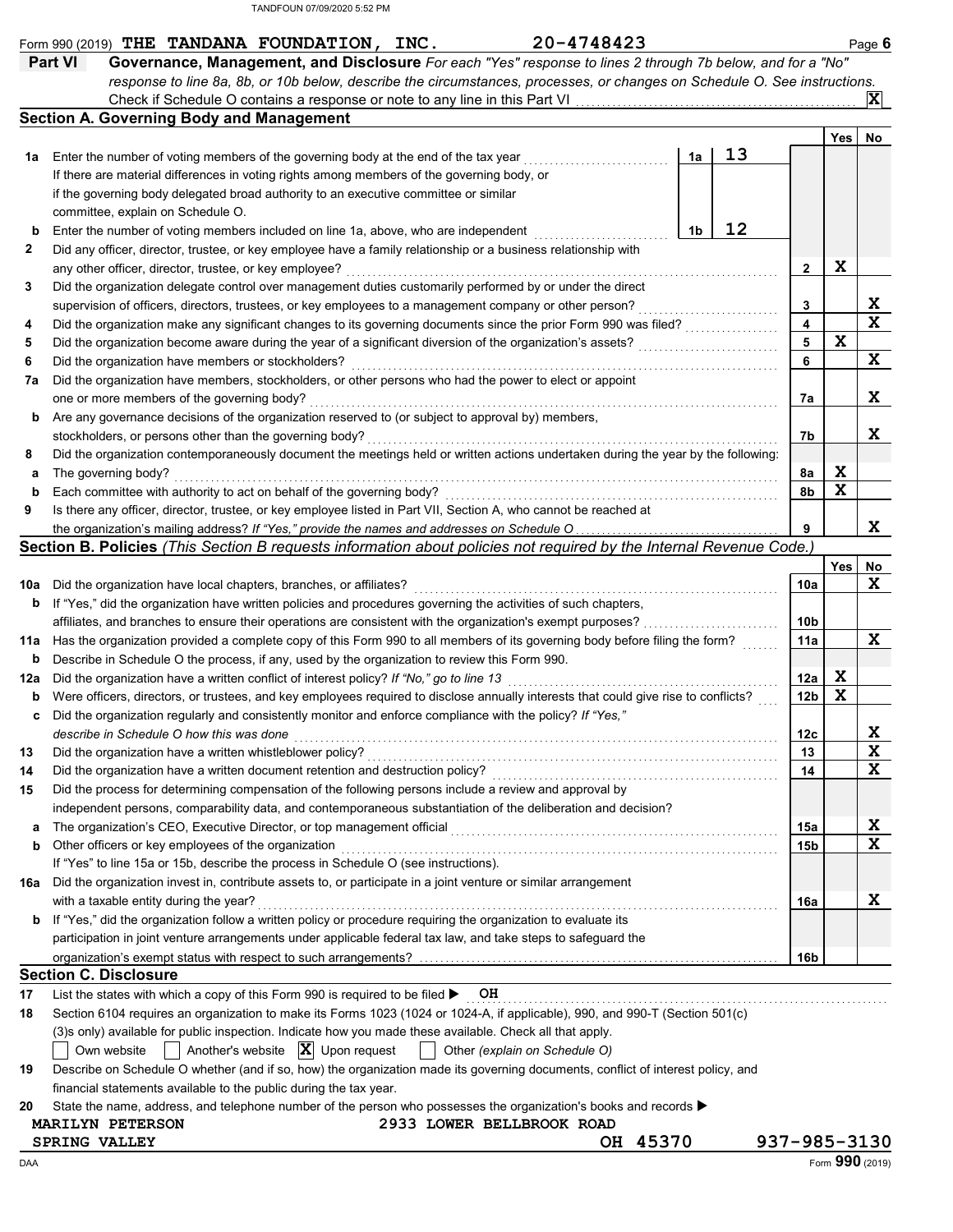|     | Governance, Management, and Disclosure For each "Yes" response to lines 2 through 7b below, and for a "No"<br><b>Part VI</b>                          |    |                              |             |                                      |  |  |  |  |  |  |  |
|-----|-------------------------------------------------------------------------------------------------------------------------------------------------------|----|------------------------------|-------------|--------------------------------------|--|--|--|--|--|--|--|
|     | response to line 8a, 8b, or 10b below, describe the circumstances, processes, or changes on Schedule O. See instructions.                             |    |                              |             |                                      |  |  |  |  |  |  |  |
|     | Check if Schedule O contains a response or note to any line in this Part VI                                                                           |    |                              |             | X                                    |  |  |  |  |  |  |  |
|     | <b>Section A. Governing Body and Management</b>                                                                                                       |    |                              |             |                                      |  |  |  |  |  |  |  |
|     |                                                                                                                                                       |    |                              | Yes         | No                                   |  |  |  |  |  |  |  |
| 1a  | Enter the number of voting members of the governing body at the end of the tax year<br>1a                                                             | 13 |                              |             |                                      |  |  |  |  |  |  |  |
|     | If there are material differences in voting rights among members of the governing body, or                                                            |    |                              |             |                                      |  |  |  |  |  |  |  |
|     | if the governing body delegated broad authority to an executive committee or similar                                                                  |    |                              |             |                                      |  |  |  |  |  |  |  |
|     | committee, explain on Schedule O.                                                                                                                     |    |                              |             |                                      |  |  |  |  |  |  |  |
| b   | Enter the number of voting members included on line 1a, above, who are independent<br>1b                                                              | 12 |                              |             |                                      |  |  |  |  |  |  |  |
| 2   | Did any officer, director, trustee, or key employee have a family relationship or a business relationship with                                        |    |                              |             |                                      |  |  |  |  |  |  |  |
|     | any other officer, director, trustee, or key employee?                                                                                                |    | 2                            | X           |                                      |  |  |  |  |  |  |  |
| 3   | Did the organization delegate control over management duties customarily performed by or under the direct                                             |    |                              |             |                                      |  |  |  |  |  |  |  |
|     | supervision of officers, directors, trustees, or key employees to a management company or other person?                                               |    | 3<br>$\overline{\mathbf{4}}$ |             | <u>x_</u><br>$\overline{\mathbf{x}}$ |  |  |  |  |  |  |  |
| 4   | Did the organization make any significant changes to its governing documents since the prior Form 990 was filed?                                      |    | 5                            | $\mathbf x$ |                                      |  |  |  |  |  |  |  |
| 5   | Did the organization become aware during the year of a significant diversion of the organization's assets?                                            |    |                              |             |                                      |  |  |  |  |  |  |  |
| 6   | Did the organization have members or stockholders?                                                                                                    |    | 6                            |             | X                                    |  |  |  |  |  |  |  |
| 7a  | Did the organization have members, stockholders, or other persons who had the power to elect or appoint<br>one or more members of the governing body? |    | 7a                           |             | X                                    |  |  |  |  |  |  |  |
|     | Are any governance decisions of the organization reserved to (or subject to approval by) members,                                                     |    |                              |             |                                      |  |  |  |  |  |  |  |
| b   | stockholders, or persons other than the governing body?                                                                                               |    | 7b                           |             | X                                    |  |  |  |  |  |  |  |
| 8   | Did the organization contemporaneously document the meetings held or written actions undertaken during the year by the following:                     |    |                              |             |                                      |  |  |  |  |  |  |  |
| а   | The governing body?                                                                                                                                   |    | 8а                           | X           |                                      |  |  |  |  |  |  |  |
| b   | Each committee with authority to act on behalf of the governing body?                                                                                 |    |                              |             |                                      |  |  |  |  |  |  |  |
| 9   | Is there any officer, director, trustee, or key employee listed in Part VII, Section A, who cannot be reached at                                      |    | 8b                           | $\mathbf x$ |                                      |  |  |  |  |  |  |  |
|     | the organization's mailing address? If "Yes," provide the names and addresses on Schedule O.                                                          |    |                              |             |                                      |  |  |  |  |  |  |  |
|     | Section B. Policies (This Section B requests information about policies not required by the Internal Revenue Code.)                                   |    | 9                            |             | X                                    |  |  |  |  |  |  |  |
|     |                                                                                                                                                       |    |                              | Yes         | <u>No</u>                            |  |  |  |  |  |  |  |
| 10a | Did the organization have local chapters, branches, or affiliates?                                                                                    |    | 10a                          |             | $\mathbf x$                          |  |  |  |  |  |  |  |
| b   | If "Yes," did the organization have written policies and procedures governing the activities of such chapters,                                        |    |                              |             |                                      |  |  |  |  |  |  |  |
|     | affiliates, and branches to ensure their operations are consistent with the organization's exempt purposes?                                           |    | 10 <sub>b</sub>              |             |                                      |  |  |  |  |  |  |  |
| 11a | Has the organization provided a complete copy of this Form 990 to all members of its governing body before filing the form?                           |    | 11a                          |             | X                                    |  |  |  |  |  |  |  |
| b   | Describe in Schedule O the process, if any, used by the organization to review this Form 990.                                                         |    |                              |             |                                      |  |  |  |  |  |  |  |
| 12a | Did the organization have a written conflict of interest policy? If "No," go to line 13                                                               |    | 12a                          | X           |                                      |  |  |  |  |  |  |  |
| b   | Were officers, directors, or trustees, and key employees required to disclose annually interests that could give rise to conflicts?                   |    | 12 <sub>b</sub>              | $\mathbf x$ |                                      |  |  |  |  |  |  |  |
| с   | Did the organization regularly and consistently monitor and enforce compliance with the policy? If "Yes,"                                             |    |                              |             |                                      |  |  |  |  |  |  |  |
|     | describe in Schedule O how this was done                                                                                                              |    | 12c                          |             | $\mathbf{x}$                         |  |  |  |  |  |  |  |
| 13  | Did the organization have a written whistleblower policy?                                                                                             |    | 13                           |             | $\overline{\mathbf{x}}$              |  |  |  |  |  |  |  |
| 14  | Did the organization have a written document retention and destruction policy?                                                                        |    | 14                           |             | $\overline{\mathbf{x}}$              |  |  |  |  |  |  |  |
| 15  | Did the process for determining compensation of the following persons include a review and approval by                                                |    |                              |             |                                      |  |  |  |  |  |  |  |
|     | independent persons, comparability data, and contemporaneous substantiation of the deliberation and decision?                                         |    |                              |             |                                      |  |  |  |  |  |  |  |
| a   |                                                                                                                                                       |    | 15a                          |             | X                                    |  |  |  |  |  |  |  |
| b   | Other officers or key employees of the organization                                                                                                   |    | 15b                          |             | $\overline{\mathbf{x}}$              |  |  |  |  |  |  |  |
|     | If "Yes" to line 15a or 15b, describe the process in Schedule O (see instructions).                                                                   |    |                              |             |                                      |  |  |  |  |  |  |  |
| 16a | Did the organization invest in, contribute assets to, or participate in a joint venture or similar arrangement                                        |    |                              |             |                                      |  |  |  |  |  |  |  |
|     | with a taxable entity during the year?                                                                                                                |    | 16a                          |             | X                                    |  |  |  |  |  |  |  |
| b   | If "Yes," did the organization follow a written policy or procedure requiring the organization to evaluate its                                        |    |                              |             |                                      |  |  |  |  |  |  |  |
|     | participation in joint venture arrangements under applicable federal tax law, and take steps to safeguard the                                         |    |                              |             |                                      |  |  |  |  |  |  |  |
|     |                                                                                                                                                       |    | 16b                          |             |                                      |  |  |  |  |  |  |  |
|     | <b>Section C. Disclosure</b>                                                                                                                          |    |                              |             |                                      |  |  |  |  |  |  |  |
| 17  | List the states with which a copy of this Form 990 is required to be filed $\blacktriangleright$ OH                                                   |    |                              |             |                                      |  |  |  |  |  |  |  |
| 18  | Section 6104 requires an organization to make its Forms 1023 (1024 or 1024-A, if applicable), 990, and 990-T (Section 501(c)                          |    |                              |             |                                      |  |  |  |  |  |  |  |
|     | (3)s only) available for public inspection. Indicate how you made these available. Check all that apply.                                              |    |                              |             |                                      |  |  |  |  |  |  |  |
|     | Own website $\ \cdot\ $ Another's website $\ \mathbf{X}\ $ Upon request<br>Other (explain on Schedule O)                                              |    |                              |             |                                      |  |  |  |  |  |  |  |
|     | Describe on Schedule O whether (and if so, how) the organization made its governing documents, conflict of interest policy, and                       |    |                              |             |                                      |  |  |  |  |  |  |  |
| 19  | financial statements available to the public during the tax year.                                                                                     |    |                              |             |                                      |  |  |  |  |  |  |  |

| waa lu<br>FLILLOUN             | 2999<br><b>TOMPLY</b><br>androon vour |                       |
|--------------------------------|---------------------------------------|-----------------------|
| <b>SPRING</b><br><b>VALLEY</b> | 45370<br>OH                           | 3130<br>937<br>'-985- |

DAA Form **990** (2019)

| TANDFOUN 07/09/2020 5:52 PM |  |
|-----------------------------|--|
|                             |  |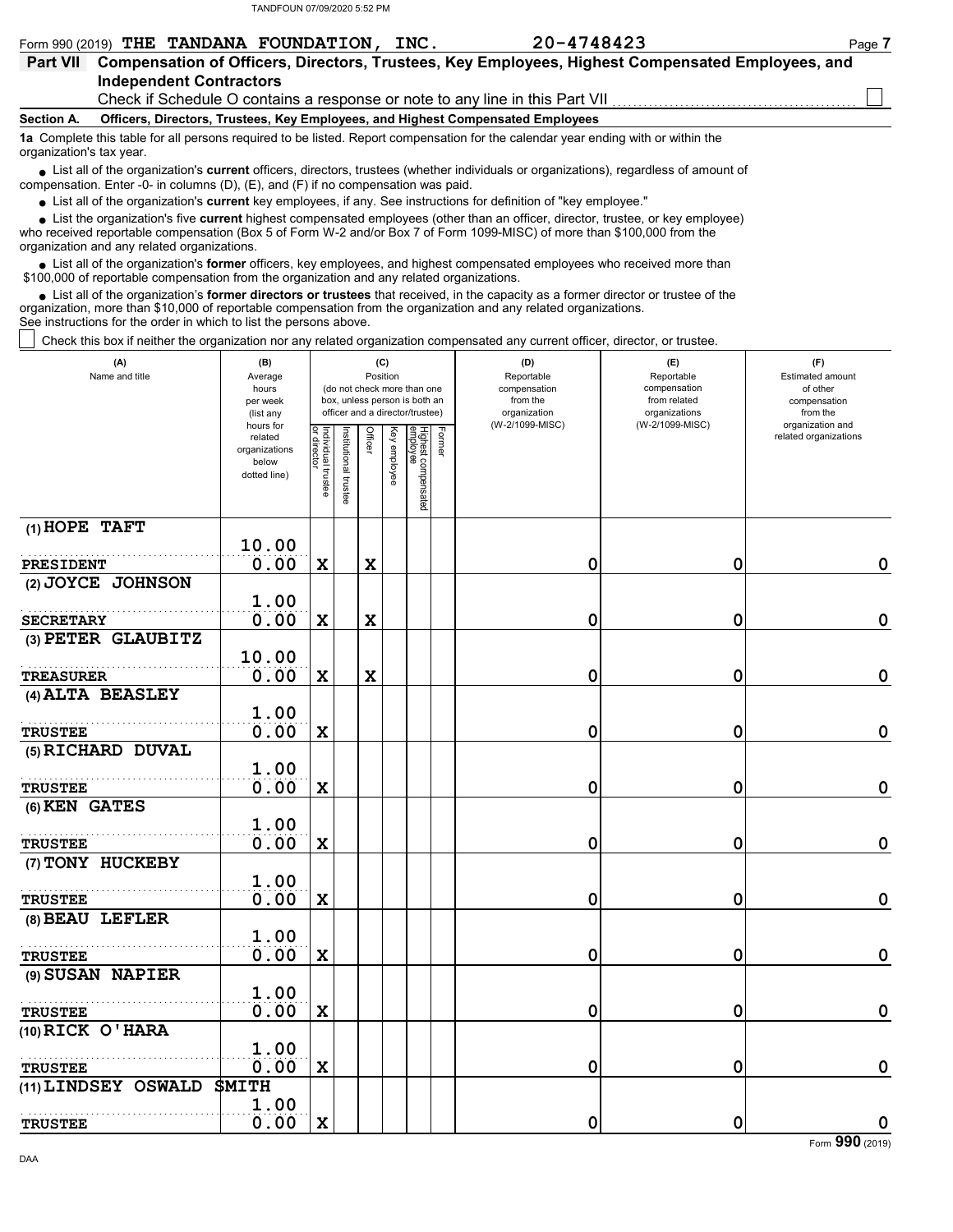|                                                                              | Form 990 (2019) THE TANDANA FOUNDATION,                                                                                           | INC. | $20 - 4748423$                                                                                                                         | Page 7 |  |  |  |  |  |  |
|------------------------------------------------------------------------------|-----------------------------------------------------------------------------------------------------------------------------------|------|----------------------------------------------------------------------------------------------------------------------------------------|--------|--|--|--|--|--|--|
| <b>Part VII</b>                                                              |                                                                                                                                   |      | Compensation of Officers, Directors, Trustees, Key Employees, Highest Compensated Employees, and                                       |        |  |  |  |  |  |  |
|                                                                              | <b>Independent Contractors</b>                                                                                                    |      |                                                                                                                                        |        |  |  |  |  |  |  |
| Check if Schedule O contains a response or note to any line in this Part VII |                                                                                                                                   |      |                                                                                                                                        |        |  |  |  |  |  |  |
| Section A.                                                                   | Officers, Directors, Trustees, Key Employees, and Highest Compensated Employees                                                   |      |                                                                                                                                        |        |  |  |  |  |  |  |
| organization's tax year.                                                     | 1a Complete this table for all persons required to be listed. Report compensation for the calendar year ending with or within the |      |                                                                                                                                        |        |  |  |  |  |  |  |
|                                                                              | compensation. Enter -0- in columns $(D)$ , $(E)$ , and $(F)$ if no compensation was paid.                                         |      | • List all of the organization's current officers, directors, trustees (whether individuals or organizations), regardless of amount of |        |  |  |  |  |  |  |
|                                                                              | • List all of the organization's current key employees, if any. See instructions for definition of "key employee."                |      |                                                                                                                                        |        |  |  |  |  |  |  |

who received reportable compensation (Box 5 of Form W-2 and/or Box 7 of Form 1099-MISC) of more than \$100,000 from the organization and any related organizations. ■ List all of the organization's **current** key employees, if any. See instructions for definition of "key employee."<br>■ List the organization's five **current** highest compensated employees (other than an officer, director,

List all of the organization's **former** officers, key employees, and highest compensated employees who received more than • List all of the organization's **former** officers, key employees, and highest compensate \$100,000 of reportable compensation from the organization and any related organizations.

List all of the organization's **former directors or trustees** that received, in the capacity as a former director or trustee of the organization, more than \$10,000 of reportable compensation from the organization and any related organizations. See instructions for the order in which to list the persons above. **•**

Check this box if neither the organization nor any related organization compensated any current officer, director, or trustee.

| (A)<br>Name and title                  | (B)<br>Average<br>hours<br>per week<br>(list any               |                                   |                      | (C)<br>Position |              | (do not check more than one<br>box, unless person is both an<br>officer and a director/trustee) |        | (D)<br>Reportable<br>compensation<br>from the<br>organization | (E)<br>Reportable<br>compensation<br>from related<br>organizations | $(\mathsf{F})$<br>Estimated amount<br>of other<br>compensation<br>from the |
|----------------------------------------|----------------------------------------------------------------|-----------------------------------|----------------------|-----------------|--------------|-------------------------------------------------------------------------------------------------|--------|---------------------------------------------------------------|--------------------------------------------------------------------|----------------------------------------------------------------------------|
|                                        | hours for<br>related<br>organizations<br>below<br>dotted line) | Individual trustee<br>or director | nstitutional trustee | Officer         | Key employee | Highest compensated<br>employee                                                                 | Former | (W-2/1099-MISC)                                               | (W-2/1099-MISC)                                                    | organization and<br>related organizations                                  |
| $(1)$ HOPE TAFT                        |                                                                |                                   |                      |                 |              |                                                                                                 |        |                                                               |                                                                    |                                                                            |
| PRESIDENT                              | 10.00<br>0.00                                                  | $\mathbf x$                       |                      | $\mathbf x$     |              |                                                                                                 |        | 0                                                             | 0                                                                  | 0                                                                          |
| (2) JOYCE JOHNSON                      |                                                                |                                   |                      |                 |              |                                                                                                 |        |                                                               |                                                                    |                                                                            |
|                                        | 1.00                                                           |                                   |                      |                 |              |                                                                                                 |        |                                                               |                                                                    |                                                                            |
| <b>SECRETARY</b><br>(3) PETER GLAUBITZ | 0.00                                                           | $\mathbf x$                       |                      | $\mathbf x$     |              |                                                                                                 |        | 0                                                             | 0                                                                  | $\pmb{0}$                                                                  |
|                                        | 10.00                                                          |                                   |                      |                 |              |                                                                                                 |        |                                                               |                                                                    |                                                                            |
| <b>TREASURER</b>                       | 0.00                                                           | $\mathbf x$                       |                      | $\mathbf x$     |              |                                                                                                 |        | 0                                                             | 0                                                                  | 0                                                                          |
| (4) ALTA BEASLEY                       |                                                                |                                   |                      |                 |              |                                                                                                 |        |                                                               |                                                                    |                                                                            |
|                                        | 1.00                                                           |                                   |                      |                 |              |                                                                                                 |        |                                                               |                                                                    |                                                                            |
| <b>TRUSTEE</b>                         | 0.00                                                           | $\mathbf x$                       |                      |                 |              |                                                                                                 |        | 0                                                             | 0                                                                  | $\mathbf 0$                                                                |
| (5) RICHARD DUVAL                      |                                                                |                                   |                      |                 |              |                                                                                                 |        |                                                               |                                                                    |                                                                            |
|                                        | 1.00                                                           |                                   |                      |                 |              |                                                                                                 |        |                                                               |                                                                    |                                                                            |
| <b>TRUSTEE</b>                         | 0.00                                                           | $\mathbf x$                       |                      |                 |              |                                                                                                 |        | 0                                                             | 0                                                                  | 0                                                                          |
| (6) KEN GATES                          |                                                                |                                   |                      |                 |              |                                                                                                 |        |                                                               |                                                                    |                                                                            |
|                                        | 1.00                                                           |                                   |                      |                 |              |                                                                                                 |        |                                                               |                                                                    |                                                                            |
| <b>TRUSTEE</b><br>(7) TONY HUCKEBY     | 0.00                                                           | $\mathbf x$                       |                      |                 |              |                                                                                                 |        | 0                                                             | 0                                                                  | 0                                                                          |
|                                        | 1.00                                                           |                                   |                      |                 |              |                                                                                                 |        |                                                               |                                                                    |                                                                            |
| <b>TRUSTEE</b>                         | 0.00                                                           | $\mathbf x$                       |                      |                 |              |                                                                                                 |        | 0                                                             | 0                                                                  | $\mathbf 0$                                                                |
| (8) BEAU LEFLER                        |                                                                |                                   |                      |                 |              |                                                                                                 |        |                                                               |                                                                    |                                                                            |
|                                        | 1.00                                                           |                                   |                      |                 |              |                                                                                                 |        |                                                               |                                                                    |                                                                            |
| <b>TRUSTEE</b>                         | 0.00                                                           | X                                 |                      |                 |              |                                                                                                 |        | 0                                                             | 0                                                                  | 0                                                                          |
| (9) SUSAN NAPIER                       |                                                                |                                   |                      |                 |              |                                                                                                 |        |                                                               |                                                                    |                                                                            |
|                                        | 1.00                                                           |                                   |                      |                 |              |                                                                                                 |        |                                                               |                                                                    |                                                                            |
| <b>TRUSTEE</b>                         | 0.00                                                           | $\mathbf x$                       |                      |                 |              |                                                                                                 |        | 0                                                             | 0                                                                  | 0                                                                          |
| (10) RICK O'HARA                       |                                                                |                                   |                      |                 |              |                                                                                                 |        |                                                               |                                                                    |                                                                            |
| <b>TRUSTEE</b>                         | 1.00<br>0.00                                                   | $\mathbf x$                       |                      |                 |              |                                                                                                 |        | 0                                                             | 0                                                                  | 0                                                                          |
| (11) LINDSEY OSWALD                    | SMITH                                                          |                                   |                      |                 |              |                                                                                                 |        |                                                               |                                                                    |                                                                            |
|                                        | 1.00                                                           |                                   |                      |                 |              |                                                                                                 |        |                                                               |                                                                    |                                                                            |
| <b>TRUSTEE</b>                         | 0.00                                                           | $\mathbf x$                       |                      |                 |              |                                                                                                 |        | 0                                                             | 0                                                                  | $\mathbf 0$                                                                |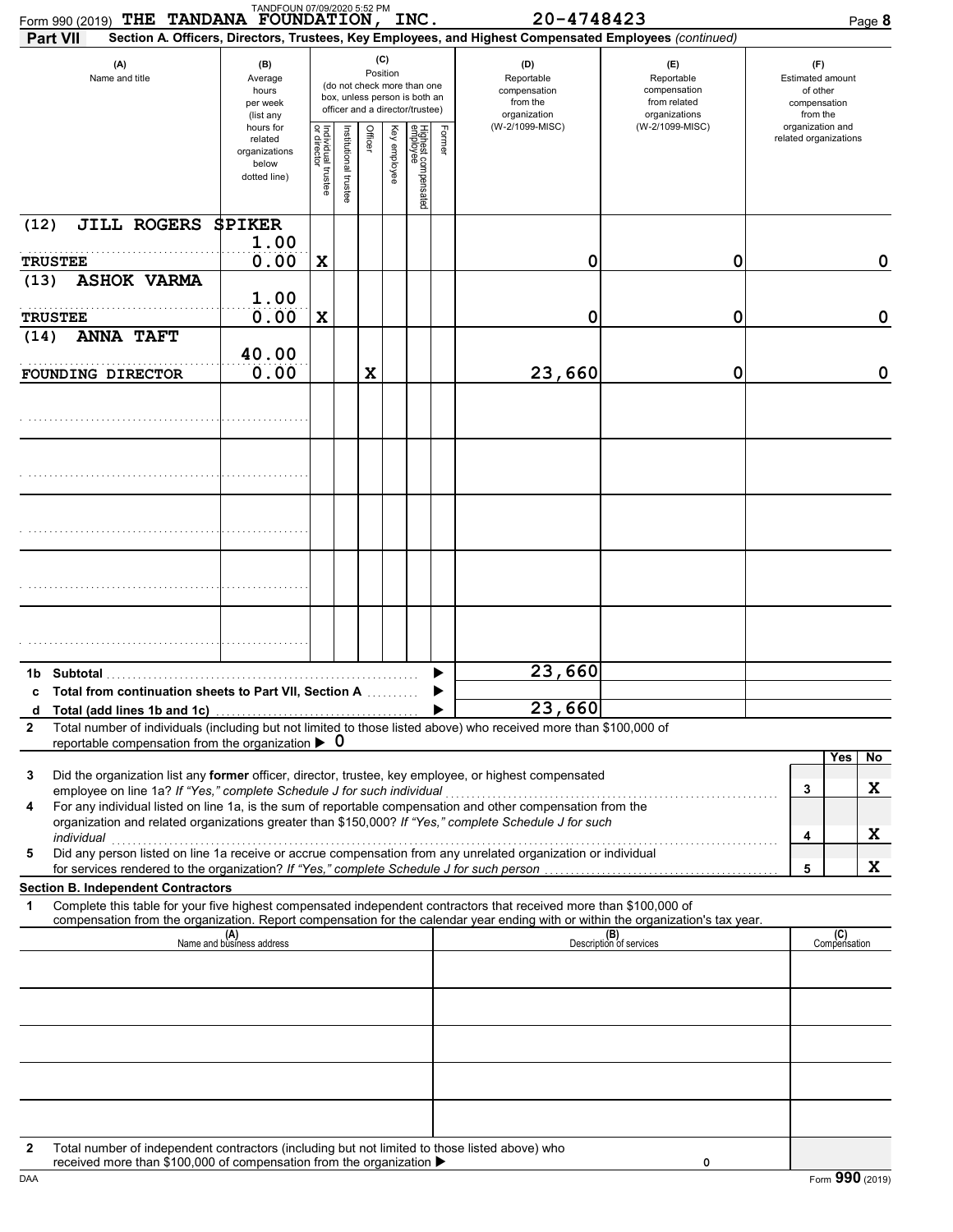|                 | Form 990 (2019) THE TANDANA FOUNDATION,                                                                                                                                                                                                                | TANDFOUN 07/09/2020 5:52 PM                                    |                                                                                                                    |                      |         |              | INC.                            |        | 20-4748423                                                                                             |                                                                    | Page 8                                                          |
|-----------------|--------------------------------------------------------------------------------------------------------------------------------------------------------------------------------------------------------------------------------------------------------|----------------------------------------------------------------|--------------------------------------------------------------------------------------------------------------------|----------------------|---------|--------------|---------------------------------|--------|--------------------------------------------------------------------------------------------------------|--------------------------------------------------------------------|-----------------------------------------------------------------|
| <b>Part VII</b> |                                                                                                                                                                                                                                                        |                                                                |                                                                                                                    |                      |         |              |                                 |        | Section A. Officers, Directors, Trustees, Key Employees, and Highest Compensated Employees (continued) |                                                                    |                                                                 |
|                 | (A)<br>Name and title                                                                                                                                                                                                                                  | (B)<br>Average<br>hours<br>per week<br>(list any               | (C)<br>Position<br>(do not check more than one<br>box, unless person is both an<br>officer and a director/trustee) |                      |         |              |                                 |        | (D)<br>Reportable<br>compensation<br>from the<br>organization                                          | (E)<br>Reportable<br>compensation<br>from related<br>organizations | (F)<br>Estimated amount<br>of other<br>compensation<br>from the |
|                 |                                                                                                                                                                                                                                                        | hours for<br>related<br>organizations<br>below<br>dotted line) | Individual trustee<br>or director                                                                                  | nstitutional trustee | Officer | Key employee | Highest compensated<br>employee | Former | (W-2/1099-MISC)                                                                                        | (W-2/1099-MISC)                                                    | organization and<br>related organizations                       |
| (12)            | <b>JILL ROGERS</b>                                                                                                                                                                                                                                     | <b>SPIKER</b>                                                  |                                                                                                                    |                      |         |              |                                 |        |                                                                                                        |                                                                    |                                                                 |
|                 | <b>TRUSTEE</b>                                                                                                                                                                                                                                         | 1.00<br>0.00                                                   | $\mathbf x$                                                                                                        |                      |         |              |                                 |        | 0                                                                                                      | 0                                                                  | 0                                                               |
| (13)            | <b>ASHOK VARMA</b>                                                                                                                                                                                                                                     |                                                                |                                                                                                                    |                      |         |              |                                 |        |                                                                                                        |                                                                    |                                                                 |
|                 | <b>TRUSTEE</b>                                                                                                                                                                                                                                         | 1.00<br>0.00                                                   | X                                                                                                                  |                      |         |              |                                 |        | 0                                                                                                      | 0                                                                  | $\mathbf 0$                                                     |
| (14)            | <b>ANNA TAFT</b>                                                                                                                                                                                                                                       |                                                                |                                                                                                                    |                      |         |              |                                 |        |                                                                                                        |                                                                    |                                                                 |
|                 | FOUNDING DIRECTOR                                                                                                                                                                                                                                      | 40.00<br>0.00                                                  |                                                                                                                    |                      | X       |              |                                 |        | 23,660                                                                                                 | 0                                                                  | $\mathbf 0$                                                     |
|                 |                                                                                                                                                                                                                                                        |                                                                |                                                                                                                    |                      |         |              |                                 |        |                                                                                                        |                                                                    |                                                                 |
|                 |                                                                                                                                                                                                                                                        |                                                                |                                                                                                                    |                      |         |              |                                 |        |                                                                                                        |                                                                    |                                                                 |
|                 |                                                                                                                                                                                                                                                        |                                                                |                                                                                                                    |                      |         |              |                                 |        |                                                                                                        |                                                                    |                                                                 |
|                 |                                                                                                                                                                                                                                                        |                                                                |                                                                                                                    |                      |         |              |                                 |        |                                                                                                        |                                                                    |                                                                 |
|                 |                                                                                                                                                                                                                                                        |                                                                |                                                                                                                    |                      |         |              |                                 |        |                                                                                                        |                                                                    |                                                                 |
|                 |                                                                                                                                                                                                                                                        |                                                                |                                                                                                                    |                      |         |              |                                 |        |                                                                                                        |                                                                    |                                                                 |
| 1b.             | Subtotal                                                                                                                                                                                                                                               |                                                                |                                                                                                                    |                      |         |              |                                 |        | 23,660                                                                                                 |                                                                    |                                                                 |
| d               | c Total from continuation sheets to Part VII, Section A                                                                                                                                                                                                |                                                                |                                                                                                                    |                      |         |              |                                 |        | 23,660                                                                                                 |                                                                    |                                                                 |
| $\mathbf{2}$    | Total number of individuals (including but not limited to those listed above) who received more than \$100,000 of                                                                                                                                      |                                                                |                                                                                                                    |                      |         |              |                                 |        |                                                                                                        |                                                                    |                                                                 |
|                 | reportable compensation from the organization $\blacktriangleright$ 0                                                                                                                                                                                  |                                                                |                                                                                                                    |                      |         |              |                                 |        |                                                                                                        |                                                                    | Yes<br>No                                                       |
| 3               | Did the organization list any former officer, director, trustee, key employee, or highest compensated<br>employee on line 1a? If "Yes," complete Schedule J for such individual                                                                        |                                                                |                                                                                                                    |                      |         |              |                                 |        |                                                                                                        |                                                                    | X<br>3                                                          |
| 4               | For any individual listed on line 1a, is the sum of reportable compensation and other compensation from the<br>organization and related organizations greater than \$150,000? If "Yes," complete Schedule J for such                                   |                                                                |                                                                                                                    |                      |         |              |                                 |        |                                                                                                        |                                                                    | X<br>4                                                          |
| 5               | individual<br>Did any person listed on line 1a receive or accrue compensation from any unrelated organization or individual                                                                                                                            |                                                                |                                                                                                                    |                      |         |              |                                 |        |                                                                                                        |                                                                    |                                                                 |
|                 | for services rendered to the organization? If "Yes," complete Schedule J for such person<br><b>Section B. Independent Contractors</b>                                                                                                                  |                                                                |                                                                                                                    |                      |         |              |                                 |        |                                                                                                        |                                                                    | X<br>5                                                          |
| 1               | Complete this table for your five highest compensated independent contractors that received more than \$100,000 of<br>compensation from the organization. Report compensation for the calendar year ending with or within the organization's tax year. |                                                                |                                                                                                                    |                      |         |              |                                 |        |                                                                                                        |                                                                    |                                                                 |
|                 |                                                                                                                                                                                                                                                        | (A)<br>Name and business address                               |                                                                                                                    |                      |         |              |                                 |        |                                                                                                        | (B)<br>Description of services                                     | (C)<br>Compensation                                             |
|                 |                                                                                                                                                                                                                                                        |                                                                |                                                                                                                    |                      |         |              |                                 |        |                                                                                                        |                                                                    |                                                                 |
|                 |                                                                                                                                                                                                                                                        |                                                                |                                                                                                                    |                      |         |              |                                 |        |                                                                                                        |                                                                    |                                                                 |
|                 |                                                                                                                                                                                                                                                        |                                                                |                                                                                                                    |                      |         |              |                                 |        |                                                                                                        |                                                                    |                                                                 |
|                 |                                                                                                                                                                                                                                                        |                                                                |                                                                                                                    |                      |         |              |                                 |        |                                                                                                        |                                                                    |                                                                 |
| $\mathbf{2}$    | Total number of independent contractors (including but not limited to those listed above) who<br>received more than \$100,000 of compensation from the organization ▶                                                                                  |                                                                |                                                                                                                    |                      |         |              |                                 |        |                                                                                                        | 0                                                                  |                                                                 |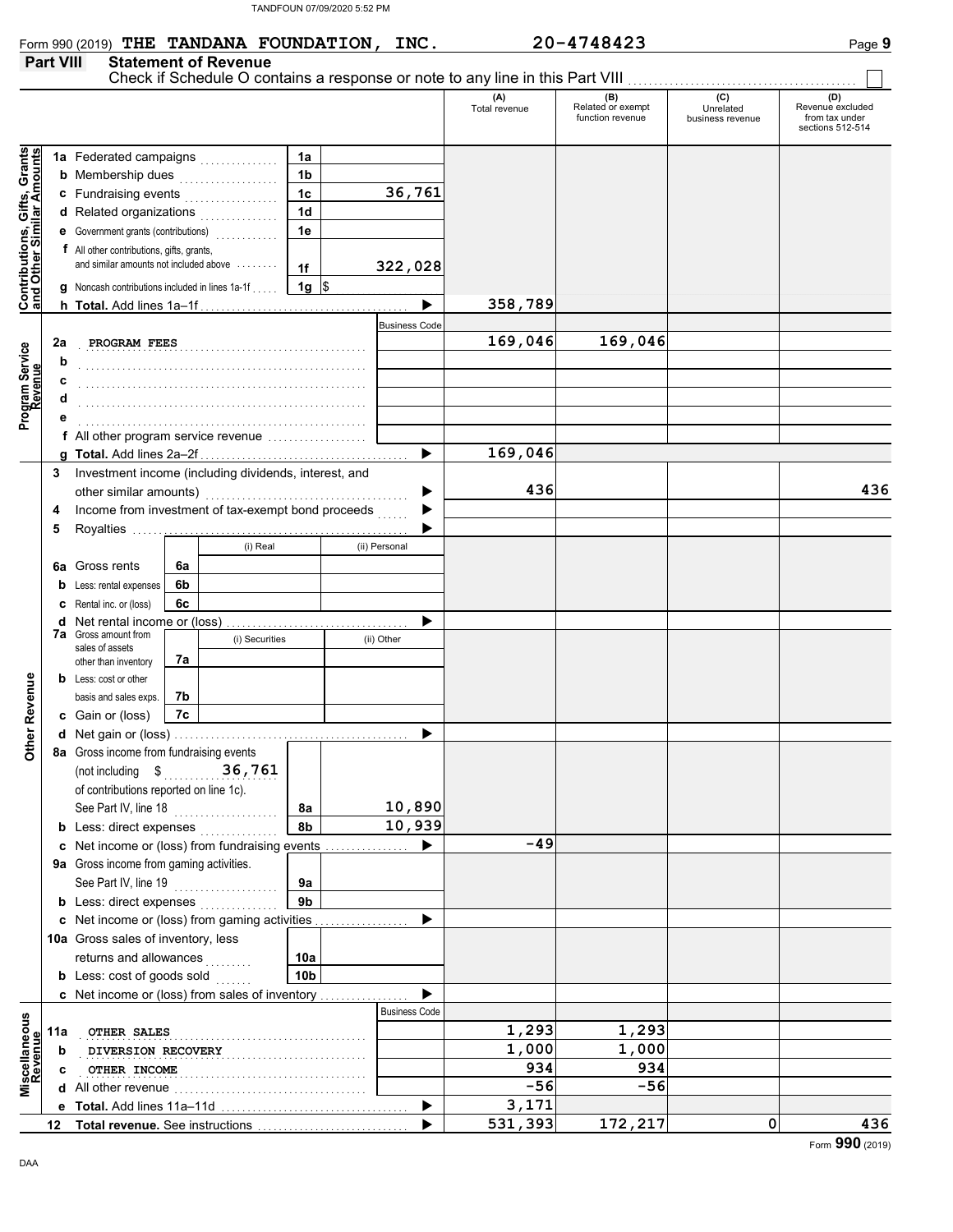|  | Form 990 (2019) THE TANDANA FOUNDATION, INC |  |
|--|---------------------------------------------|--|

**THE TANDANA FOUNDATION, INC. 20-4748423**

|                                                                  |           | Form 990 (2019) THE TANDANA FOUNDATION,                                             |    |                             |                | INC.                  |                      | 20-4748423                                                                                                                                                                      |                                                 | Page 9                                                        |
|------------------------------------------------------------------|-----------|-------------------------------------------------------------------------------------|----|-----------------------------|----------------|-----------------------|----------------------|---------------------------------------------------------------------------------------------------------------------------------------------------------------------------------|-------------------------------------------------|---------------------------------------------------------------|
|                                                                  | Part VIII |                                                                                     |    | <b>Statement of Revenue</b> |                |                       |                      | Check if Schedule O contains a response or note to any line in this Part VIII [11] [11] [11] [11] Check if Schedule O contains a response or note to any line in this Part VIII |                                                 |                                                               |
|                                                                  |           |                                                                                     |    |                             |                |                       | (A)<br>Total revenue | (B)<br>Related or exempt<br>function revenue                                                                                                                                    | $\overline{C}$<br>Unrelated<br>business revenue | (D)<br>Revenue excluded<br>from tax under<br>sections 512-514 |
|                                                                  |           | 1a Federated campaigns                                                              |    |                             | 1a             |                       |                      |                                                                                                                                                                                 |                                                 |                                                               |
|                                                                  |           | <b>b</b> Membership dues <b>contained b</b>                                         |    |                             | 1 <sub>b</sub> |                       |                      |                                                                                                                                                                                 |                                                 |                                                               |
|                                                                  |           | c Fundraising events                                                                |    |                             | 1c             | 36,761                |                      |                                                                                                                                                                                 |                                                 |                                                               |
|                                                                  |           | d Related organizations                                                             |    |                             | 1 <sub>d</sub> |                       |                      |                                                                                                                                                                                 |                                                 |                                                               |
|                                                                  |           | e Government grants (contributions)<br>                                             |    |                             | 1e             |                       |                      |                                                                                                                                                                                 |                                                 |                                                               |
| <b>Contributions, Gifts, Grants</b><br>and Other Similar Amounts |           | f All other contributions, gifts, grants,<br>and similar amounts not included above |    |                             | 1f             | 322,028               |                      |                                                                                                                                                                                 |                                                 |                                                               |
|                                                                  |           | $\alpha$ Noncash contributions included in lines 1a-1f                              |    |                             | $1q \quad$     |                       |                      |                                                                                                                                                                                 |                                                 |                                                               |
|                                                                  |           |                                                                                     |    |                             |                | $\blacktriangleright$ | 358,789              |                                                                                                                                                                                 |                                                 |                                                               |
|                                                                  |           |                                                                                     |    |                             |                | <b>Business Code</b>  |                      |                                                                                                                                                                                 |                                                 |                                                               |
|                                                                  | 2a        | PROGRAM FEES                                                                        |    |                             |                |                       | 169,046              | 169,046                                                                                                                                                                         |                                                 |                                                               |
| Program Service<br>Revenue                                       | b         |                                                                                     |    |                             |                |                       |                      |                                                                                                                                                                                 |                                                 |                                                               |
|                                                                  | c         |                                                                                     |    |                             |                |                       |                      |                                                                                                                                                                                 |                                                 |                                                               |
|                                                                  | d         |                                                                                     |    |                             |                |                       |                      |                                                                                                                                                                                 |                                                 |                                                               |
|                                                                  | е         |                                                                                     |    |                             |                |                       |                      |                                                                                                                                                                                 |                                                 |                                                               |
|                                                                  |           | f All other program service revenue                                                 |    |                             |                | ▶                     | 169,046              |                                                                                                                                                                                 |                                                 |                                                               |
|                                                                  | 3         | Investment income (including dividends, interest, and                               |    |                             |                |                       |                      |                                                                                                                                                                                 |                                                 |                                                               |
|                                                                  |           |                                                                                     |    |                             |                | ▶                     | 436                  |                                                                                                                                                                                 |                                                 | 436                                                           |
|                                                                  | 4         | Income from investment of tax-exempt bond proceeds                                  |    |                             |                | ▶                     |                      |                                                                                                                                                                                 |                                                 |                                                               |
|                                                                  | 5         |                                                                                     |    |                             |                |                       |                      |                                                                                                                                                                                 |                                                 |                                                               |
|                                                                  |           |                                                                                     |    | (i) Real                    |                | (ii) Personal         |                      |                                                                                                                                                                                 |                                                 |                                                               |
|                                                                  |           | 6a Gross rents                                                                      | 6a |                             |                |                       |                      |                                                                                                                                                                                 |                                                 |                                                               |
|                                                                  | b         | Less: rental expenses                                                               | 6b |                             |                |                       |                      |                                                                                                                                                                                 |                                                 |                                                               |
|                                                                  |           | <b>c</b> Rental inc. or (loss)                                                      | 6c |                             |                |                       |                      |                                                                                                                                                                                 |                                                 |                                                               |
|                                                                  |           | <b>d</b> Net rental income or (loss)<br><b>7a</b> Gross amount from                 |    |                             |                | ▶                     |                      |                                                                                                                                                                                 |                                                 |                                                               |
|                                                                  |           | sales of assets                                                                     |    | (i) Securities              |                | (ii) Other            |                      |                                                                                                                                                                                 |                                                 |                                                               |
|                                                                  |           | other than inventory                                                                | 7а |                             |                |                       |                      |                                                                                                                                                                                 |                                                 |                                                               |
| Revenue                                                          |           | <b>b</b> Less: cost or other                                                        |    |                             |                |                       |                      |                                                                                                                                                                                 |                                                 |                                                               |
|                                                                  |           | basis and sales exps.                                                               | 7b |                             |                |                       |                      |                                                                                                                                                                                 |                                                 |                                                               |
| ā                                                                |           | c Gain or (loss)                                                                    | 7c |                             |                |                       |                      |                                                                                                                                                                                 |                                                 |                                                               |
| $\check{\epsilon}$                                               |           | d Net gain or (loss)<br>8a Gross income from fundraising events                     |    |                             |                |                       |                      |                                                                                                                                                                                 |                                                 |                                                               |
|                                                                  |           | (not including \$                                                                   |    | 36,761                      |                |                       |                      |                                                                                                                                                                                 |                                                 |                                                               |
|                                                                  |           | of contributions reported on line 1c).                                              |    |                             |                |                       |                      |                                                                                                                                                                                 |                                                 |                                                               |
|                                                                  |           | See Part IV, line 18                                                                |    |                             | 8а             | 10,890                |                      |                                                                                                                                                                                 |                                                 |                                                               |
|                                                                  |           | <b>b</b> Less: direct expenses                                                      |    |                             | 8b             | 10,939                |                      |                                                                                                                                                                                 |                                                 |                                                               |
|                                                                  |           | c Net income or (loss) from fundraising events                                      |    |                             |                | ▶                     | $-49$                |                                                                                                                                                                                 |                                                 |                                                               |
|                                                                  |           | 9a Gross income from gaming activities.                                             |    |                             |                |                       |                      |                                                                                                                                                                                 |                                                 |                                                               |
|                                                                  |           | See Part IV, line 19                                                                |    | .                           | 9а             |                       |                      |                                                                                                                                                                                 |                                                 |                                                               |
|                                                                  |           | <b>b</b> Less: direct expenses                                                      |    |                             | 9 <sub>b</sub> |                       |                      |                                                                                                                                                                                 |                                                 |                                                               |
|                                                                  |           | c Net income or (loss) from gaming activities                                       |    |                             |                | ▶                     |                      |                                                                                                                                                                                 |                                                 |                                                               |
|                                                                  |           | 10a Gross sales of inventory, less                                                  |    |                             |                |                       |                      |                                                                                                                                                                                 |                                                 |                                                               |
|                                                                  |           | returns and allowances<br><b>b</b> Less: cost of goods sold                         |    |                             | 10a<br>10b     |                       |                      |                                                                                                                                                                                 |                                                 |                                                               |
|                                                                  |           | c Net income or (loss) from sales of inventory                                      |    |                             |                |                       |                      |                                                                                                                                                                                 |                                                 |                                                               |
|                                                                  |           |                                                                                     |    |                             |                | <b>Business Code</b>  |                      |                                                                                                                                                                                 |                                                 |                                                               |
|                                                                  | 11a       | OTHER SALES                                                                         |    |                             |                |                       | 1,293                | 1,293                                                                                                                                                                           |                                                 |                                                               |
|                                                                  | b         | DIVERSION RECOVERY                                                                  |    |                             |                |                       | 1,000                | 1,000                                                                                                                                                                           |                                                 |                                                               |
|                                                                  | с         | OTHER INCOME                                                                        |    |                             |                |                       | 934                  | 934                                                                                                                                                                             |                                                 |                                                               |
| Miscellaneous<br>Revenue                                         |           |                                                                                     |    |                             |                |                       | $-56$                | $-56$                                                                                                                                                                           |                                                 |                                                               |
|                                                                  |           |                                                                                     |    |                             |                | ▶                     | 3,171                |                                                                                                                                                                                 |                                                 |                                                               |
|                                                                  | 12        |                                                                                     |    |                             |                |                       | 531,393              | 172,217                                                                                                                                                                         | 0                                               | 436                                                           |

Form **990** (2019)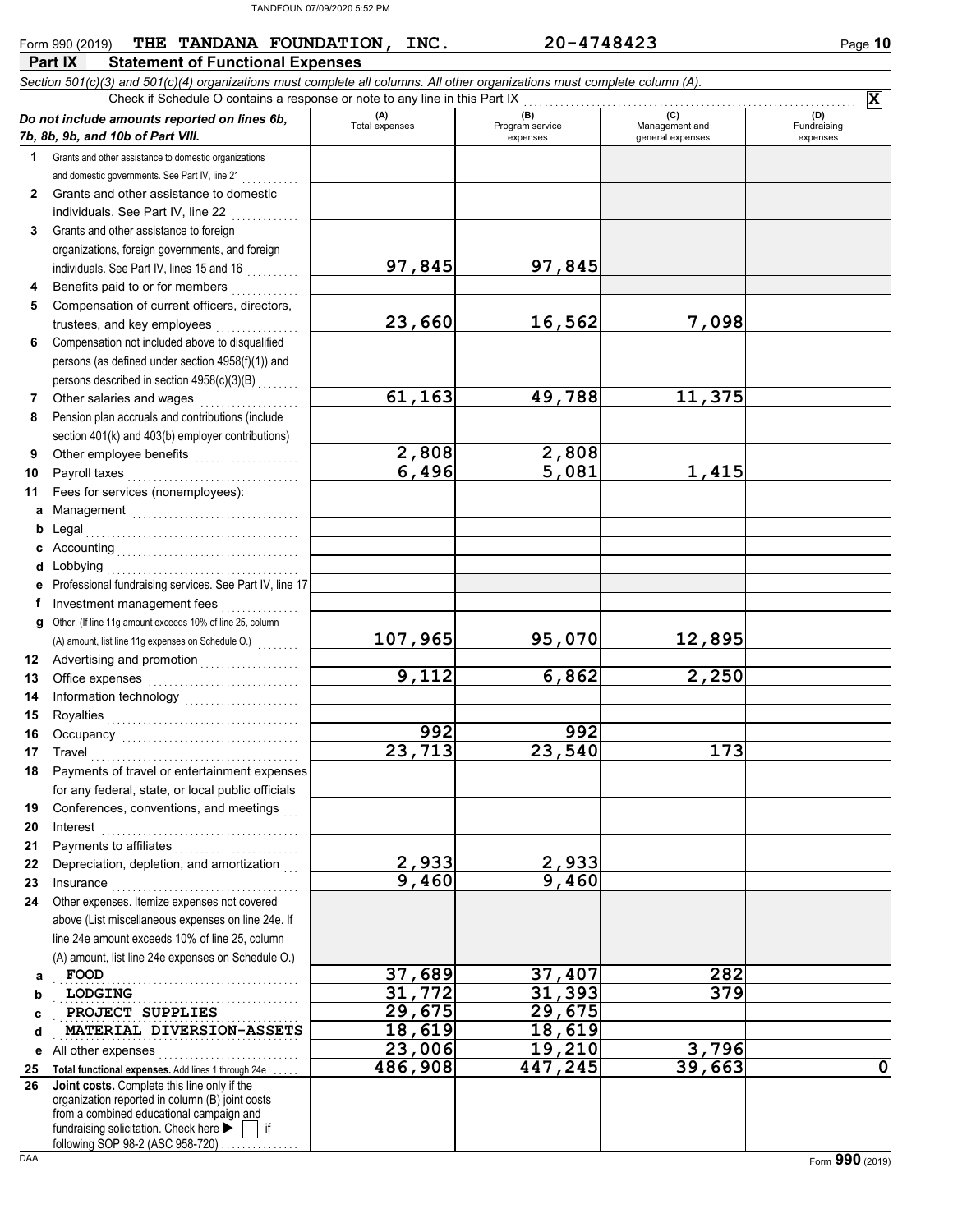|              | Part IX<br><b>Statement of Functional Expenses</b>                                                                                                                                                                                                                                                                                                                                                       |                       |                                    |                                           |                                |
|--------------|----------------------------------------------------------------------------------------------------------------------------------------------------------------------------------------------------------------------------------------------------------------------------------------------------------------------------------------------------------------------------------------------------------|-----------------------|------------------------------------|-------------------------------------------|--------------------------------|
|              | Section 501(c)(3) and 501(c)(4) organizations must complete all columns. All other organizations must complete column (A).                                                                                                                                                                                                                                                                               |                       |                                    |                                           |                                |
|              | Check if Schedule O contains a response or note to any line in this Part IX                                                                                                                                                                                                                                                                                                                              |                       |                                    |                                           | $\overline{\mathbf{x}}$        |
|              | Do not include amounts reported on lines 6b,<br>7b, 8b, 9b, and 10b of Part VIII.                                                                                                                                                                                                                                                                                                                        | (A)<br>Total expenses | (B)<br>Program service<br>expenses | (C)<br>Management and<br>general expenses | (D)<br>Fundraising<br>expenses |
| 1            | Grants and other assistance to domestic organizations                                                                                                                                                                                                                                                                                                                                                    |                       |                                    |                                           |                                |
|              | and domestic governments. See Part IV, line 21                                                                                                                                                                                                                                                                                                                                                           |                       |                                    |                                           |                                |
| $\mathbf{2}$ | Grants and other assistance to domestic                                                                                                                                                                                                                                                                                                                                                                  |                       |                                    |                                           |                                |
|              | individuals. See Part IV, line 22                                                                                                                                                                                                                                                                                                                                                                        |                       |                                    |                                           |                                |
| 3            | Grants and other assistance to foreign                                                                                                                                                                                                                                                                                                                                                                   |                       |                                    |                                           |                                |
|              | organizations, foreign governments, and foreign                                                                                                                                                                                                                                                                                                                                                          |                       |                                    |                                           |                                |
|              | individuals. See Part IV, lines 15 and 16                                                                                                                                                                                                                                                                                                                                                                | 97,845                | 97,845                             |                                           |                                |
| 4            | Benefits paid to or for members                                                                                                                                                                                                                                                                                                                                                                          |                       |                                    |                                           |                                |
| 5            | Compensation of current officers, directors,                                                                                                                                                                                                                                                                                                                                                             |                       |                                    |                                           |                                |
|              | trustees, and key employees                                                                                                                                                                                                                                                                                                                                                                              | 23,660                | 16,562                             | 7,098                                     |                                |
| 6            | Compensation not included above to disqualified                                                                                                                                                                                                                                                                                                                                                          |                       |                                    |                                           |                                |
|              | persons (as defined under section 4958(f)(1)) and                                                                                                                                                                                                                                                                                                                                                        |                       |                                    |                                           |                                |
|              | persons described in section 4958(c)(3)(B)                                                                                                                                                                                                                                                                                                                                                               |                       |                                    |                                           |                                |
| 7            | Other salaries and wages                                                                                                                                                                                                                                                                                                                                                                                 | 61,163                | 49,788                             | 11,375                                    |                                |
| 8            | Pension plan accruals and contributions (include                                                                                                                                                                                                                                                                                                                                                         |                       |                                    |                                           |                                |
|              | section 401(k) and 403(b) employer contributions)                                                                                                                                                                                                                                                                                                                                                        |                       |                                    |                                           |                                |
| 9            | Other employee benefits                                                                                                                                                                                                                                                                                                                                                                                  | 2,808                 | 2,808                              |                                           |                                |
| 10           | Payroll taxes                                                                                                                                                                                                                                                                                                                                                                                            | 6,496                 | $\frac{1}{5,081}$                  | 1,415                                     |                                |
| 11           | Fees for services (nonemployees):                                                                                                                                                                                                                                                                                                                                                                        |                       |                                    |                                           |                                |
| a            | Management                                                                                                                                                                                                                                                                                                                                                                                               |                       |                                    |                                           |                                |
| b            | Legal                                                                                                                                                                                                                                                                                                                                                                                                    |                       |                                    |                                           |                                |
| c            |                                                                                                                                                                                                                                                                                                                                                                                                          |                       |                                    |                                           |                                |
| d            | Lobbying                                                                                                                                                                                                                                                                                                                                                                                                 |                       |                                    |                                           |                                |
| е            | Professional fundraising services. See Part IV, line 17                                                                                                                                                                                                                                                                                                                                                  |                       |                                    |                                           |                                |
| f            | Investment management fees                                                                                                                                                                                                                                                                                                                                                                               |                       |                                    |                                           |                                |
| g            | Other. (If line 11g amount exceeds 10% of line 25, column                                                                                                                                                                                                                                                                                                                                                |                       |                                    |                                           |                                |
|              |                                                                                                                                                                                                                                                                                                                                                                                                          | 107,965               | 95,070                             | 12,895                                    |                                |
| 12           | Advertising and promotion                                                                                                                                                                                                                                                                                                                                                                                |                       |                                    |                                           |                                |
| 13           |                                                                                                                                                                                                                                                                                                                                                                                                          | 9,112                 | 6,862                              | 2,250                                     |                                |
| 14           |                                                                                                                                                                                                                                                                                                                                                                                                          |                       |                                    |                                           |                                |
| 15           | Royalties                                                                                                                                                                                                                                                                                                                                                                                                |                       |                                    |                                           |                                |
| 16           |                                                                                                                                                                                                                                                                                                                                                                                                          | 992                   | 992                                |                                           |                                |
| 17           | Travel                                                                                                                                                                                                                                                                                                                                                                                                   | 23,713                | 23,540                             | 173                                       |                                |
| 18           | Payments of travel or entertainment expenses                                                                                                                                                                                                                                                                                                                                                             |                       |                                    |                                           |                                |
|              | for any federal, state, or local public officials                                                                                                                                                                                                                                                                                                                                                        |                       |                                    |                                           |                                |
| 19           | Conferences, conventions, and meetings                                                                                                                                                                                                                                                                                                                                                                   |                       |                                    |                                           |                                |
| 20           | $\textbf{Interest} \hspace{1.5cm} \textbf{1} \hspace{1.5cm} \textbf{1} \hspace{1.5cm} \textbf{2} \hspace{1.5cm} \textbf{3} \hspace{1.5cm} \textbf{4} \hspace{1.5cm} \textbf{5} \hspace{1.5cm} \textbf{6} \hspace{1.5cm} \textbf{6} \hspace{1.5cm} \textbf{6} \hspace{1.5cm} \textbf{7} \hspace{1.5cm} \textbf{8} \hspace{1.5cm} \textbf{9} \hspace{1.5cm} \textbf{1} \hspace{1.5cm} \textbf{1} \hspace{$ |                       |                                    |                                           |                                |
| 21           | Payments to affiliates                                                                                                                                                                                                                                                                                                                                                                                   |                       |                                    |                                           |                                |
| 22           | Depreciation, depletion, and amortization                                                                                                                                                                                                                                                                                                                                                                | 2,933                 | 2,933                              |                                           |                                |
| 23           |                                                                                                                                                                                                                                                                                                                                                                                                          | 9,460                 | 9,460                              |                                           |                                |
| 24           | Other expenses. Itemize expenses not covered                                                                                                                                                                                                                                                                                                                                                             |                       |                                    |                                           |                                |
|              | above (List miscellaneous expenses on line 24e. If                                                                                                                                                                                                                                                                                                                                                       |                       |                                    |                                           |                                |
|              | line 24e amount exceeds 10% of line 25, column                                                                                                                                                                                                                                                                                                                                                           |                       |                                    |                                           |                                |
|              | (A) amount, list line 24e expenses on Schedule O.)                                                                                                                                                                                                                                                                                                                                                       |                       |                                    |                                           |                                |
| а            | <b>FOOD</b>                                                                                                                                                                                                                                                                                                                                                                                              | 37,689                | 37,407                             | 282                                       |                                |
| b            | <b>LODGING</b>                                                                                                                                                                                                                                                                                                                                                                                           | 31,772                | 31,393                             | 379                                       |                                |
| c            | PROJECT SUPPLIES                                                                                                                                                                                                                                                                                                                                                                                         | 29,675                | 29,675                             |                                           |                                |
| d            | MATERIAL DIVERSION-ASSETS                                                                                                                                                                                                                                                                                                                                                                                | 18,619                | 18,619                             |                                           |                                |
| е            | All other expenses                                                                                                                                                                                                                                                                                                                                                                                       | 23,006                | 19,210                             | 3,796                                     |                                |
| 25           | Total functional expenses. Add lines 1 through 24e                                                                                                                                                                                                                                                                                                                                                       | 486,908               | 447,245                            | 39,663                                    | $\mathbf 0$                    |
| 26           | Joint costs. Complete this line only if the<br>organization reported in column (B) joint costs<br>from a combined educational campaign and<br>fundraising solicitation. Check here ><br>if<br>following SOP 98-2 (ASC 958-720)                                                                                                                                                                           |                       |                                    |                                           |                                |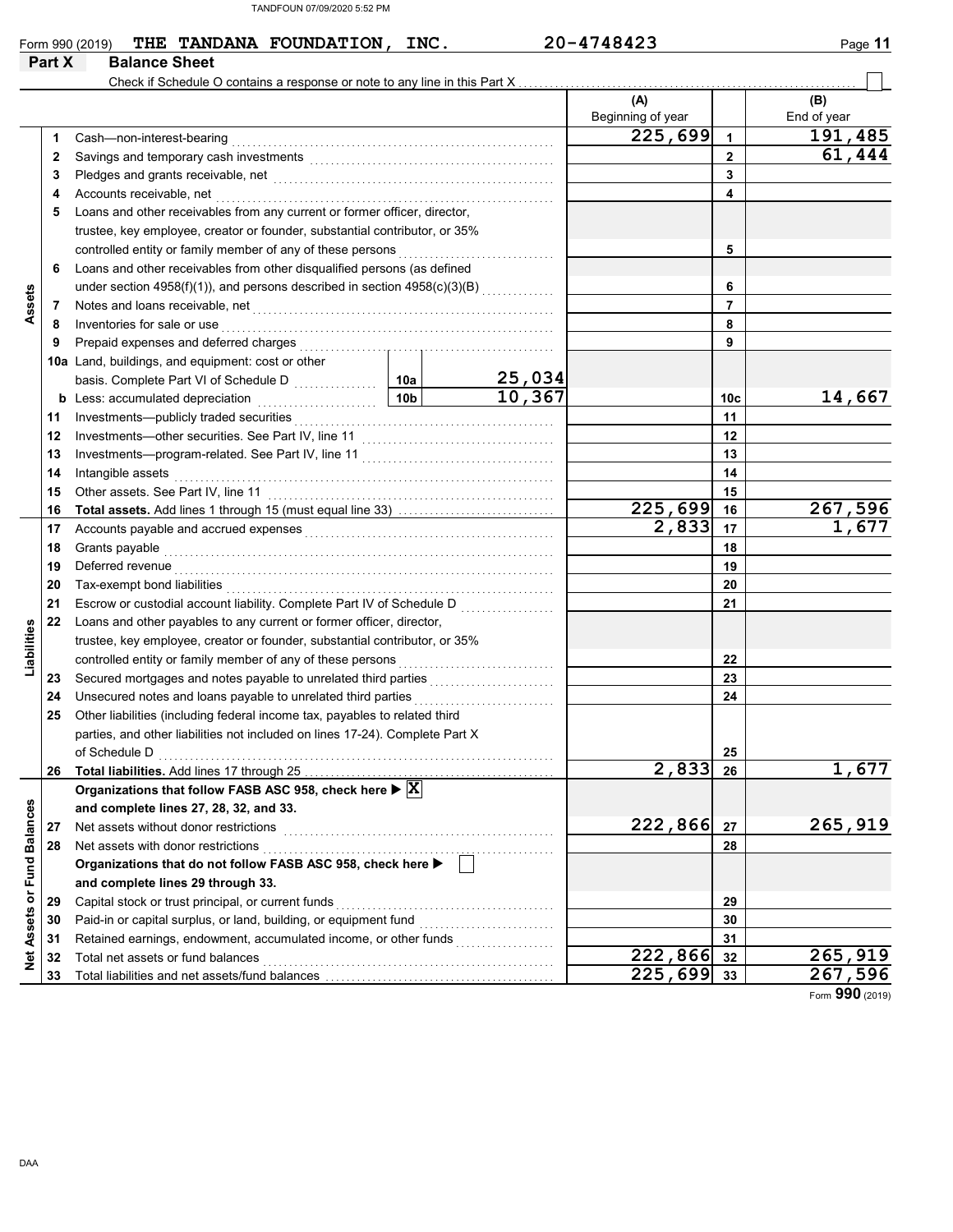# Form 990 (2019) THE TANDANA FOUNDATION, INC. 20-4748423 Page 11 **Part X** Balance Sheet Check if Schedule O contains a response or note to any line in this Part X **(A) (B)**  $\overline{a}$

|                            |    |                                                                                          |                 |        | Beginning of year |                 | End of year      |
|----------------------------|----|------------------------------------------------------------------------------------------|-----------------|--------|-------------------|-----------------|------------------|
|                            | 1  | Cash-non-interest-bearing                                                                |                 |        | 225,699           | 1               | 191,485          |
|                            | 2  |                                                                                          |                 |        |                   | $\overline{2}$  | 61,444           |
|                            | 3  |                                                                                          |                 |        | 3                 |                 |                  |
|                            | 4  | Accounts receivable, net                                                                 |                 |        | 4                 |                 |                  |
|                            | 5  | Loans and other receivables from any current or former officer, director,                |                 |        |                   |                 |                  |
|                            |    | trustee, key employee, creator or founder, substantial contributor, or 35%               |                 |        |                   |                 |                  |
|                            |    | controlled entity or family member of any of these persons                               |                 |        | 5                 |                 |                  |
|                            | 6  | Loans and other receivables from other disqualified persons (as defined                  |                 |        |                   |                 |                  |
|                            |    | under section 4958(f)(1)), and persons described in section 4958(c)(3)(B)                |                 |        |                   | 6               |                  |
| Assets                     | 7  | Notes and loans receivable, net                                                          |                 |        |                   | $\overline{7}$  |                  |
|                            | 8  | Inventories for sale or use                                                              |                 |        |                   | 8               |                  |
|                            | 9  | Prepaid expenses and deferred charges                                                    |                 |        |                   | 9               |                  |
|                            |    | 10a Land, buildings, and equipment: cost or other                                        |                 |        |                   |                 |                  |
|                            |    |                                                                                          |                 | 25,034 |                   |                 |                  |
|                            | b  | Less: accumulated depreciation                                                           | 10 <sub>b</sub> | 10,367 |                   | 10 <sub>c</sub> | 14,667           |
|                            | 11 |                                                                                          |                 |        |                   | 11              |                  |
|                            | 12 |                                                                                          |                 |        |                   | 12              |                  |
|                            |    |                                                                                          |                 |        |                   | 13              |                  |
|                            | 13 | Intangible assets                                                                        |                 |        |                   | 14              |                  |
|                            | 14 |                                                                                          |                 |        |                   |                 |                  |
|                            | 15 |                                                                                          |                 |        | 225,699           | 15              |                  |
|                            | 16 |                                                                                          |                 |        | 2,833             | 16              | 267,596<br>1,677 |
|                            | 17 |                                                                                          |                 |        |                   | 17              |                  |
|                            | 18 | Grants payable                                                                           |                 |        | 18                |                 |                  |
|                            | 19 | Deferred revenue                                                                         |                 |        | 19                |                 |                  |
|                            | 20 | Tax-exempt bond liabilities                                                              |                 |        | 20                |                 |                  |
|                            | 21 | Escrow or custodial account liability. Complete Part IV of Schedule D                    |                 | .      |                   | 21              |                  |
|                            | 22 | Loans and other payables to any current or former officer, director,                     |                 |        |                   |                 |                  |
| Liabilities                |    | trustee, key employee, creator or founder, substantial contributor, or 35%               |                 |        |                   |                 |                  |
|                            |    | controlled entity or family member of any of these persons                               |                 |        |                   | 22              |                  |
|                            | 23 | Secured mortgages and notes payable to unrelated third parties                           |                 |        |                   | 23              |                  |
|                            | 24 | Unsecured notes and loans payable to unrelated third parties                             |                 | .      |                   | 24              |                  |
|                            | 25 | Other liabilities (including federal income tax, payables to related third               |                 |        |                   |                 |                  |
|                            |    | parties, and other liabilities not included on lines 17-24). Complete Part X             |                 |        |                   |                 |                  |
|                            |    | of Schedule D                                                                            |                 |        |                   | 25              |                  |
|                            | 26 | Total liabilities. Add lines 17 through 25                                               |                 |        | 2,833             | 26              | 1,677            |
| U)                         |    | Organizations that follow FASB ASC 958, check here $\blacktriangleright$ $\vert X \vert$ |                 |        |                   |                 |                  |
|                            |    | and complete lines 27, 28, 32, and 33.                                                   |                 |        |                   |                 |                  |
|                            | 27 | Net assets without donor restrictions                                                    |                 |        | 222,866           | 27              | 265,919          |
|                            | 28 | Net assets with donor restrictions                                                       |                 |        |                   | 28              |                  |
|                            |    | Organizations that do not follow FASB ASC 958, check here ▶                              |                 |        |                   |                 |                  |
|                            |    | and complete lines 29 through 33.                                                        |                 |        |                   |                 |                  |
|                            | 29 | Capital stock or trust principal, or current funds                                       |                 |        |                   | 29              |                  |
| Net Assets or Fund Balance | 30 | Paid-in or capital surplus, or land, building, or equipment fund                         |                 |        |                   | 30              |                  |
|                            | 31 | Retained earnings, endowment, accumulated income, or other funds                         |                 |        |                   | 31              |                  |
|                            | 32 | Total net assets or fund balances                                                        |                 |        | 222,866           | 32              | 265,919          |
| 33                         |    |                                                                                          |                 |        | 225,699           | 33              | 267,596          |

Form **990** (2019)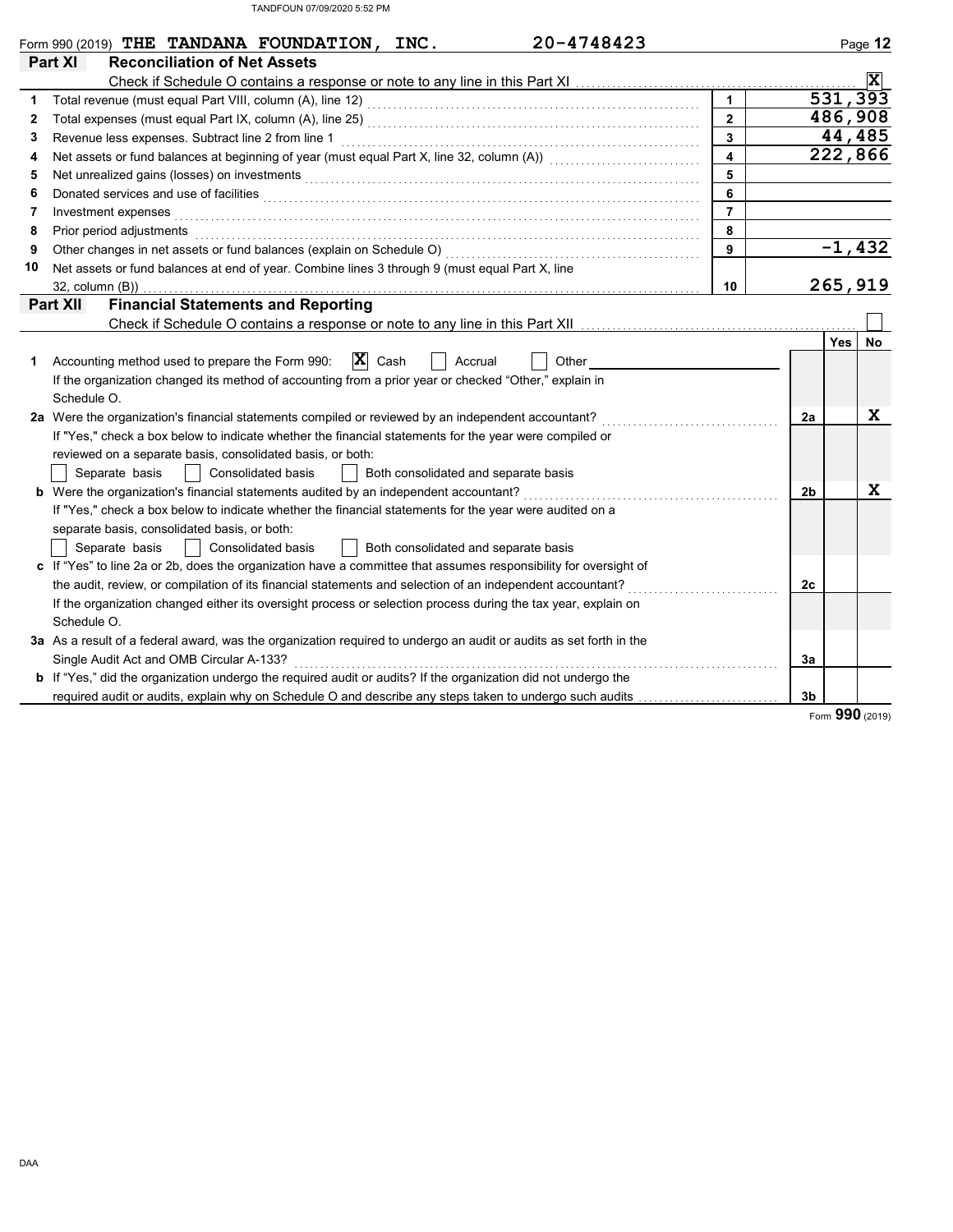|    | 20-4748423<br>Form 990 (2019) THE TANDANA FOUNDATION, INC.                                                         |                         |                | Page 12         |
|----|--------------------------------------------------------------------------------------------------------------------|-------------------------|----------------|-----------------|
|    | Part XI<br><b>Reconciliation of Net Assets</b>                                                                     |                         |                |                 |
|    |                                                                                                                    |                         |                | X               |
| 1  |                                                                                                                    | 1                       |                | 531, 393        |
| 2  |                                                                                                                    | $\overline{2}$          |                | 486,908         |
| 3  | Revenue less expenses. Subtract line 2 from line 1                                                                 | 3                       |                | 44,485          |
| 4  |                                                                                                                    | $\overline{\mathbf{4}}$ |                | 222,866         |
| 5  | Net unrealized gains (losses) on investments [[11] Martin Martin Martin Martin Martin Martin Martin Martin Mar     | 5                       |                |                 |
| 6  |                                                                                                                    | 6                       |                |                 |
| 7  | Investment expenses                                                                                                | $\overline{7}$          |                |                 |
| 8  | Prior period adjustments                                                                                           | 8                       |                |                 |
| 9  |                                                                                                                    | 9                       |                | $-1,432$        |
| 10 | Net assets or fund balances at end of year. Combine lines 3 through 9 (must equal Part X, line                     |                         |                |                 |
|    | 32, column (B))                                                                                                    | 10                      |                | 265,919         |
|    | <b>Financial Statements and Reporting</b><br>Part XII                                                              |                         |                |                 |
|    | Check if Schedule O contains a response or note to any line in this Part XII                                       |                         |                |                 |
|    |                                                                                                                    |                         |                | Yes I<br>No.    |
| 1. | $ X $ Cash<br>Accounting method used to prepare the Form 990:<br>Accrual<br>Other                                  |                         |                |                 |
|    | If the organization changed its method of accounting from a prior year or checked "Other," explain in              |                         |                |                 |
|    | Schedule O.                                                                                                        |                         |                |                 |
|    | 2a Were the organization's financial statements compiled or reviewed by an independent accountant?                 |                         | 2a             | X               |
|    | If "Yes," check a box below to indicate whether the financial statements for the year were compiled or             |                         |                |                 |
|    | reviewed on a separate basis, consolidated basis, or both:                                                         |                         |                |                 |
|    | Separate basis<br>Consolidated basis<br>Both consolidated and separate basis                                       |                         |                |                 |
|    | <b>b</b> Were the organization's financial statements audited by an independent accountant?                        |                         | 2 <sub>b</sub> | $\mathbf x$     |
|    | If "Yes," check a box below to indicate whether the financial statements for the year were audited on a            |                         |                |                 |
|    | separate basis, consolidated basis, or both:                                                                       |                         |                |                 |
|    | Separate basis<br>Consolidated basis<br>Both consolidated and separate basis                                       |                         |                |                 |
|    | c If "Yes" to line 2a or 2b, does the organization have a committee that assumes responsibility for oversight of   |                         |                |                 |
|    | the audit, review, or compilation of its financial statements and selection of an independent accountant?          |                         | 2c             |                 |
|    | If the organization changed either its oversight process or selection process during the tax year, explain on      |                         |                |                 |
|    | Schedule O.                                                                                                        |                         |                |                 |
|    | 3a As a result of a federal award, was the organization required to undergo an audit or audits as set forth in the |                         |                |                 |
|    | Single Audit Act and OMB Circular A-133?                                                                           |                         | За             |                 |
|    | b If "Yes," did the organization undergo the required audit or audits? If the organization did not undergo the     |                         |                |                 |
|    | required audit or audits, explain why on Schedule O and describe any steps taken to undergo such audits            |                         | 3b             |                 |
|    |                                                                                                                    |                         |                | Form 990 (2019) |

DAA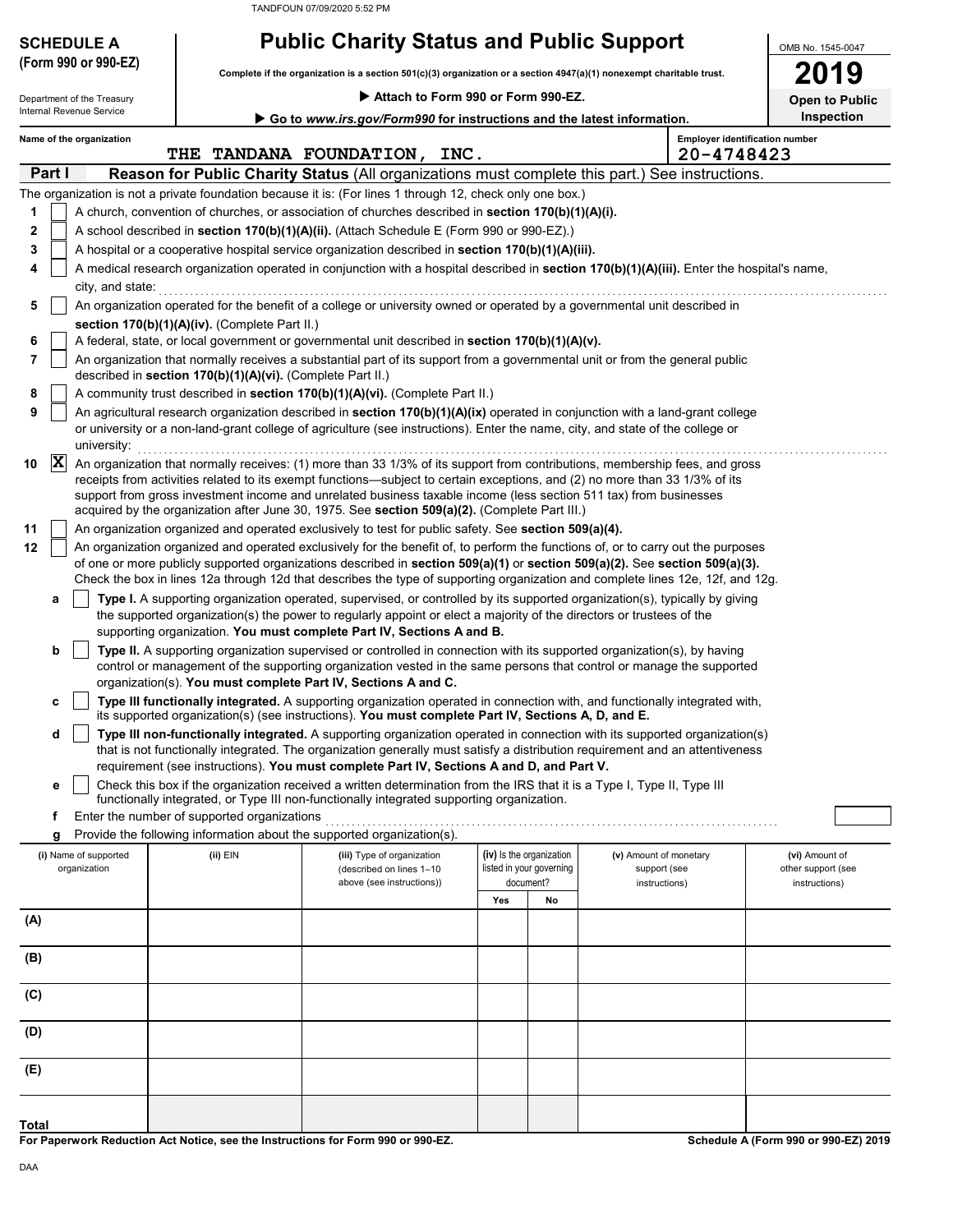| <b>Public Charity Status and Public Support</b><br><b>SCHEDULE A</b><br>OMB No. 1545-0047                          |                                                            |                                                                                                                                                                                               |                          |                                                                                                                                                                                                                                                                 |                    |  |  |
|--------------------------------------------------------------------------------------------------------------------|------------------------------------------------------------|-----------------------------------------------------------------------------------------------------------------------------------------------------------------------------------------------|--------------------------|-----------------------------------------------------------------------------------------------------------------------------------------------------------------------------------------------------------------------------------------------------------------|--------------------|--|--|
| (Form 990 or 990-EZ)                                                                                               |                                                            | Complete if the organization is a section 501(c)(3) organization or a section 4947(a)(1) nonexempt charitable trust.                                                                          |                          |                                                                                                                                                                                                                                                                 |                    |  |  |
| ▶ Attach to Form 990 or Form 990-EZ.<br>Department of the Treasury<br><b>Open to Public</b>                        |                                                            |                                                                                                                                                                                               |                          |                                                                                                                                                                                                                                                                 |                    |  |  |
| Internal Revenue Service<br>Inspection<br>Go to www.irs.gov/Form990 for instructions and the latest information.   |                                                            |                                                                                                                                                                                               |                          |                                                                                                                                                                                                                                                                 |                    |  |  |
| <b>Employer identification number</b><br>Name of the organization<br>TANDANA FOUNDATION, INC.<br>20-4748423<br>THE |                                                            |                                                                                                                                                                                               |                          |                                                                                                                                                                                                                                                                 |                    |  |  |
| Part I                                                                                                             |                                                            |                                                                                                                                                                                               |                          | Reason for Public Charity Status (All organizations must complete this part.) See instructions.                                                                                                                                                                 |                    |  |  |
|                                                                                                                    |                                                            | The organization is not a private foundation because it is: (For lines 1 through 12, check only one box.)                                                                                     |                          |                                                                                                                                                                                                                                                                 |                    |  |  |
| 1                                                                                                                  |                                                            | A church, convention of churches, or association of churches described in section 170(b)(1)(A)(i).                                                                                            |                          |                                                                                                                                                                                                                                                                 |                    |  |  |
| $\mathbf 2$                                                                                                        |                                                            | A school described in section 170(b)(1)(A)(ii). (Attach Schedule E (Form 990 or 990-EZ).)                                                                                                     |                          |                                                                                                                                                                                                                                                                 |                    |  |  |
| 3                                                                                                                  |                                                            | A hospital or a cooperative hospital service organization described in section 170(b)(1)(A)(iii).                                                                                             |                          |                                                                                                                                                                                                                                                                 |                    |  |  |
| 4                                                                                                                  |                                                            |                                                                                                                                                                                               |                          | A medical research organization operated in conjunction with a hospital described in section 170(b)(1)(A)(iii). Enter the hospital's name,                                                                                                                      |                    |  |  |
| city, and state:                                                                                                   |                                                            |                                                                                                                                                                                               |                          |                                                                                                                                                                                                                                                                 |                    |  |  |
| 5                                                                                                                  |                                                            | An organization operated for the benefit of a college or university owned or operated by a governmental unit described in                                                                     |                          |                                                                                                                                                                                                                                                                 |                    |  |  |
|                                                                                                                    | section 170(b)(1)(A)(iv). (Complete Part II.)              |                                                                                                                                                                                               |                          |                                                                                                                                                                                                                                                                 |                    |  |  |
| 6                                                                                                                  |                                                            | A federal, state, or local government or governmental unit described in section 170(b)(1)(A)(v).                                                                                              |                          |                                                                                                                                                                                                                                                                 |                    |  |  |
| 7                                                                                                                  | described in section 170(b)(1)(A)(vi). (Complete Part II.) |                                                                                                                                                                                               |                          | An organization that normally receives a substantial part of its support from a governmental unit or from the general public                                                                                                                                    |                    |  |  |
| 8                                                                                                                  |                                                            | A community trust described in section 170(b)(1)(A)(vi). (Complete Part II.)                                                                                                                  |                          |                                                                                                                                                                                                                                                                 |                    |  |  |
| 9                                                                                                                  |                                                            | or university or a non-land-grant college of agriculture (see instructions). Enter the name, city, and state of the college or                                                                |                          | An agricultural research organization described in section 170(b)(1)(A)(ix) operated in conjunction with a land-grant college                                                                                                                                   |                    |  |  |
| university:<br>$\vert$ X<br>10                                                                                     |                                                            |                                                                                                                                                                                               |                          | An organization that normally receives: (1) more than 33 1/3% of its support from contributions, membership fees, and gross                                                                                                                                     |                    |  |  |
|                                                                                                                    |                                                            | receipts from activities related to its exempt functions—subject to certain exceptions, and (2) no more than 33 1/3% of its                                                                   |                          |                                                                                                                                                                                                                                                                 |                    |  |  |
|                                                                                                                    |                                                            | support from gross investment income and unrelated business taxable income (less section 511 tax) from businesses                                                                             |                          |                                                                                                                                                                                                                                                                 |                    |  |  |
|                                                                                                                    |                                                            | acquired by the organization after June 30, 1975. See section 509(a)(2). (Complete Part III.)                                                                                                 |                          |                                                                                                                                                                                                                                                                 |                    |  |  |
| 11                                                                                                                 |                                                            | An organization organized and operated exclusively to test for public safety. See section 509(a)(4).                                                                                          |                          |                                                                                                                                                                                                                                                                 |                    |  |  |
| 12                                                                                                                 |                                                            |                                                                                                                                                                                               |                          | An organization organized and operated exclusively for the benefit of, to perform the functions of, or to carry out the purposes<br>of one or more publicly supported organizations described in section 509(a)(1) or section 509(a)(2). See section 509(a)(3). |                    |  |  |
|                                                                                                                    |                                                            |                                                                                                                                                                                               |                          | Check the box in lines 12a through 12d that describes the type of supporting organization and complete lines 12e, 12f, and 12g.                                                                                                                                 |                    |  |  |
| a                                                                                                                  |                                                            |                                                                                                                                                                                               |                          | Type I. A supporting organization operated, supervised, or controlled by its supported organization(s), typically by giving                                                                                                                                     |                    |  |  |
|                                                                                                                    |                                                            | the supported organization(s) the power to regularly appoint or elect a majority of the directors or trustees of the<br>supporting organization. You must complete Part IV, Sections A and B. |                          |                                                                                                                                                                                                                                                                 |                    |  |  |
| b                                                                                                                  |                                                            | Type II. A supporting organization supervised or controlled in connection with its supported organization(s), by having                                                                       |                          |                                                                                                                                                                                                                                                                 |                    |  |  |
|                                                                                                                    |                                                            |                                                                                                                                                                                               |                          | control or management of the supporting organization vested in the same persons that control or manage the supported                                                                                                                                            |                    |  |  |
|                                                                                                                    |                                                            | organization(s). You must complete Part IV, Sections A and C.                                                                                                                                 |                          |                                                                                                                                                                                                                                                                 |                    |  |  |
| C                                                                                                                  |                                                            | its supported organization(s) (see instructions). You must complete Part IV, Sections A, D, and E.                                                                                            |                          | Type III functionally integrated. A supporting organization operated in connection with, and functionally integrated with,                                                                                                                                      |                    |  |  |
| d                                                                                                                  |                                                            |                                                                                                                                                                                               |                          | Type III non-functionally integrated. A supporting organization operated in connection with its supported organization(s)                                                                                                                                       |                    |  |  |
|                                                                                                                    |                                                            |                                                                                                                                                                                               |                          | that is not functionally integrated. The organization generally must satisfy a distribution requirement and an attentiveness                                                                                                                                    |                    |  |  |
|                                                                                                                    |                                                            | requirement (see instructions). You must complete Part IV, Sections A and D, and Part V.                                                                                                      |                          |                                                                                                                                                                                                                                                                 |                    |  |  |
| е                                                                                                                  |                                                            | Check this box if the organization received a written determination from the IRS that it is a Type I, Type II, Type III                                                                       |                          |                                                                                                                                                                                                                                                                 |                    |  |  |
| f                                                                                                                  | Enter the number of supported organizations                | functionally integrated, or Type III non-functionally integrated supporting organization.                                                                                                     |                          |                                                                                                                                                                                                                                                                 |                    |  |  |
| g                                                                                                                  |                                                            | Provide the following information about the supported organization(s).                                                                                                                        |                          |                                                                                                                                                                                                                                                                 |                    |  |  |
| (i) Name of supported                                                                                              | $(ii)$ EIN                                                 | (iii) Type of organization                                                                                                                                                                    | (iv) Is the organization | (v) Amount of monetary                                                                                                                                                                                                                                          | (vi) Amount of     |  |  |
| organization                                                                                                       |                                                            | (described on lines 1-10                                                                                                                                                                      | listed in your governing | support (see                                                                                                                                                                                                                                                    | other support (see |  |  |
|                                                                                                                    |                                                            | above (see instructions))                                                                                                                                                                     | document?                | instructions)                                                                                                                                                                                                                                                   | instructions)      |  |  |
|                                                                                                                    |                                                            |                                                                                                                                                                                               | Yes<br>No                |                                                                                                                                                                                                                                                                 |                    |  |  |
| (A)                                                                                                                |                                                            |                                                                                                                                                                                               |                          |                                                                                                                                                                                                                                                                 |                    |  |  |
| (B)                                                                                                                |                                                            |                                                                                                                                                                                               |                          |                                                                                                                                                                                                                                                                 |                    |  |  |
|                                                                                                                    |                                                            |                                                                                                                                                                                               |                          |                                                                                                                                                                                                                                                                 |                    |  |  |
| (C)                                                                                                                |                                                            |                                                                                                                                                                                               |                          |                                                                                                                                                                                                                                                                 |                    |  |  |
| (D)                                                                                                                |                                                            |                                                                                                                                                                                               |                          |                                                                                                                                                                                                                                                                 |                    |  |  |
| (E)                                                                                                                |                                                            |                                                                                                                                                                                               |                          |                                                                                                                                                                                                                                                                 |                    |  |  |
|                                                                                                                    |                                                            |                                                                                                                                                                                               |                          |                                                                                                                                                                                                                                                                 |                    |  |  |
|                                                                                                                    |                                                            |                                                                                                                                                                                               |                          |                                                                                                                                                                                                                                                                 |                    |  |  |
| Total                                                                                                              |                                                            |                                                                                                                                                                                               |                          |                                                                                                                                                                                                                                                                 |                    |  |  |

**For Paperwork Reduction Act Notice, see the Instructions for Form 990 or 990-EZ.**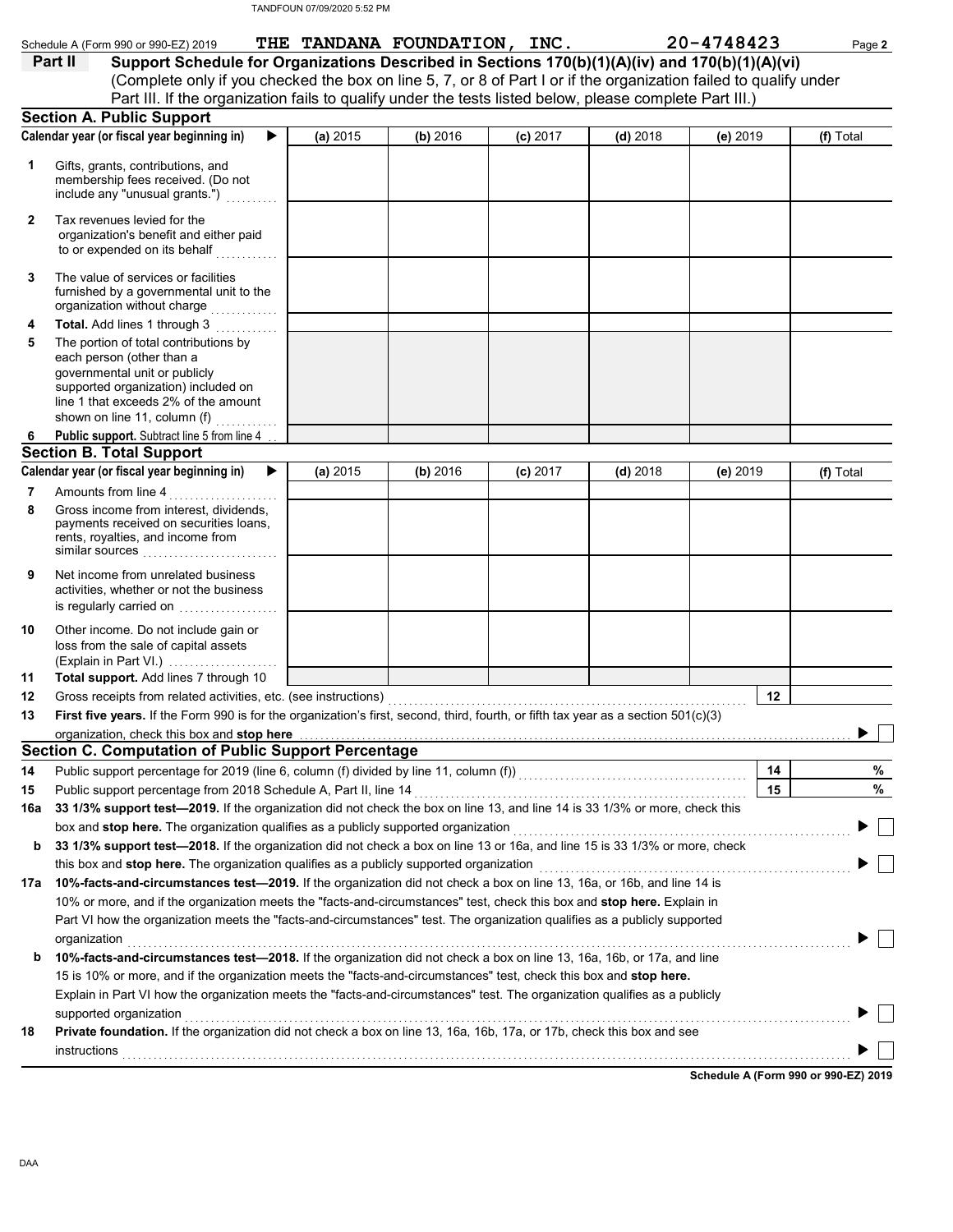|              | Schedule A (Form 990 or 990-EZ) 2019                                                                                                                                                                                        | THE TANDANA FOUNDATION, INC. |          |            |            | 20-4748423 | Page 2    |
|--------------|-----------------------------------------------------------------------------------------------------------------------------------------------------------------------------------------------------------------------------|------------------------------|----------|------------|------------|------------|-----------|
|              | Support Schedule for Organizations Described in Sections 170(b)(1)(A)(iv) and 170(b)(1)(A)(vi)<br>Part II                                                                                                                   |                              |          |            |            |            |           |
|              | (Complete only if you checked the box on line 5, 7, or 8 of Part I or if the organization failed to qualify under                                                                                                           |                              |          |            |            |            |           |
|              | Part III. If the organization fails to qualify under the tests listed below, please complete Part III.)                                                                                                                     |                              |          |            |            |            |           |
|              | <b>Section A. Public Support</b>                                                                                                                                                                                            |                              |          |            |            |            |           |
|              | Calendar year (or fiscal year beginning in)                                                                                                                                                                                 | (a) 2015                     | (b) 2016 | (c) 2017   | $(d)$ 2018 | (e) $2019$ | (f) Total |
| 1            | Gifts, grants, contributions, and<br>membership fees received. (Do not<br>include any "unusual grants.") [1997]                                                                                                             |                              |          |            |            |            |           |
| $\mathbf{2}$ | Tax revenues levied for the<br>organization's benefit and either paid<br>to or expended on its behalf                                                                                                                       |                              |          |            |            |            |           |
| 3            | The value of services or facilities<br>furnished by a governmental unit to the<br>organization without charge                                                                                                               |                              |          |            |            |            |           |
| 4            | Total. Add lines 1 through 3                                                                                                                                                                                                |                              |          |            |            |            |           |
| 5            | The portion of total contributions by<br>each person (other than a<br>governmental unit or publicly<br>supported organization) included on<br>line 1 that exceeds 2% of the amount<br>shown on line 11, column (f) $\ldots$ |                              |          |            |            |            |           |
| 6            | <b>Public support.</b> Subtract line 5 from line 4                                                                                                                                                                          |                              |          |            |            |            |           |
|              | <b>Section B. Total Support</b>                                                                                                                                                                                             |                              |          |            |            |            |           |
|              | Calendar year (or fiscal year beginning in)<br>▶                                                                                                                                                                            | (a) 2015                     | (b) 2016 | $(c)$ 2017 | $(d)$ 2018 | $(e)$ 2019 | (f) Total |
| 7<br>8       | Amounts from line 4<br>Gross income from interest, dividends,<br>payments received on securities loans,<br>rents, royalties, and income from<br>similar sources                                                             |                              |          |            |            |            |           |
| 9            | Net income from unrelated business<br>activities, whether or not the business<br>is regularly carried on                                                                                                                    |                              |          |            |            |            |           |
| 10<br>11     | Other income. Do not include gain or<br>loss from the sale of capital assets<br>(Explain in Part VI.)<br>Total support. Add lines 7 through 10                                                                              |                              |          |            |            |            |           |
| 12           |                                                                                                                                                                                                                             |                              |          |            |            | 12         |           |
| 13           | First five years. If the Form 990 is for the organization's first, second, third, fourth, or fifth tax year as a section 501(c)(3)                                                                                          |                              |          |            |            |            |           |
|              | organization, check this box and stop here                                                                                                                                                                                  |                              |          |            |            |            |           |
|              | Section C. Computation of Public Support Percentage                                                                                                                                                                         |                              |          |            |            |            |           |
| 14           | Public support percentage for 2019 (line 6, column (f) divided by line 11, column (f)) [[[[[[[[[[[[[[[[[[[[[[                                                                                                               |                              |          |            |            | 14         | %         |
| 15           | Public support percentage from 2018 Schedule A, Part II, line 14                                                                                                                                                            |                              |          |            |            | 15         | $\%$      |
| 16a          | 33 1/3% support test-2019. If the organization did not check the box on line 13, and line 14 is 33 1/3% or more, check this                                                                                                 |                              |          |            |            |            |           |
|              | box and stop here. The organization qualifies as a publicly supported organization                                                                                                                                          |                              |          |            |            |            |           |
| b            | 33 1/3% support test-2018. If the organization did not check a box on line 13 or 16a, and line 15 is 33 1/3% or more, check                                                                                                 |                              |          |            |            |            |           |
|              | this box and stop here. The organization qualifies as a publicly supported organization                                                                                                                                     |                              |          |            |            |            |           |
| 17a          | 10%-facts-and-circumstances test-2019. If the organization did not check a box on line 13, 16a, or 16b, and line 14 is                                                                                                      |                              |          |            |            |            |           |
|              | 10% or more, and if the organization meets the "facts-and-circumstances" test, check this box and stop here. Explain in                                                                                                     |                              |          |            |            |            |           |
|              | Part VI how the organization meets the "facts-and-circumstances" test. The organization qualifies as a publicly supported                                                                                                   |                              |          |            |            |            |           |
| b            | organization<br>10%-facts-and-circumstances test-2018. If the organization did not check a box on line 13, 16a, 16b, or 17a, and line                                                                                       |                              |          |            |            |            |           |
|              | 15 is 10% or more, and if the organization meets the "facts-and-circumstances" test, check this box and stop here.                                                                                                          |                              |          |            |            |            |           |
|              | Explain in Part VI how the organization meets the "facts-and-circumstances" test. The organization qualifies as a publicly                                                                                                  |                              |          |            |            |            |           |
|              | supported organization                                                                                                                                                                                                      |                              |          |            |            |            |           |
| 18           | Private foundation. If the organization did not check a box on line 13, 16a, 16b, 17a, or 17b, check this box and see<br>instructions                                                                                       |                              |          |            |            |            |           |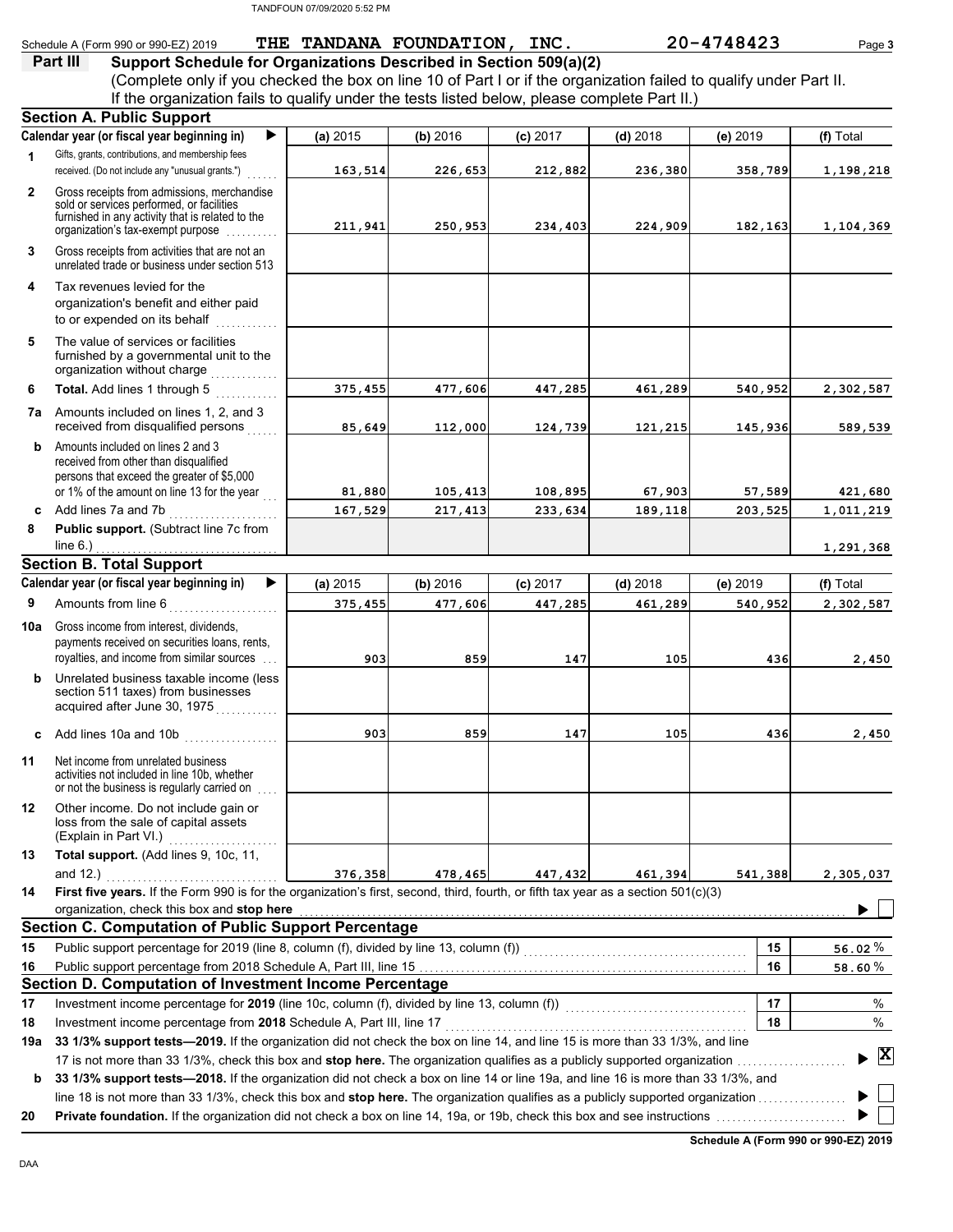|              | Schedule A (Form 990 or 990-EZ) 2019                                                                                                                                                            |          | THE TANDANA FOUNDATION, INC. |            |            | 20-4748423 | Page 3                                          |
|--------------|-------------------------------------------------------------------------------------------------------------------------------------------------------------------------------------------------|----------|------------------------------|------------|------------|------------|-------------------------------------------------|
|              | Support Schedule for Organizations Described in Section 509(a)(2)<br>Part III                                                                                                                   |          |                              |            |            |            |                                                 |
|              | (Complete only if you checked the box on line 10 of Part I or if the organization failed to qualify under Part II.                                                                              |          |                              |            |            |            |                                                 |
|              | If the organization fails to qualify under the tests listed below, please complete Part II.)                                                                                                    |          |                              |            |            |            |                                                 |
|              | <b>Section A. Public Support</b>                                                                                                                                                                |          |                              |            |            |            |                                                 |
|              | Calendar year (or fiscal year beginning in)<br>▶                                                                                                                                                | (a) 2015 | (b) 2016                     | $(c)$ 2017 | $(d)$ 2018 | $(e)$ 2019 | (f) Total                                       |
| 1            | Gifts, grants, contributions, and membership fees<br>received. (Do not include any "unusual grants.")                                                                                           | 163,514  | 226,653                      | 212,882    | 236,380    | 358,789    | 1,198,218                                       |
| $\mathbf{2}$ | Gross receipts from admissions, merchandise<br>sold or services performed, or facilities<br>furnished in any activity that is related to the<br>organization's tax-exempt purpose manuscription | 211,941  | 250,953                      | 234,403    | 224,909    | 182,163    | 1,104,369                                       |
| 3            | Gross receipts from activities that are not an<br>unrelated trade or business under section 513                                                                                                 |          |                              |            |            |            |                                                 |
| 4            | Tax revenues levied for the<br>organization's benefit and either paid<br>to or expended on its behalf                                                                                           |          |                              |            |            |            |                                                 |
| 5            | The value of services or facilities<br>furnished by a governmental unit to the<br>organization without charge with the control of                                                               |          |                              |            |            |            |                                                 |
| 6            | Total. Add lines 1 through 5                                                                                                                                                                    | 375,455  | 477,606                      | 447,285    | 461,289    | 540,952    | 2,302,587                                       |
|              | 7a Amounts included on lines 1, 2, and 3<br>received from disqualified persons                                                                                                                  | 85,649   | 112,000                      | 124,739    | 121,215    | 145,936    | 589,539                                         |
| b            | Amounts included on lines 2 and 3<br>received from other than disqualified<br>persons that exceed the greater of \$5,000<br>or 1% of the amount on line 13 for the year                         | 81,880   | 105,413                      | 108,895    | 67,903     | 57,589     | 421,680                                         |
|              | c Add lines 7a and 7b $\ldots$ , $\ldots$                                                                                                                                                       | 167,529  | 217,413                      | 233,634    | 189,118    | 203,525    | 1,011,219                                       |
| 8            | Public support. (Subtract line 7c from                                                                                                                                                          |          |                              |            |            |            |                                                 |
|              | line $6.$ )                                                                                                                                                                                     |          |                              |            |            |            | 1,291,368                                       |
|              | <b>Section B. Total Support</b>                                                                                                                                                                 |          |                              |            |            |            |                                                 |
|              | Calendar year (or fiscal year beginning in)                                                                                                                                                     | (a) 2015 | (b) 2016                     | $(c)$ 2017 | $(d)$ 2018 | (e) $2019$ | (f) Total                                       |
| 9            | Amounts from line 6                                                                                                                                                                             | 375,455  | 477,606                      | 447,285    | 461,289    | 540,952    | 2,302,587                                       |
| 10a          | Gross income from interest, dividends,<br>payments received on securities loans, rents,                                                                                                         |          |                              |            |            |            |                                                 |
|              | royalties, and income from similar sources                                                                                                                                                      | 903      | 859                          | 147        | 105        | 436        | 2,450                                           |
| b            | Unrelated business taxable income (less<br>section 511 taxes) from businesses<br>acquired after June 30, 1975                                                                                   |          |                              |            |            |            |                                                 |
| c            | Add lines 10a and 10b                                                                                                                                                                           | 903      | 859                          | 147        | 105        | 436        | 2,450                                           |
| 11           | Net income from unrelated business<br>activities not included in line 10b, whether<br>or not the business is regularly carried on<br>1.111                                                      |          |                              |            |            |            |                                                 |
| 12           | Other income. Do not include gain or<br>loss from the sale of capital assets<br>(Explain in Part VI.)                                                                                           |          |                              |            |            |            |                                                 |
| 13           | Total support. (Add lines 9, 10c, 11,<br>and 12.) $\ldots$                                                                                                                                      | 376,358  | 478,465                      | 447,432    | 461,394    | 541,388    | 2,305,037                                       |
| 14           | First five years. If the Form 990 is for the organization's first, second, third, fourth, or fifth tax year as a section 501(c)(3)<br>organization, check this box and stop here                |          |                              |            |            |            |                                                 |
|              | Section C. Computation of Public Support Percentage                                                                                                                                             |          |                              |            |            |            |                                                 |
| 15           |                                                                                                                                                                                                 |          |                              |            |            | 15         | 56.02%                                          |
| 16           |                                                                                                                                                                                                 |          |                              |            |            | 16         | 58.60%                                          |
|              | Section D. Computation of Investment Income Percentage                                                                                                                                          |          |                              |            |            |            |                                                 |
| 17           |                                                                                                                                                                                                 |          |                              |            |            | 17         | %                                               |
| 18           |                                                                                                                                                                                                 |          |                              |            |            | 18         | %                                               |
| 19a          | 33 1/3% support tests-2019. If the organization did not check the box on line 14, and line 15 is more than 33 1/3%, and line                                                                    |          |                              |            |            |            |                                                 |
|              |                                                                                                                                                                                                 |          |                              |            |            |            | $\blacktriangleright$ $ \overline{\mathbf{X}} $ |
| b            | 33 1/3% support tests-2018. If the organization did not check a box on line 14 or line 19a, and line 16 is more than 33 1/3%, and                                                               |          |                              |            |            |            |                                                 |
|              |                                                                                                                                                                                                 |          |                              |            |            |            |                                                 |
| 20           |                                                                                                                                                                                                 |          |                              |            |            |            |                                                 |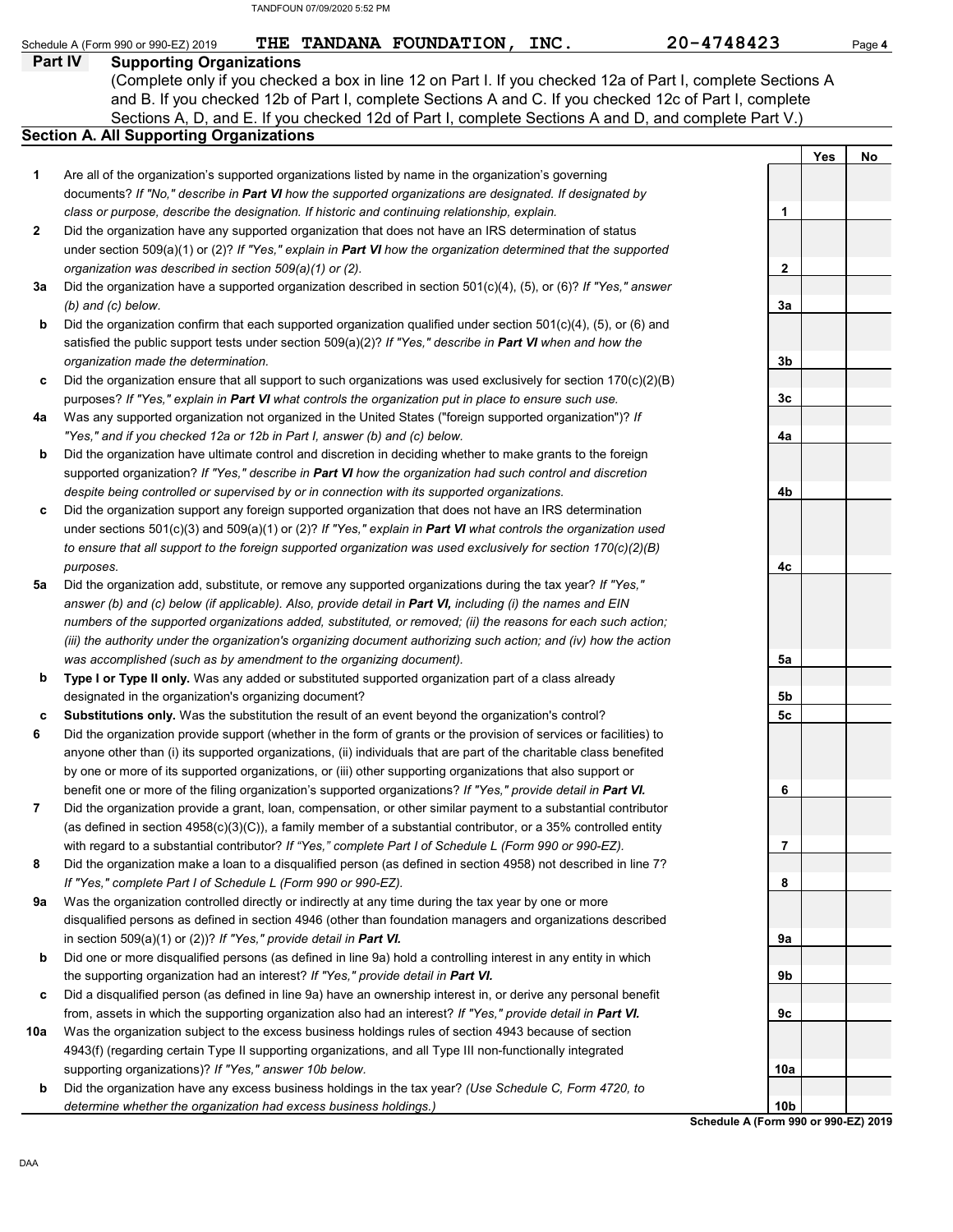|              | THE TANDANA FOUNDATION, INC.<br>Schedule A (Form 990 or 990-EZ) 2019                                                       | 20-4748423                           |     | Page 4 |
|--------------|----------------------------------------------------------------------------------------------------------------------------|--------------------------------------|-----|--------|
|              | <b>Supporting Organizations</b><br>Part IV                                                                                 |                                      |     |        |
|              | (Complete only if you checked a box in line 12 on Part I. If you checked 12a of Part I, complete Sections A                |                                      |     |        |
|              | and B. If you checked 12b of Part I, complete Sections A and C. If you checked 12c of Part I, complete                     |                                      |     |        |
|              | Sections A, D, and E. If you checked 12d of Part I, complete Sections A and D, and complete Part V.)                       |                                      |     |        |
|              | <b>Section A. All Supporting Organizations</b>                                                                             |                                      |     |        |
|              |                                                                                                                            |                                      | Yes | No     |
| 1            | Are all of the organization's supported organizations listed by name in the organization's governing                       |                                      |     |        |
|              | documents? If "No," describe in Part VI how the supported organizations are designated. If designated by                   |                                      |     |        |
|              | class or purpose, describe the designation. If historic and continuing relationship, explain.                              | 1                                    |     |        |
| $\mathbf{2}$ | Did the organization have any supported organization that does not have an IRS determination of status                     |                                      |     |        |
|              |                                                                                                                            |                                      |     |        |
|              | under section 509(a)(1) or (2)? If "Yes," explain in Part VI how the organization determined that the supported            |                                      |     |        |
|              | organization was described in section 509(a)(1) or (2).                                                                    | $\mathbf{2}$                         |     |        |
| За           | Did the organization have a supported organization described in section $501(c)(4)$ , (5), or (6)? If "Yes," answer        |                                      |     |        |
|              | $(b)$ and $(c)$ below.                                                                                                     | 3a                                   |     |        |
| b            | Did the organization confirm that each supported organization qualified under section $501(c)(4)$ , $(5)$ , or $(6)$ and   |                                      |     |        |
|              | satisfied the public support tests under section $509(a)(2)?$ If "Yes," describe in Part VI when and how the               |                                      |     |        |
|              | organization made the determination.                                                                                       | 3 <sub>b</sub>                       |     |        |
| c            | Did the organization ensure that all support to such organizations was used exclusively for section $170(c)(2)(B)$         |                                      |     |        |
|              | purposes? If "Yes," explain in Part VI what controls the organization put in place to ensure such use.                     | 3c                                   |     |        |
| 4a           | Was any supported organization not organized in the United States ("foreign supported organization")? If                   |                                      |     |        |
|              | "Yes," and if you checked 12a or 12b in Part I, answer (b) and (c) below.                                                  | 4a                                   |     |        |
| b            | Did the organization have ultimate control and discretion in deciding whether to make grants to the foreign                |                                      |     |        |
|              | supported organization? If "Yes," describe in Part VI how the organization had such control and discretion                 |                                      |     |        |
|              | despite being controlled or supervised by or in connection with its supported organizations.                               | 4b                                   |     |        |
| c            | Did the organization support any foreign supported organization that does not have an IRS determination                    |                                      |     |        |
|              | under sections $501(c)(3)$ and $509(a)(1)$ or (2)? If "Yes," explain in <b>Part VI</b> what controls the organization used |                                      |     |        |
|              | to ensure that all support to the foreign supported organization was used exclusively for section $170(c)(2)(B)$           |                                      |     |        |
|              | purposes.                                                                                                                  | 4c                                   |     |        |
| 5a           | Did the organization add, substitute, or remove any supported organizations during the tax year? If "Yes,"                 |                                      |     |        |
|              | answer (b) and (c) below (if applicable). Also, provide detail in Part VI, including (i) the names and EIN                 |                                      |     |        |
|              | numbers of the supported organizations added, substituted, or removed; (ii) the reasons for each such action;              |                                      |     |        |
|              | (iii) the authority under the organization's organizing document authorizing such action; and (iv) how the action          |                                      |     |        |
|              | was accomplished (such as by amendment to the organizing document).                                                        | 5a                                   |     |        |
| b            | Type I or Type II only. Was any added or substituted supported organization part of a class already                        |                                      |     |        |
|              | designated in the organization's organizing document?                                                                      | 5b                                   |     |        |
| c            | Substitutions only. Was the substitution the result of an event beyond the organization's control?                         | 5с                                   |     |        |
|              |                                                                                                                            |                                      |     |        |
|              | Did the organization provide support (whether in the form of grants or the provision of services or facilities) to         |                                      |     |        |
|              | anyone other than (i) its supported organizations, (ii) individuals that are part of the charitable class benefited        |                                      |     |        |
|              | by one or more of its supported organizations, or (iii) other supporting organizations that also support or                |                                      |     |        |
|              | benefit one or more of the filing organization's supported organizations? If "Yes," provide detail in Part VI.             | 6                                    |     |        |
| 7            | Did the organization provide a grant, loan, compensation, or other similar payment to a substantial contributor            |                                      |     |        |
|              | (as defined in section $4958(c)(3)(C)$ ), a family member of a substantial contributor, or a 35% controlled entity         |                                      |     |        |
|              | with regard to a substantial contributor? If "Yes," complete Part I of Schedule L (Form 990 or 990-EZ).                    | 7                                    |     |        |
| 8            | Did the organization make a loan to a disqualified person (as defined in section 4958) not described in line 7?            |                                      |     |        |
|              | If "Yes," complete Part I of Schedule L (Form 990 or 990-EZ).                                                              | 8                                    |     |        |
| 9а           | Was the organization controlled directly or indirectly at any time during the tax year by one or more                      |                                      |     |        |
|              | disqualified persons as defined in section 4946 (other than foundation managers and organizations described                |                                      |     |        |
|              | in section 509(a)(1) or (2))? If "Yes," provide detail in Part VI.                                                         | 9а                                   |     |        |
| b            | Did one or more disqualified persons (as defined in line 9a) hold a controlling interest in any entity in which            |                                      |     |        |
|              | the supporting organization had an interest? If "Yes," provide detail in Part VI.                                          | 9b                                   |     |        |
| c            | Did a disqualified person (as defined in line 9a) have an ownership interest in, or derive any personal benefit            |                                      |     |        |
|              | from, assets in which the supporting organization also had an interest? If "Yes," provide detail in Part VI.               | 9с                                   |     |        |
| 10a          | Was the organization subject to the excess business holdings rules of section 4943 because of section                      |                                      |     |        |
|              | 4943(f) (regarding certain Type II supporting organizations, and all Type III non-functionally integrated                  |                                      |     |        |
|              | supporting organizations)? If "Yes," answer 10b below.                                                                     | 10a                                  |     |        |
| b            | Did the organization have any excess business holdings in the tax year? (Use Schedule C, Form 4720, to                     |                                      |     |        |
|              | determine whether the organization had excess business holdings.)                                                          | 10 <sub>b</sub>                      |     |        |
|              |                                                                                                                            | Schedule A (Form 990 or 990-EZ) 2019 |     |        |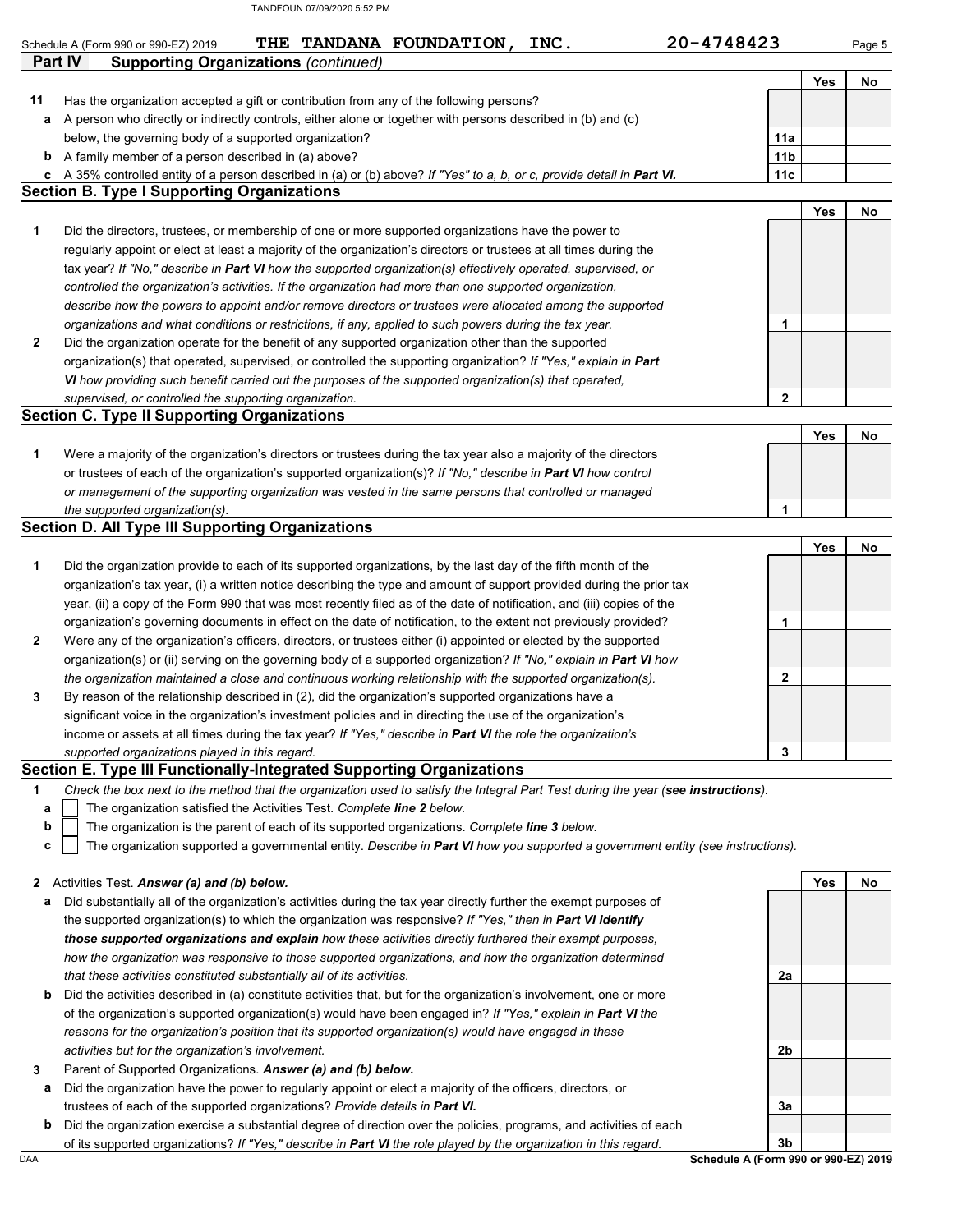|    | 20-4748423<br>THE TANDANA FOUNDATION, INC.<br>Schedule A (Form 990 or 990-EZ) 2019                                                                                                      |                        |     | Page 5 |
|----|-----------------------------------------------------------------------------------------------------------------------------------------------------------------------------------------|------------------------|-----|--------|
|    | <b>Supporting Organizations (continued)</b><br><b>Part IV</b>                                                                                                                           |                        |     |        |
|    |                                                                                                                                                                                         |                        | Yes | No     |
| 11 | Has the organization accepted a gift or contribution from any of the following persons?                                                                                                 |                        |     |        |
| a  | A person who directly or indirectly controls, either alone or together with persons described in (b) and (c)                                                                            |                        |     |        |
|    | below, the governing body of a supported organization?                                                                                                                                  | 11a                    |     |        |
|    | <b>b</b> A family member of a person described in (a) above?<br>c A 35% controlled entity of a person described in (a) or (b) above? If "Yes" to a, b, or c, provide detail in Part VI. | 11 <sub>b</sub><br>11c |     |        |
|    | <b>Section B. Type I Supporting Organizations</b>                                                                                                                                       |                        |     |        |
|    |                                                                                                                                                                                         |                        | Yes | No     |
| 1  | Did the directors, trustees, or membership of one or more supported organizations have the power to                                                                                     |                        |     |        |
|    | regularly appoint or elect at least a majority of the organization's directors or trustees at all times during the                                                                      |                        |     |        |
|    | tax year? If "No," describe in Part VI how the supported organization(s) effectively operated, supervised, or                                                                           |                        |     |        |
|    | controlled the organization's activities. If the organization had more than one supported organization,                                                                                 |                        |     |        |
|    | describe how the powers to appoint and/or remove directors or trustees were allocated among the supported                                                                               |                        |     |        |
|    | organizations and what conditions or restrictions, if any, applied to such powers during the tax year.                                                                                  | $\mathbf{1}$           |     |        |
| 2  | Did the organization operate for the benefit of any supported organization other than the supported                                                                                     |                        |     |        |
|    | organization(s) that operated, supervised, or controlled the supporting organization? If "Yes," explain in Part                                                                         |                        |     |        |
|    | VI how providing such benefit carried out the purposes of the supported organization(s) that operated,                                                                                  |                        |     |        |
|    | supervised, or controlled the supporting organization.                                                                                                                                  | $\mathbf{2}$           |     |        |
|    | <b>Section C. Type II Supporting Organizations</b>                                                                                                                                      |                        |     |        |
|    |                                                                                                                                                                                         |                        | Yes | No     |
| 1  | Were a majority of the organization's directors or trustees during the tax year also a majority of the directors                                                                        |                        |     |        |
|    | or trustees of each of the organization's supported organization(s)? If "No," describe in Part VI how control                                                                           |                        |     |        |
|    | or management of the supporting organization was vested in the same persons that controlled or managed                                                                                  |                        |     |        |
|    | the supported organization(s).                                                                                                                                                          | 1                      |     |        |
|    | <b>Section D. All Type III Supporting Organizations</b>                                                                                                                                 |                        |     |        |
|    |                                                                                                                                                                                         |                        | Yes | No     |
| 1  | Did the organization provide to each of its supported organizations, by the last day of the fifth month of the                                                                          |                        |     |        |
|    | organization's tax year, (i) a written notice describing the type and amount of support provided during the prior tax                                                                   |                        |     |        |
|    | year, (ii) a copy of the Form 990 that was most recently filed as of the date of notification, and (iii) copies of the                                                                  |                        |     |        |
|    | organization's governing documents in effect on the date of notification, to the extent not previously provided?                                                                        | 1                      |     |        |
| 2  | Were any of the organization's officers, directors, or trustees either (i) appointed or elected by the supported                                                                        |                        |     |        |
|    | organization(s) or (ii) serving on the governing body of a supported organization? If "No," explain in Part VI how                                                                      |                        |     |        |
|    | the organization maintained a close and continuous working relationship with the supported organization(s).                                                                             | $\mathbf{2}$           |     |        |
| 3  | By reason of the relationship described in (2), did the organization's supported organizations have a                                                                                   |                        |     |        |
|    | significant voice in the organization's investment policies and in directing the use of the organization's                                                                              |                        |     |        |
|    | income or assets at all times during the tax year? If "Yes," describe in Part VI the role the organization's                                                                            |                        |     |        |
|    | supported organizations played in this regard.                                                                                                                                          | 3                      |     |        |
|    | Section E. Type III Functionally-Integrated Supporting Organizations                                                                                                                    |                        |     |        |
| 1  | Check the box next to the method that the organization used to satisfy the Integral Part Test during the year (see instructions).                                                       |                        |     |        |
| a  | The organization satisfied the Activities Test. Complete line 2 below.                                                                                                                  |                        |     |        |
| b  | The organization is the parent of each of its supported organizations. Complete line 3 below.                                                                                           |                        |     |        |
| C  | The organization supported a governmental entity. Describe in Part VI how you supported a government entity (see instructions).                                                         |                        |     |        |
|    |                                                                                                                                                                                         |                        |     |        |
| 2  | Activities Test. Answer (a) and (b) below.                                                                                                                                              |                        | Yes | No.    |
| а  | Did substantially all of the organization's activities during the tax year directly further the exempt purposes of                                                                      |                        |     |        |
|    | the supported organization(s) to which the organization was responsive? If "Yes," then in Part VI identify                                                                              |                        |     |        |
|    | those supported organizations and explain how these activities directly furthered their exempt purposes,                                                                                |                        |     |        |
|    | how the organization was responsive to those supported organizations, and how the organization determined                                                                               |                        |     |        |
|    | that these activities constituted substantially all of its activities.                                                                                                                  | 2a                     |     |        |
| b  | Did the activities described in (a) constitute activities that, but for the organization's involvement, one or more                                                                     |                        |     |        |
|    | of the organization's supported organization(s) would have been engaged in? If "Yes," explain in Part VI the                                                                            |                        |     |        |
|    | reasons for the organization's position that its supported organization(s) would have engaged in these                                                                                  |                        |     |        |
|    | activities but for the organization's involvement.                                                                                                                                      | 2b                     |     |        |
| 3  | Parent of Supported Organizations. Answer (a) and (b) below.                                                                                                                            |                        |     |        |

- **a** Did the organization have the power to regularly appoint or elect a majority of the officers, directors, or trustees of each of the supported organizations? *Provide details in Part VI.*
- **b** Did the organization exercise a substantial degree of direction over the policies, programs, and activities of each of its supported organizations? *If "Yes," describe in Part VI the role played by the organization in this regard.*

DAA **Schedule A (Form 990 or 990-EZ) 2019 3b**

**3a**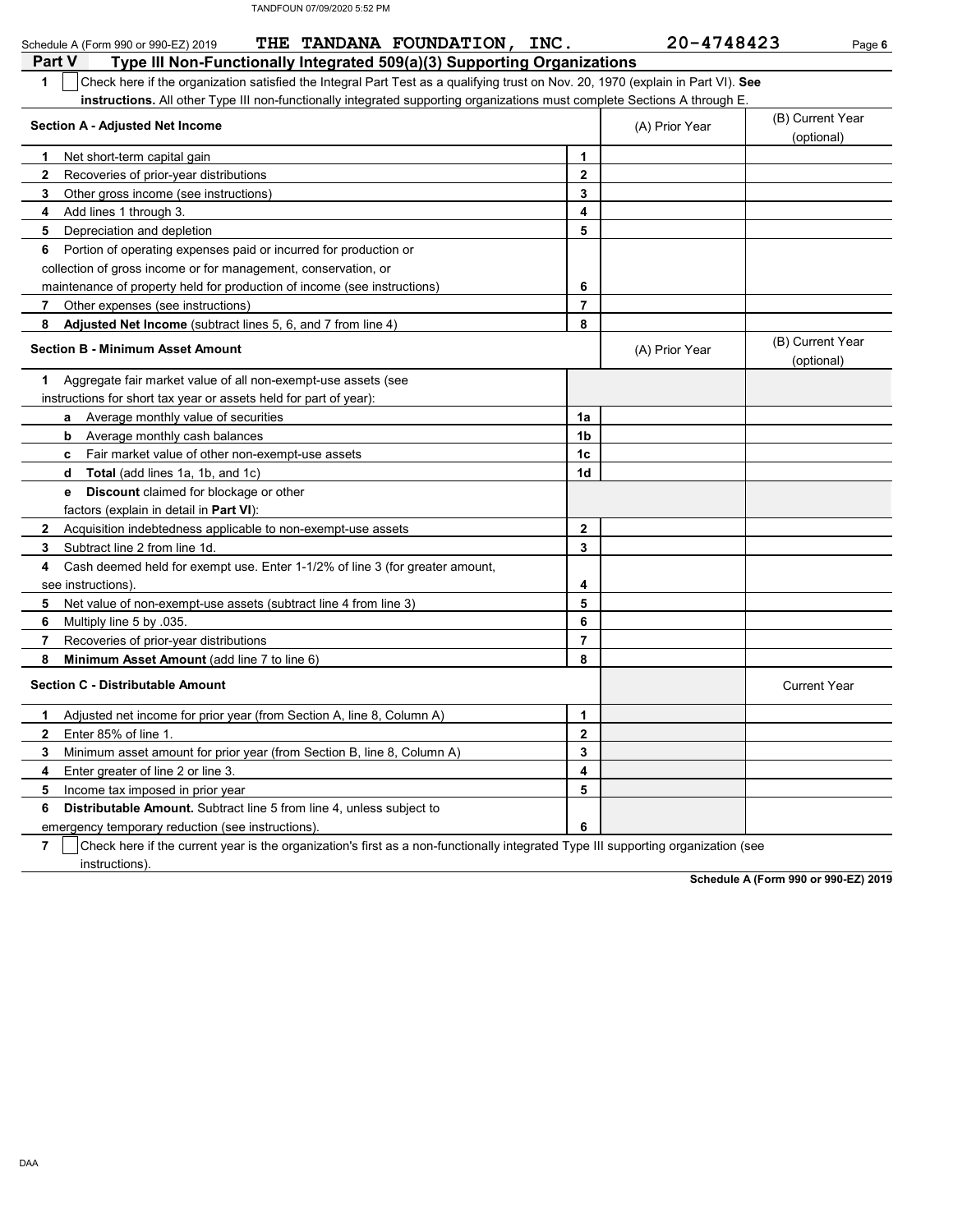| THE TANDANA FOUNDATION, INC.<br>Schedule A (Form 990 or 990-EZ) 2019                                                                  |                | 20-4748423     | Page 6                         |
|---------------------------------------------------------------------------------------------------------------------------------------|----------------|----------------|--------------------------------|
| <b>Part V</b><br>Type III Non-Functionally Integrated 509(a)(3) Supporting Organizations                                              |                |                |                                |
| Check here if the organization satisfied the Integral Part Test as a qualifying trust on Nov. 20, 1970 (explain in Part VI). See<br>1 |                |                |                                |
| instructions. All other Type III non-functionally integrated supporting organizations must complete Sections A through E.             |                |                |                                |
| <b>Section A - Adjusted Net Income</b>                                                                                                |                | (A) Prior Year | (B) Current Year<br>(optional) |
| 1<br>Net short-term capital gain                                                                                                      | 1              |                |                                |
| $\mathbf{2}$<br>Recoveries of prior-year distributions                                                                                | $\mathbf{2}$   |                |                                |
| 3<br>Other gross income (see instructions)                                                                                            | 3              |                |                                |
| Add lines 1 through 3.<br>4                                                                                                           | 4              |                |                                |
| 5<br>Depreciation and depletion                                                                                                       | 5              |                |                                |
| Portion of operating expenses paid or incurred for production or<br>6                                                                 |                |                |                                |
| collection of gross income or for management, conservation, or                                                                        |                |                |                                |
| maintenance of property held for production of income (see instructions)                                                              | 6              |                |                                |
| 7<br>Other expenses (see instructions)                                                                                                | 7              |                |                                |
| <b>Adjusted Net Income</b> (subtract lines 5, 6, and 7 from line 4)<br>8                                                              | 8              |                |                                |
| <b>Section B - Minimum Asset Amount</b>                                                                                               |                | (A) Prior Year | (B) Current Year<br>(optional) |
| Aggregate fair market value of all non-exempt-use assets (see<br>1                                                                    |                |                |                                |
| instructions for short tax year or assets held for part of year):                                                                     |                |                |                                |
| Average monthly value of securities<br>a                                                                                              | 1a             |                |                                |
| Average monthly cash balances<br>b                                                                                                    | 1 <sub>b</sub> |                |                                |
| Fair market value of other non-exempt-use assets<br>c                                                                                 | 1c             |                |                                |
| <b>Total</b> (add lines 1a, 1b, and 1c)<br>d                                                                                          | 1d             |                |                                |
| <b>Discount</b> claimed for blockage or other<br>е                                                                                    |                |                |                                |
| factors (explain in detail in Part VI):                                                                                               |                |                |                                |
| $\mathbf{2}$<br>Acquisition indebtedness applicable to non-exempt-use assets                                                          | $\overline{2}$ |                |                                |
| 3<br>Subtract line 2 from line 1d.                                                                                                    | 3              |                |                                |
| Cash deemed held for exempt use. Enter 1-1/2% of line 3 (for greater amount,<br>4                                                     |                |                |                                |
| see instructions)                                                                                                                     | 4              |                |                                |
| 5<br>Net value of non-exempt-use assets (subtract line 4 from line 3)                                                                 | 5              |                |                                |
| 6<br>Multiply line 5 by 035.                                                                                                          | 6              |                |                                |
| $\overline{7}$<br>Recoveries of prior-year distributions                                                                              | $\overline{7}$ |                |                                |
| 8<br>Minimum Asset Amount (add line 7 to line 6)                                                                                      | 8              |                |                                |
| <b>Section C - Distributable Amount</b>                                                                                               |                |                | <b>Current Year</b>            |
| Adjusted net income for prior year (from Section A, line 8, Column A)<br>1                                                            | 1              |                |                                |
| $\mathbf{2}$<br>Enter 85% of line 1.                                                                                                  | $\mathbf{2}$   |                |                                |
| Minimum asset amount for prior year (from Section B, line 8, Column A)<br>3                                                           | 3              |                |                                |
| Enter greater of line 2 or line 3.<br>4                                                                                               | 4              |                |                                |
| 5<br>Income tax imposed in prior year                                                                                                 | 5              |                |                                |
| <b>Distributable Amount.</b> Subtract line 5 from line 4, unless subject to<br>6                                                      |                |                |                                |
| emergency temporary reduction (see instructions)                                                                                      | 6              |                |                                |

**7**  $\,$   $\,$   $\,$   $\,$   $\,$   $\,$  Check here if the current year is the organization's first as a non-functionally integrated Type III supporting organization (see instructions).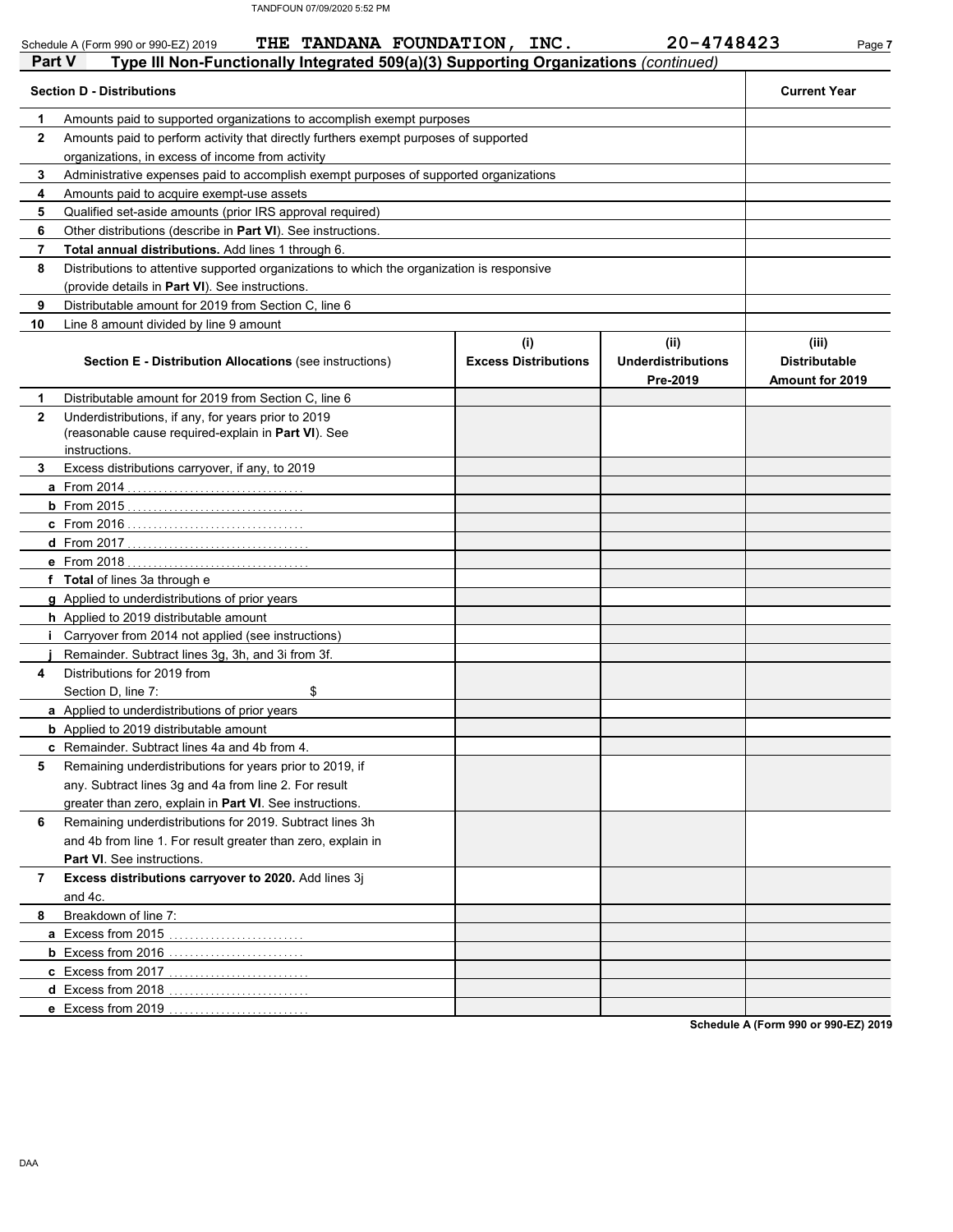| Part V       | THE TANDANA FOUNDATION, INC.<br>Schedule A (Form 990 or 990-EZ) 2019<br>Type III Non-Functionally Integrated 509(a)(3) Supporting Organizations (continued) |                             | 20-4748423                            | Page 7                                         |
|--------------|-------------------------------------------------------------------------------------------------------------------------------------------------------------|-----------------------------|---------------------------------------|------------------------------------------------|
|              | <b>Section D - Distributions</b>                                                                                                                            |                             |                                       | <b>Current Year</b>                            |
| 1            | Amounts paid to supported organizations to accomplish exempt purposes                                                                                       |                             |                                       |                                                |
| $\mathbf{2}$ | Amounts paid to perform activity that directly furthers exempt purposes of supported                                                                        |                             |                                       |                                                |
|              | organizations, in excess of income from activity                                                                                                            |                             |                                       |                                                |
| 3            | Administrative expenses paid to accomplish exempt purposes of supported organizations                                                                       |                             |                                       |                                                |
| 4            | Amounts paid to acquire exempt-use assets                                                                                                                   |                             |                                       |                                                |
| 5            | Qualified set-aside amounts (prior IRS approval required)                                                                                                   |                             |                                       |                                                |
| 6            | Other distributions (describe in Part VI). See instructions.                                                                                                |                             |                                       |                                                |
| 7            | Total annual distributions. Add lines 1 through 6.                                                                                                          |                             |                                       |                                                |
| 8            | Distributions to attentive supported organizations to which the organization is responsive                                                                  |                             |                                       |                                                |
|              | (provide details in Part VI). See instructions.                                                                                                             |                             |                                       |                                                |
| 9            | Distributable amount for 2019 from Section C, line 6                                                                                                        |                             |                                       |                                                |
| 10           | Line 8 amount divided by line 9 amount                                                                                                                      |                             |                                       |                                                |
|              |                                                                                                                                                             | (i)                         | (ii)                                  | (iii)                                          |
|              | Section E - Distribution Allocations (see instructions)                                                                                                     | <b>Excess Distributions</b> | <b>Underdistributions</b><br>Pre-2019 | <b>Distributable</b><br><b>Amount for 2019</b> |
| 1            | Distributable amount for 2019 from Section C, line 6                                                                                                        |                             |                                       |                                                |
| $\mathbf{2}$ | Underdistributions, if any, for years prior to 2019                                                                                                         |                             |                                       |                                                |
|              | (reasonable cause required-explain in Part VI). See                                                                                                         |                             |                                       |                                                |
|              | instructions.                                                                                                                                               |                             |                                       |                                                |
| 3            | Excess distributions carryover, if any, to 2019                                                                                                             |                             |                                       |                                                |
|              |                                                                                                                                                             |                             |                                       |                                                |
|              |                                                                                                                                                             |                             |                                       |                                                |
|              |                                                                                                                                                             |                             |                                       |                                                |
|              |                                                                                                                                                             |                             |                                       |                                                |
|              | e From 2018                                                                                                                                                 |                             |                                       |                                                |
|              | f Total of lines 3a through e                                                                                                                               |                             |                                       |                                                |
|              | g Applied to underdistributions of prior years                                                                                                              |                             |                                       |                                                |
|              | h Applied to 2019 distributable amount                                                                                                                      |                             |                                       |                                                |
|              | Carryover from 2014 not applied (see instructions)                                                                                                          |                             |                                       |                                                |
|              | Remainder. Subtract lines 3g, 3h, and 3i from 3f.                                                                                                           |                             |                                       |                                                |
| 4            | Distributions for 2019 from                                                                                                                                 |                             |                                       |                                                |
|              | Section D, line 7:<br>\$                                                                                                                                    |                             |                                       |                                                |
|              | a Applied to underdistributions of prior years                                                                                                              |                             |                                       |                                                |
|              | <b>b</b> Applied to 2019 distributable amount                                                                                                               |                             |                                       |                                                |
|              | c Remainder. Subtract lines 4a and 4b from 4.                                                                                                               |                             |                                       |                                                |
| 5            | Remaining underdistributions for years prior to 2019, if                                                                                                    |                             |                                       |                                                |
|              | any. Subtract lines 3g and 4a from line 2. For result                                                                                                       |                             |                                       |                                                |
|              | greater than zero, explain in Part VI. See instructions.                                                                                                    |                             |                                       |                                                |
| 6            | Remaining underdistributions for 2019. Subtract lines 3h                                                                                                    |                             |                                       |                                                |
|              | and 4b from line 1. For result greater than zero, explain in                                                                                                |                             |                                       |                                                |
|              | <b>Part VI.</b> See instructions.                                                                                                                           |                             |                                       |                                                |
| 7            | Excess distributions carryover to 2020. Add lines 3j                                                                                                        |                             |                                       |                                                |
|              | and 4c.                                                                                                                                                     |                             |                                       |                                                |
| 8            | Breakdown of line 7:                                                                                                                                        |                             |                                       |                                                |
|              | a Excess from 2015                                                                                                                                          |                             |                                       |                                                |
|              | <b>b</b> Excess from 2016                                                                                                                                   |                             |                                       |                                                |
|              |                                                                                                                                                             |                             |                                       |                                                |
|              | d Excess from 2018                                                                                                                                          |                             |                                       |                                                |
|              |                                                                                                                                                             |                             |                                       |                                                |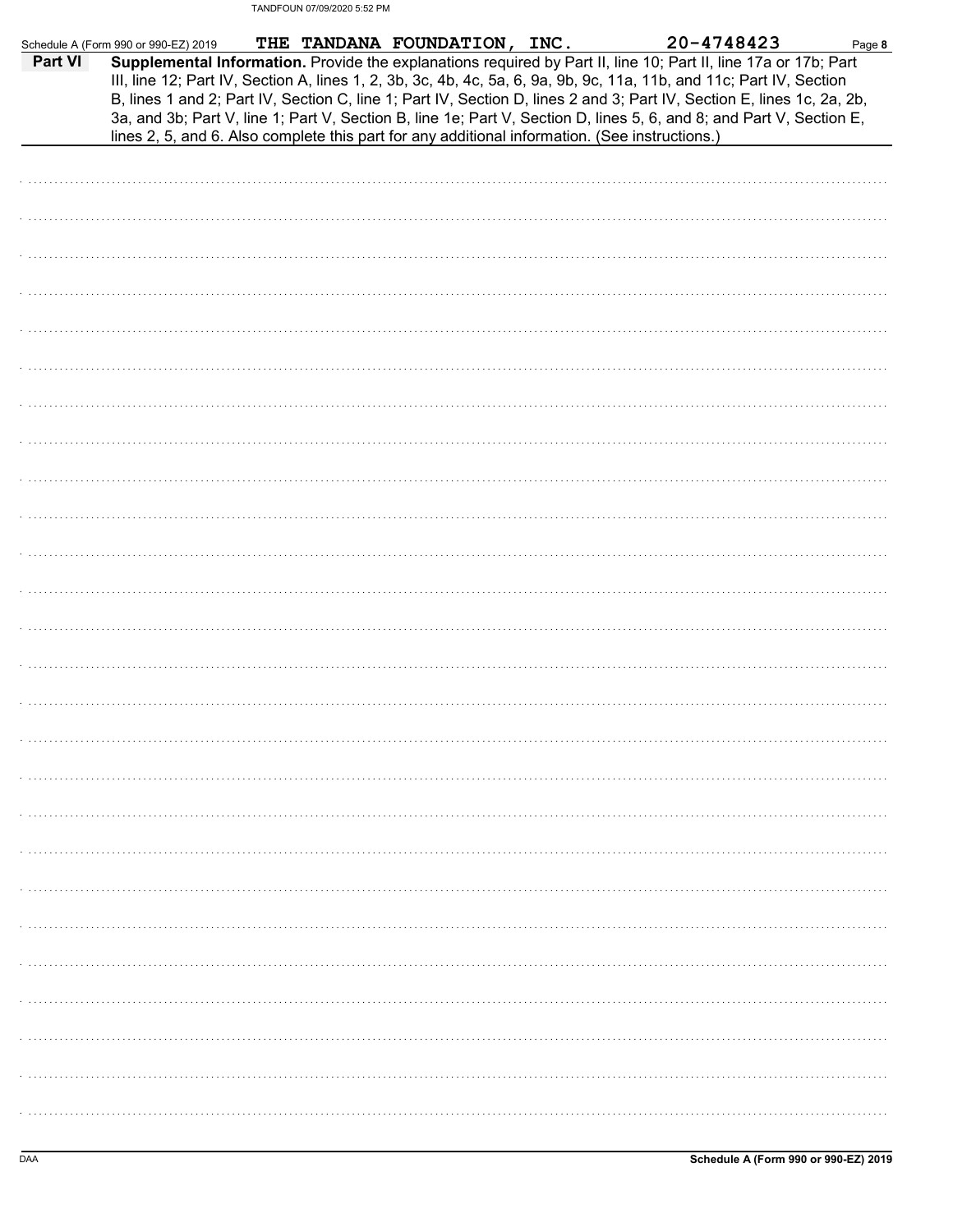| Part VI | Schedule A (Form 990 or 990-EZ) 2019 |  | THE TANDANA FOUNDATION, INC. | 20-4748423<br>Supplemental Information. Provide the explanations required by Part II, line 10; Part II, line 17a or 17b; Part<br>III, line 12; Part IV, Section A, lines 1, 2, 3b, 3c, 4b, 4c, 5a, 6, 9a, 9b, 9c, 11a, 11b, and 11c; Part IV, Section<br>B, lines 1 and 2; Part IV, Section C, line 1; Part IV, Section D, lines 2 and 3; Part IV, Section E, lines 1c, 2a, 2b,<br>3a, and 3b; Part V, line 1; Part V, Section B, line 1e; Part V, Section D, lines 5, 6, and 8; and Part V, Section E,<br>lines 2, 5, and 6. Also complete this part for any additional information. (See instructions.) | Page 8 |
|---------|--------------------------------------|--|------------------------------|-----------------------------------------------------------------------------------------------------------------------------------------------------------------------------------------------------------------------------------------------------------------------------------------------------------------------------------------------------------------------------------------------------------------------------------------------------------------------------------------------------------------------------------------------------------------------------------------------------------|--------|
|         |                                      |  |                              |                                                                                                                                                                                                                                                                                                                                                                                                                                                                                                                                                                                                           |        |
|         |                                      |  |                              |                                                                                                                                                                                                                                                                                                                                                                                                                                                                                                                                                                                                           |        |
|         |                                      |  |                              |                                                                                                                                                                                                                                                                                                                                                                                                                                                                                                                                                                                                           |        |
|         |                                      |  |                              |                                                                                                                                                                                                                                                                                                                                                                                                                                                                                                                                                                                                           |        |
|         |                                      |  |                              |                                                                                                                                                                                                                                                                                                                                                                                                                                                                                                                                                                                                           |        |
|         |                                      |  |                              |                                                                                                                                                                                                                                                                                                                                                                                                                                                                                                                                                                                                           |        |
|         |                                      |  |                              |                                                                                                                                                                                                                                                                                                                                                                                                                                                                                                                                                                                                           |        |
|         |                                      |  |                              |                                                                                                                                                                                                                                                                                                                                                                                                                                                                                                                                                                                                           |        |
|         |                                      |  |                              |                                                                                                                                                                                                                                                                                                                                                                                                                                                                                                                                                                                                           |        |
|         |                                      |  |                              |                                                                                                                                                                                                                                                                                                                                                                                                                                                                                                                                                                                                           |        |
|         |                                      |  |                              |                                                                                                                                                                                                                                                                                                                                                                                                                                                                                                                                                                                                           |        |
|         |                                      |  |                              |                                                                                                                                                                                                                                                                                                                                                                                                                                                                                                                                                                                                           |        |
|         |                                      |  |                              |                                                                                                                                                                                                                                                                                                                                                                                                                                                                                                                                                                                                           |        |
|         |                                      |  |                              |                                                                                                                                                                                                                                                                                                                                                                                                                                                                                                                                                                                                           |        |
|         |                                      |  |                              |                                                                                                                                                                                                                                                                                                                                                                                                                                                                                                                                                                                                           |        |
|         |                                      |  |                              |                                                                                                                                                                                                                                                                                                                                                                                                                                                                                                                                                                                                           |        |
|         |                                      |  |                              |                                                                                                                                                                                                                                                                                                                                                                                                                                                                                                                                                                                                           |        |
|         |                                      |  |                              |                                                                                                                                                                                                                                                                                                                                                                                                                                                                                                                                                                                                           |        |
|         |                                      |  |                              |                                                                                                                                                                                                                                                                                                                                                                                                                                                                                                                                                                                                           |        |
|         |                                      |  |                              |                                                                                                                                                                                                                                                                                                                                                                                                                                                                                                                                                                                                           |        |
|         |                                      |  |                              |                                                                                                                                                                                                                                                                                                                                                                                                                                                                                                                                                                                                           |        |
|         |                                      |  |                              |                                                                                                                                                                                                                                                                                                                                                                                                                                                                                                                                                                                                           |        |
|         |                                      |  |                              |                                                                                                                                                                                                                                                                                                                                                                                                                                                                                                                                                                                                           |        |
|         |                                      |  |                              |                                                                                                                                                                                                                                                                                                                                                                                                                                                                                                                                                                                                           |        |
|         |                                      |  |                              |                                                                                                                                                                                                                                                                                                                                                                                                                                                                                                                                                                                                           |        |
|         |                                      |  |                              |                                                                                                                                                                                                                                                                                                                                                                                                                                                                                                                                                                                                           |        |
|         |                                      |  |                              |                                                                                                                                                                                                                                                                                                                                                                                                                                                                                                                                                                                                           |        |
|         |                                      |  |                              |                                                                                                                                                                                                                                                                                                                                                                                                                                                                                                                                                                                                           |        |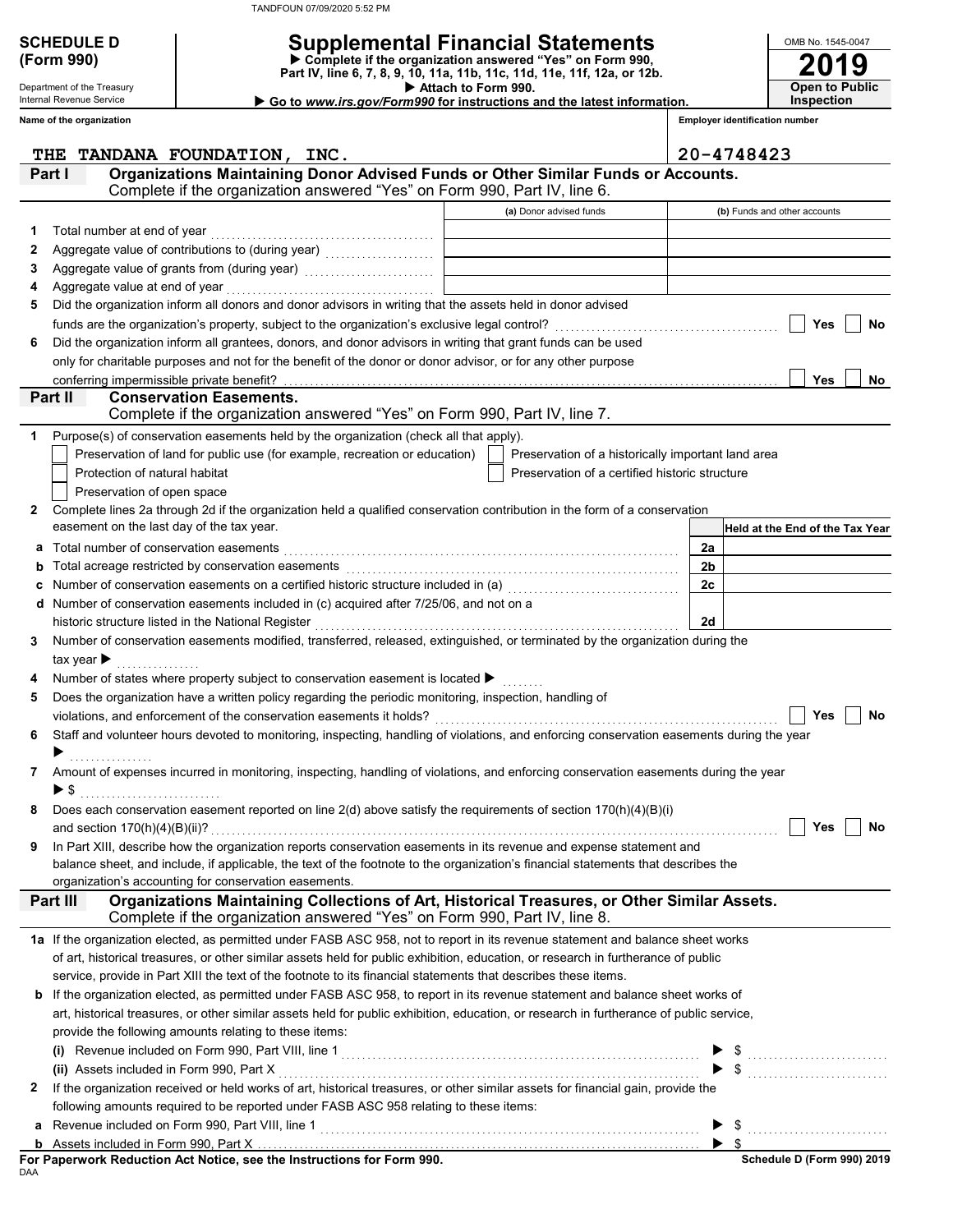Department of the Treasury Internal Revenue Service

# **SCHEDULE D Supplemental Financial Statements**

 **Attach to Form 990. (Form 990) Part IV, line 6, 7, 8, 9, 10, 11a, 11b, 11c, 11d, 11e, 11f, 12a, or 12b. Complete if the organization answered "Yes" on Form 990,**

 **Go to** *www.irs.gov/Form990* **for instructions and the latest information.**

**Name of the organization**

## **2019 Open to Public Inspection**

OMB No. 1545-0047

| <b>Employer identification number</b> |  |
|---------------------------------------|--|
|---------------------------------------|--|

| Organizations Maintaining Donor Advised Funds or Other Similar Funds or Accounts.<br>Part I<br>Complete if the organization answered "Yes" on Form 990, Part IV, line 6.<br>(a) Donor advised funds<br>(b) Funds and other accounts<br>Total number at end of year<br>1<br>2<br>Aggregate value of grants from (during year)<br>3<br>4<br>Did the organization inform all donors and donor advisors in writing that the assets held in donor advised<br>5<br>Yes<br>No<br>Did the organization inform all grantees, donors, and donor advisors in writing that grant funds can be used<br>6<br>only for charitable purposes and not for the benefit of the donor or donor advisor, or for any other purpose<br>conferring impermissible private benefit?<br><b>Yes</b><br>No<br><b>Conservation Easements.</b><br>Part II<br>Complete if the organization answered "Yes" on Form 990, Part IV, line 7.<br>Purpose(s) of conservation easements held by the organization (check all that apply).<br>1.<br>Preservation of land for public use (for example, recreation or education)<br>Preservation of a historically important land area<br>Protection of natural habitat<br>Preservation of a certified historic structure<br>Preservation of open space<br>Complete lines 2a through 2d if the organization held a qualified conservation contribution in the form of a conservation<br>2<br>easement on the last day of the tax year.<br>2a<br>а<br>2b<br>b<br>Number of conservation easements on a certified historic structure included in (a) [[[[[[[[[[[[[[[[[[[[[[[[[]]]]]]]<br>2c<br>d Number of conservation easements included in (c) acquired after 7/25/06, and not on a<br>2d<br>historic structure listed in the National Register<br>Number of conservation easements modified, transferred, released, extinguished, or terminated by the organization during the<br>3<br>tax year $\blacktriangleright$<br><u> 1999 - Jan Salaman Sala</u><br>Number of states where property subject to conservation easement is located ▶<br>Does the organization have a written policy regarding the periodic monitoring, inspection, handling of<br>5<br>No<br>Yes<br>Staff and volunteer hours devoted to monitoring, inspecting, handling of violations, and enforcing conservation easements during the year<br>6<br>Amount of expenses incurred in monitoring, inspecting, handling of violations, and enforcing conservation easements during the year<br>7<br>$\blacktriangleright$ \$<br>Does each conservation easement reported on line 2(d) above satisfy the requirements of section 170(h)(4)(B)(i)<br><b>Yes</b><br>No<br>and section $170(h)(4)(B)(ii)?$<br>In Part XIII, describe how the organization reports conservation easements in its revenue and expense statement and<br>9<br>balance sheet, and include, if applicable, the text of the footnote to the organization's financial statements that describes the<br>organization's accounting for conservation easements.<br>Organizations Maintaining Collections of Art, Historical Treasures, or Other Similar Assets.<br>Part III<br>Complete if the organization answered "Yes" on Form 990, Part IV, line 8.<br>1a If the organization elected, as permitted under FASB ASC 958, not to report in its revenue statement and balance sheet works<br>of art, historical treasures, or other similar assets held for public exhibition, education, or research in furtherance of public<br>service, provide in Part XIII the text of the footnote to its financial statements that describes these items.<br>If the organization elected, as permitted under FASB ASC 958, to report in its revenue statement and balance sheet works of<br>b<br>art, historical treasures, or other similar assets held for public exhibition, education, or research in furtherance of public service,<br>provide the following amounts relating to these items:<br>$\blacktriangleright$ \$<br>(ii) Assets included in Form 990, Part X<br>If the organization received or held works of art, historical treasures, or other similar assets for financial gain, provide the<br>2<br>following amounts required to be reported under FASB ASC 958 relating to these items:<br>а | THE<br>TANDANA FOUNDATION, INC. |  | 20-4748423 |
|-----------------------------------------------------------------------------------------------------------------------------------------------------------------------------------------------------------------------------------------------------------------------------------------------------------------------------------------------------------------------------------------------------------------------------------------------------------------------------------------------------------------------------------------------------------------------------------------------------------------------------------------------------------------------------------------------------------------------------------------------------------------------------------------------------------------------------------------------------------------------------------------------------------------------------------------------------------------------------------------------------------------------------------------------------------------------------------------------------------------------------------------------------------------------------------------------------------------------------------------------------------------------------------------------------------------------------------------------------------------------------------------------------------------------------------------------------------------------------------------------------------------------------------------------------------------------------------------------------------------------------------------------------------------------------------------------------------------------------------------------------------------------------------------------------------------------------------------------------------------------------------------------------------------------------------------------------------------------------------------------------------------------------------------------------------------------------------------------------------------------------------------------------------------------------------------------------------------------------------------------------------------------------------------------------------------------------------------------------------------------------------------------------------------------------------------------------------------------------------------------------------------------------------------------------------------------------------------------------------------------------------------------------------------------------------------------------------------------------------------------------------------------------------------------------------------------------------------------------------------------------------------------------------------------------------------------------------------------------------------------------------------------------------------------------------------------------------------------------------------------------------------------------------------------------------------------------------------------------------------------------------------------------------------------------------------------------------------------------------------------------------------------------------------------------------------------------------------------------------------------------------------------------------------------------------------------------------------------------------------------------------------------------------------------------------------------------------------------------------------------------------------------------------------------------------------------------------------------------------------------------------------------------------------------------------------------------------------------------------------------------------------------------------------------------------------------------------------------------------------------------------------------------------------------------------------------------------------------------------------------------|---------------------------------|--|------------|
|                                                                                                                                                                                                                                                                                                                                                                                                                                                                                                                                                                                                                                                                                                                                                                                                                                                                                                                                                                                                                                                                                                                                                                                                                                                                                                                                                                                                                                                                                                                                                                                                                                                                                                                                                                                                                                                                                                                                                                                                                                                                                                                                                                                                                                                                                                                                                                                                                                                                                                                                                                                                                                                                                                                                                                                                                                                                                                                                                                                                                                                                                                                                                                                                                                                                                                                                                                                                                                                                                                                                                                                                                                                                                                                                                                                                                                                                                                                                                                                                                                                                                                                                                                                                                                                     |                                 |  |            |
|                                                                                                                                                                                                                                                                                                                                                                                                                                                                                                                                                                                                                                                                                                                                                                                                                                                                                                                                                                                                                                                                                                                                                                                                                                                                                                                                                                                                                                                                                                                                                                                                                                                                                                                                                                                                                                                                                                                                                                                                                                                                                                                                                                                                                                                                                                                                                                                                                                                                                                                                                                                                                                                                                                                                                                                                                                                                                                                                                                                                                                                                                                                                                                                                                                                                                                                                                                                                                                                                                                                                                                                                                                                                                                                                                                                                                                                                                                                                                                                                                                                                                                                                                                                                                                                     |                                 |  |            |
| Held at the End of the Tax Year                                                                                                                                                                                                                                                                                                                                                                                                                                                                                                                                                                                                                                                                                                                                                                                                                                                                                                                                                                                                                                                                                                                                                                                                                                                                                                                                                                                                                                                                                                                                                                                                                                                                                                                                                                                                                                                                                                                                                                                                                                                                                                                                                                                                                                                                                                                                                                                                                                                                                                                                                                                                                                                                                                                                                                                                                                                                                                                                                                                                                                                                                                                                                                                                                                                                                                                                                                                                                                                                                                                                                                                                                                                                                                                                                                                                                                                                                                                                                                                                                                                                                                                                                                                                                     |                                 |  |            |
|                                                                                                                                                                                                                                                                                                                                                                                                                                                                                                                                                                                                                                                                                                                                                                                                                                                                                                                                                                                                                                                                                                                                                                                                                                                                                                                                                                                                                                                                                                                                                                                                                                                                                                                                                                                                                                                                                                                                                                                                                                                                                                                                                                                                                                                                                                                                                                                                                                                                                                                                                                                                                                                                                                                                                                                                                                                                                                                                                                                                                                                                                                                                                                                                                                                                                                                                                                                                                                                                                                                                                                                                                                                                                                                                                                                                                                                                                                                                                                                                                                                                                                                                                                                                                                                     |                                 |  |            |
|                                                                                                                                                                                                                                                                                                                                                                                                                                                                                                                                                                                                                                                                                                                                                                                                                                                                                                                                                                                                                                                                                                                                                                                                                                                                                                                                                                                                                                                                                                                                                                                                                                                                                                                                                                                                                                                                                                                                                                                                                                                                                                                                                                                                                                                                                                                                                                                                                                                                                                                                                                                                                                                                                                                                                                                                                                                                                                                                                                                                                                                                                                                                                                                                                                                                                                                                                                                                                                                                                                                                                                                                                                                                                                                                                                                                                                                                                                                                                                                                                                                                                                                                                                                                                                                     |                                 |  |            |
|                                                                                                                                                                                                                                                                                                                                                                                                                                                                                                                                                                                                                                                                                                                                                                                                                                                                                                                                                                                                                                                                                                                                                                                                                                                                                                                                                                                                                                                                                                                                                                                                                                                                                                                                                                                                                                                                                                                                                                                                                                                                                                                                                                                                                                                                                                                                                                                                                                                                                                                                                                                                                                                                                                                                                                                                                                                                                                                                                                                                                                                                                                                                                                                                                                                                                                                                                                                                                                                                                                                                                                                                                                                                                                                                                                                                                                                                                                                                                                                                                                                                                                                                                                                                                                                     |                                 |  |            |
|                                                                                                                                                                                                                                                                                                                                                                                                                                                                                                                                                                                                                                                                                                                                                                                                                                                                                                                                                                                                                                                                                                                                                                                                                                                                                                                                                                                                                                                                                                                                                                                                                                                                                                                                                                                                                                                                                                                                                                                                                                                                                                                                                                                                                                                                                                                                                                                                                                                                                                                                                                                                                                                                                                                                                                                                                                                                                                                                                                                                                                                                                                                                                                                                                                                                                                                                                                                                                                                                                                                                                                                                                                                                                                                                                                                                                                                                                                                                                                                                                                                                                                                                                                                                                                                     |                                 |  |            |
|                                                                                                                                                                                                                                                                                                                                                                                                                                                                                                                                                                                                                                                                                                                                                                                                                                                                                                                                                                                                                                                                                                                                                                                                                                                                                                                                                                                                                                                                                                                                                                                                                                                                                                                                                                                                                                                                                                                                                                                                                                                                                                                                                                                                                                                                                                                                                                                                                                                                                                                                                                                                                                                                                                                                                                                                                                                                                                                                                                                                                                                                                                                                                                                                                                                                                                                                                                                                                                                                                                                                                                                                                                                                                                                                                                                                                                                                                                                                                                                                                                                                                                                                                                                                                                                     |                                 |  |            |
|                                                                                                                                                                                                                                                                                                                                                                                                                                                                                                                                                                                                                                                                                                                                                                                                                                                                                                                                                                                                                                                                                                                                                                                                                                                                                                                                                                                                                                                                                                                                                                                                                                                                                                                                                                                                                                                                                                                                                                                                                                                                                                                                                                                                                                                                                                                                                                                                                                                                                                                                                                                                                                                                                                                                                                                                                                                                                                                                                                                                                                                                                                                                                                                                                                                                                                                                                                                                                                                                                                                                                                                                                                                                                                                                                                                                                                                                                                                                                                                                                                                                                                                                                                                                                                                     |                                 |  |            |
|                                                                                                                                                                                                                                                                                                                                                                                                                                                                                                                                                                                                                                                                                                                                                                                                                                                                                                                                                                                                                                                                                                                                                                                                                                                                                                                                                                                                                                                                                                                                                                                                                                                                                                                                                                                                                                                                                                                                                                                                                                                                                                                                                                                                                                                                                                                                                                                                                                                                                                                                                                                                                                                                                                                                                                                                                                                                                                                                                                                                                                                                                                                                                                                                                                                                                                                                                                                                                                                                                                                                                                                                                                                                                                                                                                                                                                                                                                                                                                                                                                                                                                                                                                                                                                                     |                                 |  |            |
|                                                                                                                                                                                                                                                                                                                                                                                                                                                                                                                                                                                                                                                                                                                                                                                                                                                                                                                                                                                                                                                                                                                                                                                                                                                                                                                                                                                                                                                                                                                                                                                                                                                                                                                                                                                                                                                                                                                                                                                                                                                                                                                                                                                                                                                                                                                                                                                                                                                                                                                                                                                                                                                                                                                                                                                                                                                                                                                                                                                                                                                                                                                                                                                                                                                                                                                                                                                                                                                                                                                                                                                                                                                                                                                                                                                                                                                                                                                                                                                                                                                                                                                                                                                                                                                     |                                 |  |            |
|                                                                                                                                                                                                                                                                                                                                                                                                                                                                                                                                                                                                                                                                                                                                                                                                                                                                                                                                                                                                                                                                                                                                                                                                                                                                                                                                                                                                                                                                                                                                                                                                                                                                                                                                                                                                                                                                                                                                                                                                                                                                                                                                                                                                                                                                                                                                                                                                                                                                                                                                                                                                                                                                                                                                                                                                                                                                                                                                                                                                                                                                                                                                                                                                                                                                                                                                                                                                                                                                                                                                                                                                                                                                                                                                                                                                                                                                                                                                                                                                                                                                                                                                                                                                                                                     |                                 |  |            |
|                                                                                                                                                                                                                                                                                                                                                                                                                                                                                                                                                                                                                                                                                                                                                                                                                                                                                                                                                                                                                                                                                                                                                                                                                                                                                                                                                                                                                                                                                                                                                                                                                                                                                                                                                                                                                                                                                                                                                                                                                                                                                                                                                                                                                                                                                                                                                                                                                                                                                                                                                                                                                                                                                                                                                                                                                                                                                                                                                                                                                                                                                                                                                                                                                                                                                                                                                                                                                                                                                                                                                                                                                                                                                                                                                                                                                                                                                                                                                                                                                                                                                                                                                                                                                                                     |                                 |  |            |
|                                                                                                                                                                                                                                                                                                                                                                                                                                                                                                                                                                                                                                                                                                                                                                                                                                                                                                                                                                                                                                                                                                                                                                                                                                                                                                                                                                                                                                                                                                                                                                                                                                                                                                                                                                                                                                                                                                                                                                                                                                                                                                                                                                                                                                                                                                                                                                                                                                                                                                                                                                                                                                                                                                                                                                                                                                                                                                                                                                                                                                                                                                                                                                                                                                                                                                                                                                                                                                                                                                                                                                                                                                                                                                                                                                                                                                                                                                                                                                                                                                                                                                                                                                                                                                                     |                                 |  |            |
|                                                                                                                                                                                                                                                                                                                                                                                                                                                                                                                                                                                                                                                                                                                                                                                                                                                                                                                                                                                                                                                                                                                                                                                                                                                                                                                                                                                                                                                                                                                                                                                                                                                                                                                                                                                                                                                                                                                                                                                                                                                                                                                                                                                                                                                                                                                                                                                                                                                                                                                                                                                                                                                                                                                                                                                                                                                                                                                                                                                                                                                                                                                                                                                                                                                                                                                                                                                                                                                                                                                                                                                                                                                                                                                                                                                                                                                                                                                                                                                                                                                                                                                                                                                                                                                     |                                 |  |            |
|                                                                                                                                                                                                                                                                                                                                                                                                                                                                                                                                                                                                                                                                                                                                                                                                                                                                                                                                                                                                                                                                                                                                                                                                                                                                                                                                                                                                                                                                                                                                                                                                                                                                                                                                                                                                                                                                                                                                                                                                                                                                                                                                                                                                                                                                                                                                                                                                                                                                                                                                                                                                                                                                                                                                                                                                                                                                                                                                                                                                                                                                                                                                                                                                                                                                                                                                                                                                                                                                                                                                                                                                                                                                                                                                                                                                                                                                                                                                                                                                                                                                                                                                                                                                                                                     |                                 |  |            |
|                                                                                                                                                                                                                                                                                                                                                                                                                                                                                                                                                                                                                                                                                                                                                                                                                                                                                                                                                                                                                                                                                                                                                                                                                                                                                                                                                                                                                                                                                                                                                                                                                                                                                                                                                                                                                                                                                                                                                                                                                                                                                                                                                                                                                                                                                                                                                                                                                                                                                                                                                                                                                                                                                                                                                                                                                                                                                                                                                                                                                                                                                                                                                                                                                                                                                                                                                                                                                                                                                                                                                                                                                                                                                                                                                                                                                                                                                                                                                                                                                                                                                                                                                                                                                                                     |                                 |  |            |
|                                                                                                                                                                                                                                                                                                                                                                                                                                                                                                                                                                                                                                                                                                                                                                                                                                                                                                                                                                                                                                                                                                                                                                                                                                                                                                                                                                                                                                                                                                                                                                                                                                                                                                                                                                                                                                                                                                                                                                                                                                                                                                                                                                                                                                                                                                                                                                                                                                                                                                                                                                                                                                                                                                                                                                                                                                                                                                                                                                                                                                                                                                                                                                                                                                                                                                                                                                                                                                                                                                                                                                                                                                                                                                                                                                                                                                                                                                                                                                                                                                                                                                                                                                                                                                                     |                                 |  |            |
|                                                                                                                                                                                                                                                                                                                                                                                                                                                                                                                                                                                                                                                                                                                                                                                                                                                                                                                                                                                                                                                                                                                                                                                                                                                                                                                                                                                                                                                                                                                                                                                                                                                                                                                                                                                                                                                                                                                                                                                                                                                                                                                                                                                                                                                                                                                                                                                                                                                                                                                                                                                                                                                                                                                                                                                                                                                                                                                                                                                                                                                                                                                                                                                                                                                                                                                                                                                                                                                                                                                                                                                                                                                                                                                                                                                                                                                                                                                                                                                                                                                                                                                                                                                                                                                     |                                 |  |            |
|                                                                                                                                                                                                                                                                                                                                                                                                                                                                                                                                                                                                                                                                                                                                                                                                                                                                                                                                                                                                                                                                                                                                                                                                                                                                                                                                                                                                                                                                                                                                                                                                                                                                                                                                                                                                                                                                                                                                                                                                                                                                                                                                                                                                                                                                                                                                                                                                                                                                                                                                                                                                                                                                                                                                                                                                                                                                                                                                                                                                                                                                                                                                                                                                                                                                                                                                                                                                                                                                                                                                                                                                                                                                                                                                                                                                                                                                                                                                                                                                                                                                                                                                                                                                                                                     |                                 |  |            |
|                                                                                                                                                                                                                                                                                                                                                                                                                                                                                                                                                                                                                                                                                                                                                                                                                                                                                                                                                                                                                                                                                                                                                                                                                                                                                                                                                                                                                                                                                                                                                                                                                                                                                                                                                                                                                                                                                                                                                                                                                                                                                                                                                                                                                                                                                                                                                                                                                                                                                                                                                                                                                                                                                                                                                                                                                                                                                                                                                                                                                                                                                                                                                                                                                                                                                                                                                                                                                                                                                                                                                                                                                                                                                                                                                                                                                                                                                                                                                                                                                                                                                                                                                                                                                                                     |                                 |  |            |
|                                                                                                                                                                                                                                                                                                                                                                                                                                                                                                                                                                                                                                                                                                                                                                                                                                                                                                                                                                                                                                                                                                                                                                                                                                                                                                                                                                                                                                                                                                                                                                                                                                                                                                                                                                                                                                                                                                                                                                                                                                                                                                                                                                                                                                                                                                                                                                                                                                                                                                                                                                                                                                                                                                                                                                                                                                                                                                                                                                                                                                                                                                                                                                                                                                                                                                                                                                                                                                                                                                                                                                                                                                                                                                                                                                                                                                                                                                                                                                                                                                                                                                                                                                                                                                                     |                                 |  |            |
|                                                                                                                                                                                                                                                                                                                                                                                                                                                                                                                                                                                                                                                                                                                                                                                                                                                                                                                                                                                                                                                                                                                                                                                                                                                                                                                                                                                                                                                                                                                                                                                                                                                                                                                                                                                                                                                                                                                                                                                                                                                                                                                                                                                                                                                                                                                                                                                                                                                                                                                                                                                                                                                                                                                                                                                                                                                                                                                                                                                                                                                                                                                                                                                                                                                                                                                                                                                                                                                                                                                                                                                                                                                                                                                                                                                                                                                                                                                                                                                                                                                                                                                                                                                                                                                     |                                 |  |            |
|                                                                                                                                                                                                                                                                                                                                                                                                                                                                                                                                                                                                                                                                                                                                                                                                                                                                                                                                                                                                                                                                                                                                                                                                                                                                                                                                                                                                                                                                                                                                                                                                                                                                                                                                                                                                                                                                                                                                                                                                                                                                                                                                                                                                                                                                                                                                                                                                                                                                                                                                                                                                                                                                                                                                                                                                                                                                                                                                                                                                                                                                                                                                                                                                                                                                                                                                                                                                                                                                                                                                                                                                                                                                                                                                                                                                                                                                                                                                                                                                                                                                                                                                                                                                                                                     |                                 |  |            |
|                                                                                                                                                                                                                                                                                                                                                                                                                                                                                                                                                                                                                                                                                                                                                                                                                                                                                                                                                                                                                                                                                                                                                                                                                                                                                                                                                                                                                                                                                                                                                                                                                                                                                                                                                                                                                                                                                                                                                                                                                                                                                                                                                                                                                                                                                                                                                                                                                                                                                                                                                                                                                                                                                                                                                                                                                                                                                                                                                                                                                                                                                                                                                                                                                                                                                                                                                                                                                                                                                                                                                                                                                                                                                                                                                                                                                                                                                                                                                                                                                                                                                                                                                                                                                                                     |                                 |  |            |
|                                                                                                                                                                                                                                                                                                                                                                                                                                                                                                                                                                                                                                                                                                                                                                                                                                                                                                                                                                                                                                                                                                                                                                                                                                                                                                                                                                                                                                                                                                                                                                                                                                                                                                                                                                                                                                                                                                                                                                                                                                                                                                                                                                                                                                                                                                                                                                                                                                                                                                                                                                                                                                                                                                                                                                                                                                                                                                                                                                                                                                                                                                                                                                                                                                                                                                                                                                                                                                                                                                                                                                                                                                                                                                                                                                                                                                                                                                                                                                                                                                                                                                                                                                                                                                                     |                                 |  |            |
|                                                                                                                                                                                                                                                                                                                                                                                                                                                                                                                                                                                                                                                                                                                                                                                                                                                                                                                                                                                                                                                                                                                                                                                                                                                                                                                                                                                                                                                                                                                                                                                                                                                                                                                                                                                                                                                                                                                                                                                                                                                                                                                                                                                                                                                                                                                                                                                                                                                                                                                                                                                                                                                                                                                                                                                                                                                                                                                                                                                                                                                                                                                                                                                                                                                                                                                                                                                                                                                                                                                                                                                                                                                                                                                                                                                                                                                                                                                                                                                                                                                                                                                                                                                                                                                     |                                 |  |            |
|                                                                                                                                                                                                                                                                                                                                                                                                                                                                                                                                                                                                                                                                                                                                                                                                                                                                                                                                                                                                                                                                                                                                                                                                                                                                                                                                                                                                                                                                                                                                                                                                                                                                                                                                                                                                                                                                                                                                                                                                                                                                                                                                                                                                                                                                                                                                                                                                                                                                                                                                                                                                                                                                                                                                                                                                                                                                                                                                                                                                                                                                                                                                                                                                                                                                                                                                                                                                                                                                                                                                                                                                                                                                                                                                                                                                                                                                                                                                                                                                                                                                                                                                                                                                                                                     |                                 |  |            |
|                                                                                                                                                                                                                                                                                                                                                                                                                                                                                                                                                                                                                                                                                                                                                                                                                                                                                                                                                                                                                                                                                                                                                                                                                                                                                                                                                                                                                                                                                                                                                                                                                                                                                                                                                                                                                                                                                                                                                                                                                                                                                                                                                                                                                                                                                                                                                                                                                                                                                                                                                                                                                                                                                                                                                                                                                                                                                                                                                                                                                                                                                                                                                                                                                                                                                                                                                                                                                                                                                                                                                                                                                                                                                                                                                                                                                                                                                                                                                                                                                                                                                                                                                                                                                                                     |                                 |  |            |
|                                                                                                                                                                                                                                                                                                                                                                                                                                                                                                                                                                                                                                                                                                                                                                                                                                                                                                                                                                                                                                                                                                                                                                                                                                                                                                                                                                                                                                                                                                                                                                                                                                                                                                                                                                                                                                                                                                                                                                                                                                                                                                                                                                                                                                                                                                                                                                                                                                                                                                                                                                                                                                                                                                                                                                                                                                                                                                                                                                                                                                                                                                                                                                                                                                                                                                                                                                                                                                                                                                                                                                                                                                                                                                                                                                                                                                                                                                                                                                                                                                                                                                                                                                                                                                                     |                                 |  |            |
|                                                                                                                                                                                                                                                                                                                                                                                                                                                                                                                                                                                                                                                                                                                                                                                                                                                                                                                                                                                                                                                                                                                                                                                                                                                                                                                                                                                                                                                                                                                                                                                                                                                                                                                                                                                                                                                                                                                                                                                                                                                                                                                                                                                                                                                                                                                                                                                                                                                                                                                                                                                                                                                                                                                                                                                                                                                                                                                                                                                                                                                                                                                                                                                                                                                                                                                                                                                                                                                                                                                                                                                                                                                                                                                                                                                                                                                                                                                                                                                                                                                                                                                                                                                                                                                     |                                 |  |            |
|                                                                                                                                                                                                                                                                                                                                                                                                                                                                                                                                                                                                                                                                                                                                                                                                                                                                                                                                                                                                                                                                                                                                                                                                                                                                                                                                                                                                                                                                                                                                                                                                                                                                                                                                                                                                                                                                                                                                                                                                                                                                                                                                                                                                                                                                                                                                                                                                                                                                                                                                                                                                                                                                                                                                                                                                                                                                                                                                                                                                                                                                                                                                                                                                                                                                                                                                                                                                                                                                                                                                                                                                                                                                                                                                                                                                                                                                                                                                                                                                                                                                                                                                                                                                                                                     |                                 |  |            |
|                                                                                                                                                                                                                                                                                                                                                                                                                                                                                                                                                                                                                                                                                                                                                                                                                                                                                                                                                                                                                                                                                                                                                                                                                                                                                                                                                                                                                                                                                                                                                                                                                                                                                                                                                                                                                                                                                                                                                                                                                                                                                                                                                                                                                                                                                                                                                                                                                                                                                                                                                                                                                                                                                                                                                                                                                                                                                                                                                                                                                                                                                                                                                                                                                                                                                                                                                                                                                                                                                                                                                                                                                                                                                                                                                                                                                                                                                                                                                                                                                                                                                                                                                                                                                                                     |                                 |  |            |
|                                                                                                                                                                                                                                                                                                                                                                                                                                                                                                                                                                                                                                                                                                                                                                                                                                                                                                                                                                                                                                                                                                                                                                                                                                                                                                                                                                                                                                                                                                                                                                                                                                                                                                                                                                                                                                                                                                                                                                                                                                                                                                                                                                                                                                                                                                                                                                                                                                                                                                                                                                                                                                                                                                                                                                                                                                                                                                                                                                                                                                                                                                                                                                                                                                                                                                                                                                                                                                                                                                                                                                                                                                                                                                                                                                                                                                                                                                                                                                                                                                                                                                                                                                                                                                                     |                                 |  |            |
|                                                                                                                                                                                                                                                                                                                                                                                                                                                                                                                                                                                                                                                                                                                                                                                                                                                                                                                                                                                                                                                                                                                                                                                                                                                                                                                                                                                                                                                                                                                                                                                                                                                                                                                                                                                                                                                                                                                                                                                                                                                                                                                                                                                                                                                                                                                                                                                                                                                                                                                                                                                                                                                                                                                                                                                                                                                                                                                                                                                                                                                                                                                                                                                                                                                                                                                                                                                                                                                                                                                                                                                                                                                                                                                                                                                                                                                                                                                                                                                                                                                                                                                                                                                                                                                     |                                 |  |            |
|                                                                                                                                                                                                                                                                                                                                                                                                                                                                                                                                                                                                                                                                                                                                                                                                                                                                                                                                                                                                                                                                                                                                                                                                                                                                                                                                                                                                                                                                                                                                                                                                                                                                                                                                                                                                                                                                                                                                                                                                                                                                                                                                                                                                                                                                                                                                                                                                                                                                                                                                                                                                                                                                                                                                                                                                                                                                                                                                                                                                                                                                                                                                                                                                                                                                                                                                                                                                                                                                                                                                                                                                                                                                                                                                                                                                                                                                                                                                                                                                                                                                                                                                                                                                                                                     |                                 |  |            |
|                                                                                                                                                                                                                                                                                                                                                                                                                                                                                                                                                                                                                                                                                                                                                                                                                                                                                                                                                                                                                                                                                                                                                                                                                                                                                                                                                                                                                                                                                                                                                                                                                                                                                                                                                                                                                                                                                                                                                                                                                                                                                                                                                                                                                                                                                                                                                                                                                                                                                                                                                                                                                                                                                                                                                                                                                                                                                                                                                                                                                                                                                                                                                                                                                                                                                                                                                                                                                                                                                                                                                                                                                                                                                                                                                                                                                                                                                                                                                                                                                                                                                                                                                                                                                                                     |                                 |  |            |
|                                                                                                                                                                                                                                                                                                                                                                                                                                                                                                                                                                                                                                                                                                                                                                                                                                                                                                                                                                                                                                                                                                                                                                                                                                                                                                                                                                                                                                                                                                                                                                                                                                                                                                                                                                                                                                                                                                                                                                                                                                                                                                                                                                                                                                                                                                                                                                                                                                                                                                                                                                                                                                                                                                                                                                                                                                                                                                                                                                                                                                                                                                                                                                                                                                                                                                                                                                                                                                                                                                                                                                                                                                                                                                                                                                                                                                                                                                                                                                                                                                                                                                                                                                                                                                                     |                                 |  |            |
|                                                                                                                                                                                                                                                                                                                                                                                                                                                                                                                                                                                                                                                                                                                                                                                                                                                                                                                                                                                                                                                                                                                                                                                                                                                                                                                                                                                                                                                                                                                                                                                                                                                                                                                                                                                                                                                                                                                                                                                                                                                                                                                                                                                                                                                                                                                                                                                                                                                                                                                                                                                                                                                                                                                                                                                                                                                                                                                                                                                                                                                                                                                                                                                                                                                                                                                                                                                                                                                                                                                                                                                                                                                                                                                                                                                                                                                                                                                                                                                                                                                                                                                                                                                                                                                     |                                 |  |            |
|                                                                                                                                                                                                                                                                                                                                                                                                                                                                                                                                                                                                                                                                                                                                                                                                                                                                                                                                                                                                                                                                                                                                                                                                                                                                                                                                                                                                                                                                                                                                                                                                                                                                                                                                                                                                                                                                                                                                                                                                                                                                                                                                                                                                                                                                                                                                                                                                                                                                                                                                                                                                                                                                                                                                                                                                                                                                                                                                                                                                                                                                                                                                                                                                                                                                                                                                                                                                                                                                                                                                                                                                                                                                                                                                                                                                                                                                                                                                                                                                                                                                                                                                                                                                                                                     |                                 |  |            |
|                                                                                                                                                                                                                                                                                                                                                                                                                                                                                                                                                                                                                                                                                                                                                                                                                                                                                                                                                                                                                                                                                                                                                                                                                                                                                                                                                                                                                                                                                                                                                                                                                                                                                                                                                                                                                                                                                                                                                                                                                                                                                                                                                                                                                                                                                                                                                                                                                                                                                                                                                                                                                                                                                                                                                                                                                                                                                                                                                                                                                                                                                                                                                                                                                                                                                                                                                                                                                                                                                                                                                                                                                                                                                                                                                                                                                                                                                                                                                                                                                                                                                                                                                                                                                                                     |                                 |  |            |
|                                                                                                                                                                                                                                                                                                                                                                                                                                                                                                                                                                                                                                                                                                                                                                                                                                                                                                                                                                                                                                                                                                                                                                                                                                                                                                                                                                                                                                                                                                                                                                                                                                                                                                                                                                                                                                                                                                                                                                                                                                                                                                                                                                                                                                                                                                                                                                                                                                                                                                                                                                                                                                                                                                                                                                                                                                                                                                                                                                                                                                                                                                                                                                                                                                                                                                                                                                                                                                                                                                                                                                                                                                                                                                                                                                                                                                                                                                                                                                                                                                                                                                                                                                                                                                                     |                                 |  |            |
|                                                                                                                                                                                                                                                                                                                                                                                                                                                                                                                                                                                                                                                                                                                                                                                                                                                                                                                                                                                                                                                                                                                                                                                                                                                                                                                                                                                                                                                                                                                                                                                                                                                                                                                                                                                                                                                                                                                                                                                                                                                                                                                                                                                                                                                                                                                                                                                                                                                                                                                                                                                                                                                                                                                                                                                                                                                                                                                                                                                                                                                                                                                                                                                                                                                                                                                                                                                                                                                                                                                                                                                                                                                                                                                                                                                                                                                                                                                                                                                                                                                                                                                                                                                                                                                     |                                 |  |            |
|                                                                                                                                                                                                                                                                                                                                                                                                                                                                                                                                                                                                                                                                                                                                                                                                                                                                                                                                                                                                                                                                                                                                                                                                                                                                                                                                                                                                                                                                                                                                                                                                                                                                                                                                                                                                                                                                                                                                                                                                                                                                                                                                                                                                                                                                                                                                                                                                                                                                                                                                                                                                                                                                                                                                                                                                                                                                                                                                                                                                                                                                                                                                                                                                                                                                                                                                                                                                                                                                                                                                                                                                                                                                                                                                                                                                                                                                                                                                                                                                                                                                                                                                                                                                                                                     |                                 |  |            |
|                                                                                                                                                                                                                                                                                                                                                                                                                                                                                                                                                                                                                                                                                                                                                                                                                                                                                                                                                                                                                                                                                                                                                                                                                                                                                                                                                                                                                                                                                                                                                                                                                                                                                                                                                                                                                                                                                                                                                                                                                                                                                                                                                                                                                                                                                                                                                                                                                                                                                                                                                                                                                                                                                                                                                                                                                                                                                                                                                                                                                                                                                                                                                                                                                                                                                                                                                                                                                                                                                                                                                                                                                                                                                                                                                                                                                                                                                                                                                                                                                                                                                                                                                                                                                                                     |                                 |  |            |
|                                                                                                                                                                                                                                                                                                                                                                                                                                                                                                                                                                                                                                                                                                                                                                                                                                                                                                                                                                                                                                                                                                                                                                                                                                                                                                                                                                                                                                                                                                                                                                                                                                                                                                                                                                                                                                                                                                                                                                                                                                                                                                                                                                                                                                                                                                                                                                                                                                                                                                                                                                                                                                                                                                                                                                                                                                                                                                                                                                                                                                                                                                                                                                                                                                                                                                                                                                                                                                                                                                                                                                                                                                                                                                                                                                                                                                                                                                                                                                                                                                                                                                                                                                                                                                                     |                                 |  |            |
|                                                                                                                                                                                                                                                                                                                                                                                                                                                                                                                                                                                                                                                                                                                                                                                                                                                                                                                                                                                                                                                                                                                                                                                                                                                                                                                                                                                                                                                                                                                                                                                                                                                                                                                                                                                                                                                                                                                                                                                                                                                                                                                                                                                                                                                                                                                                                                                                                                                                                                                                                                                                                                                                                                                                                                                                                                                                                                                                                                                                                                                                                                                                                                                                                                                                                                                                                                                                                                                                                                                                                                                                                                                                                                                                                                                                                                                                                                                                                                                                                                                                                                                                                                                                                                                     |                                 |  |            |
|                                                                                                                                                                                                                                                                                                                                                                                                                                                                                                                                                                                                                                                                                                                                                                                                                                                                                                                                                                                                                                                                                                                                                                                                                                                                                                                                                                                                                                                                                                                                                                                                                                                                                                                                                                                                                                                                                                                                                                                                                                                                                                                                                                                                                                                                                                                                                                                                                                                                                                                                                                                                                                                                                                                                                                                                                                                                                                                                                                                                                                                                                                                                                                                                                                                                                                                                                                                                                                                                                                                                                                                                                                                                                                                                                                                                                                                                                                                                                                                                                                                                                                                                                                                                                                                     |                                 |  |            |
|                                                                                                                                                                                                                                                                                                                                                                                                                                                                                                                                                                                                                                                                                                                                                                                                                                                                                                                                                                                                                                                                                                                                                                                                                                                                                                                                                                                                                                                                                                                                                                                                                                                                                                                                                                                                                                                                                                                                                                                                                                                                                                                                                                                                                                                                                                                                                                                                                                                                                                                                                                                                                                                                                                                                                                                                                                                                                                                                                                                                                                                                                                                                                                                                                                                                                                                                                                                                                                                                                                                                                                                                                                                                                                                                                                                                                                                                                                                                                                                                                                                                                                                                                                                                                                                     |                                 |  |            |
|                                                                                                                                                                                                                                                                                                                                                                                                                                                                                                                                                                                                                                                                                                                                                                                                                                                                                                                                                                                                                                                                                                                                                                                                                                                                                                                                                                                                                                                                                                                                                                                                                                                                                                                                                                                                                                                                                                                                                                                                                                                                                                                                                                                                                                                                                                                                                                                                                                                                                                                                                                                                                                                                                                                                                                                                                                                                                                                                                                                                                                                                                                                                                                                                                                                                                                                                                                                                                                                                                                                                                                                                                                                                                                                                                                                                                                                                                                                                                                                                                                                                                                                                                                                                                                                     |                                 |  |            |

DAA **For Paperwork Reduction Act Notice, see the Instructions for Form 990.**

**Schedule D (Form 990) 2019**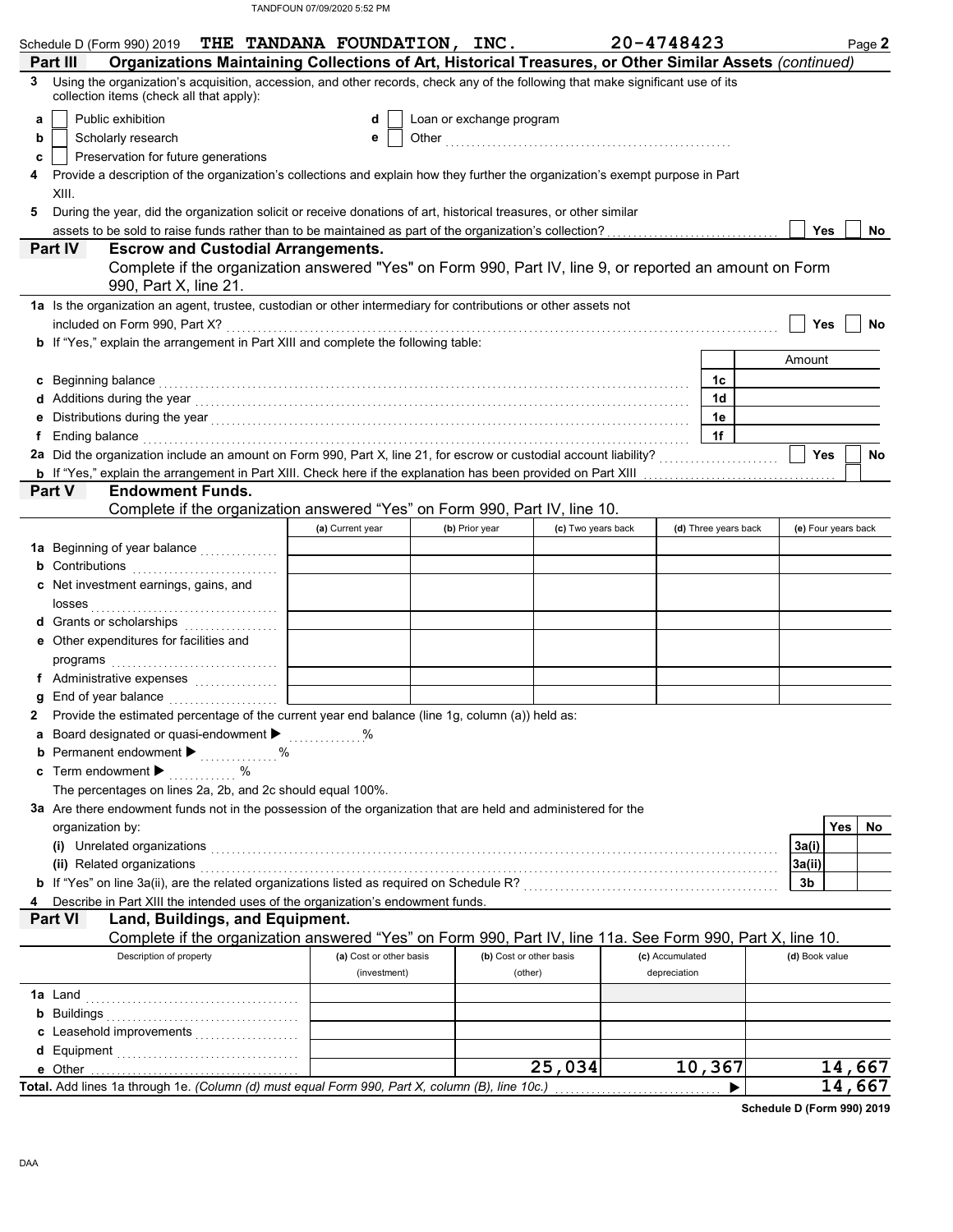|   | Schedule D (Form 990) 2019 THE TANDANA FOUNDATION, INC.                                                                                                                                                                              |                         |                          |                    | 20-4748423      |        |                      |                 | Page 2              |
|---|--------------------------------------------------------------------------------------------------------------------------------------------------------------------------------------------------------------------------------------|-------------------------|--------------------------|--------------------|-----------------|--------|----------------------|-----------------|---------------------|
|   | Organizations Maintaining Collections of Art, Historical Treasures, or Other Similar Assets (continued)<br>Part III                                                                                                                  |                         |                          |                    |                 |        |                      |                 |                     |
| 3 | Using the organization's acquisition, accession, and other records, check any of the following that make significant use of its<br>collection items (check all that apply):                                                          |                         |                          |                    |                 |        |                      |                 |                     |
| a | Public exhibition                                                                                                                                                                                                                    | d                       | Loan or exchange program |                    |                 |        |                      |                 |                     |
| b | Scholarly research                                                                                                                                                                                                                   | е                       |                          |                    |                 |        |                      |                 |                     |
| c | Preservation for future generations                                                                                                                                                                                                  |                         |                          |                    |                 |        |                      |                 |                     |
|   | Provide a description of the organization's collections and explain how they further the organization's exempt purpose in Part                                                                                                       |                         |                          |                    |                 |        |                      |                 |                     |
|   | XIII.                                                                                                                                                                                                                                |                         |                          |                    |                 |        |                      |                 |                     |
| 5 | During the year, did the organization solicit or receive donations of art, historical treasures, or other similar                                                                                                                    |                         |                          |                    |                 |        |                      |                 |                     |
|   |                                                                                                                                                                                                                                      |                         |                          |                    |                 |        |                      | <b>Yes</b>      | No                  |
|   | Part IV<br><b>Escrow and Custodial Arrangements.</b>                                                                                                                                                                                 |                         |                          |                    |                 |        |                      |                 |                     |
|   | Complete if the organization answered "Yes" on Form 990, Part IV, line 9, or reported an amount on Form<br>990, Part X, line 21.                                                                                                     |                         |                          |                    |                 |        |                      |                 |                     |
|   | 1a Is the organization an agent, trustee, custodian or other intermediary for contributions or other assets not                                                                                                                      |                         |                          |                    |                 |        |                      |                 |                     |
|   |                                                                                                                                                                                                                                      |                         |                          |                    |                 |        |                      | Yes             | No                  |
|   | <b>b</b> If "Yes," explain the arrangement in Part XIII and complete the following table:                                                                                                                                            |                         |                          |                    |                 |        |                      |                 |                     |
|   |                                                                                                                                                                                                                                      |                         |                          |                    |                 |        |                      | Amount          |                     |
|   | c Beginning balance <b>contract the contract of the contract of the contract of the contract of the contract of the contract of the contract of the contract of the contract of the contract of the contract of the contract of </b> |                         |                          |                    |                 |        | 1c                   |                 |                     |
|   |                                                                                                                                                                                                                                      |                         |                          |                    |                 |        | 1d                   |                 |                     |
|   |                                                                                                                                                                                                                                      |                         |                          |                    |                 |        | 1e                   |                 |                     |
|   |                                                                                                                                                                                                                                      |                         |                          |                    |                 |        | 1f                   |                 |                     |
|   |                                                                                                                                                                                                                                      |                         |                          |                    |                 |        |                      | <b>Yes</b>      | <b>No</b>           |
|   |                                                                                                                                                                                                                                      |                         |                          |                    |                 |        |                      |                 |                     |
|   | Part V<br><b>Endowment Funds.</b>                                                                                                                                                                                                    |                         |                          |                    |                 |        |                      |                 |                     |
|   | Complete if the organization answered "Yes" on Form 990, Part IV, line 10.                                                                                                                                                           |                         |                          |                    |                 |        |                      |                 |                     |
|   |                                                                                                                                                                                                                                      | (a) Current year        | (b) Prior year           | (c) Two years back |                 |        | (d) Three years back |                 | (e) Four years back |
|   |                                                                                                                                                                                                                                      |                         |                          |                    |                 |        |                      |                 |                     |
|   | <b>b</b> Contributions <b>contributions</b>                                                                                                                                                                                          |                         |                          |                    |                 |        |                      |                 |                     |
|   | c Net investment earnings, gains, and                                                                                                                                                                                                |                         |                          |                    |                 |        |                      |                 |                     |
|   |                                                                                                                                                                                                                                      |                         |                          |                    |                 |        |                      |                 |                     |
|   | d Grants or scholarships                                                                                                                                                                                                             |                         |                          |                    |                 |        |                      |                 |                     |
|   | e Other expenditures for facilities and                                                                                                                                                                                              |                         |                          |                    |                 |        |                      |                 |                     |
|   |                                                                                                                                                                                                                                      |                         |                          |                    |                 |        |                      |                 |                     |
|   | f Administrative expenses [111] [11] Administrative expenses                                                                                                                                                                         |                         |                          |                    |                 |        |                      |                 |                     |
|   |                                                                                                                                                                                                                                      |                         |                          |                    |                 |        |                      |                 |                     |
|   | 2 Provide the estimated percentage of the current year end balance (line 1g, column (a)) held as:                                                                                                                                    |                         |                          |                    |                 |        |                      |                 |                     |
|   | <b>a</b> Board designated or quasi-endowment $\blacktriangleright$                                                                                                                                                                   |                         |                          |                    |                 |        |                      |                 |                     |
| b | Permanent endowment <b>&gt;</b> %                                                                                                                                                                                                    |                         |                          |                    |                 |        |                      |                 |                     |
|   | <b>c</b> Term endowment $\blacktriangleright$<br>. %                                                                                                                                                                                 |                         |                          |                    |                 |        |                      |                 |                     |
|   | The percentages on lines 2a, 2b, and 2c should equal 100%.                                                                                                                                                                           |                         |                          |                    |                 |        |                      |                 |                     |
|   | 3a Are there endowment funds not in the possession of the organization that are held and administered for the                                                                                                                        |                         |                          |                    |                 |        |                      |                 |                     |
|   | organization by:                                                                                                                                                                                                                     |                         |                          |                    |                 |        |                      |                 | Yes<br>No           |
|   | (i) Unrelated organizations (and according to the contract of the contract of the contract of the contract of the contract of the contract of the contract of the contract of the contract of the contract of the contract of        |                         |                          |                    |                 |        |                      | 3a(i)<br>3a(ii) |                     |
|   | (ii) Related organizations <b>constant of the constant of the constant of the constant of the constant of the constant of the constant of the constant of the constant of the constant of the constant of the constant of the co</b> |                         |                          |                    |                 |        |                      | 3b              |                     |
|   | Describe in Part XIII the intended uses of the organization's endowment funds.                                                                                                                                                       |                         |                          |                    |                 |        |                      |                 |                     |
|   | <b>Part VI</b><br>Land, Buildings, and Equipment.                                                                                                                                                                                    |                         |                          |                    |                 |        |                      |                 |                     |
|   | Complete if the organization answered "Yes" on Form 990, Part IV, line 11a. See Form 990, Part X, line 10.                                                                                                                           |                         |                          |                    |                 |        |                      |                 |                     |
|   | Description of property                                                                                                                                                                                                              | (a) Cost or other basis | (b) Cost or other basis  |                    | (c) Accumulated |        |                      | (d) Book value  |                     |
|   |                                                                                                                                                                                                                                      | (investment)            | (other)                  |                    | depreciation    |        |                      |                 |                     |
|   |                                                                                                                                                                                                                                      |                         |                          |                    |                 |        |                      |                 |                     |
| b |                                                                                                                                                                                                                                      |                         |                          |                    |                 |        |                      |                 |                     |
|   | c Leasehold improvements                                                                                                                                                                                                             |                         |                          |                    |                 |        |                      |                 |                     |
| d |                                                                                                                                                                                                                                      |                         |                          |                    |                 |        |                      |                 |                     |
|   |                                                                                                                                                                                                                                      |                         |                          | 25,034             |                 | 10,367 |                      |                 | 14,667              |
|   | Total. Add lines 1a through 1e. (Column (d) must equal Form 990, Part X, column (B), line 10c.)                                                                                                                                      |                         |                          |                    |                 |        |                      |                 | 14,667              |

**Schedule D (Form 990) 2019**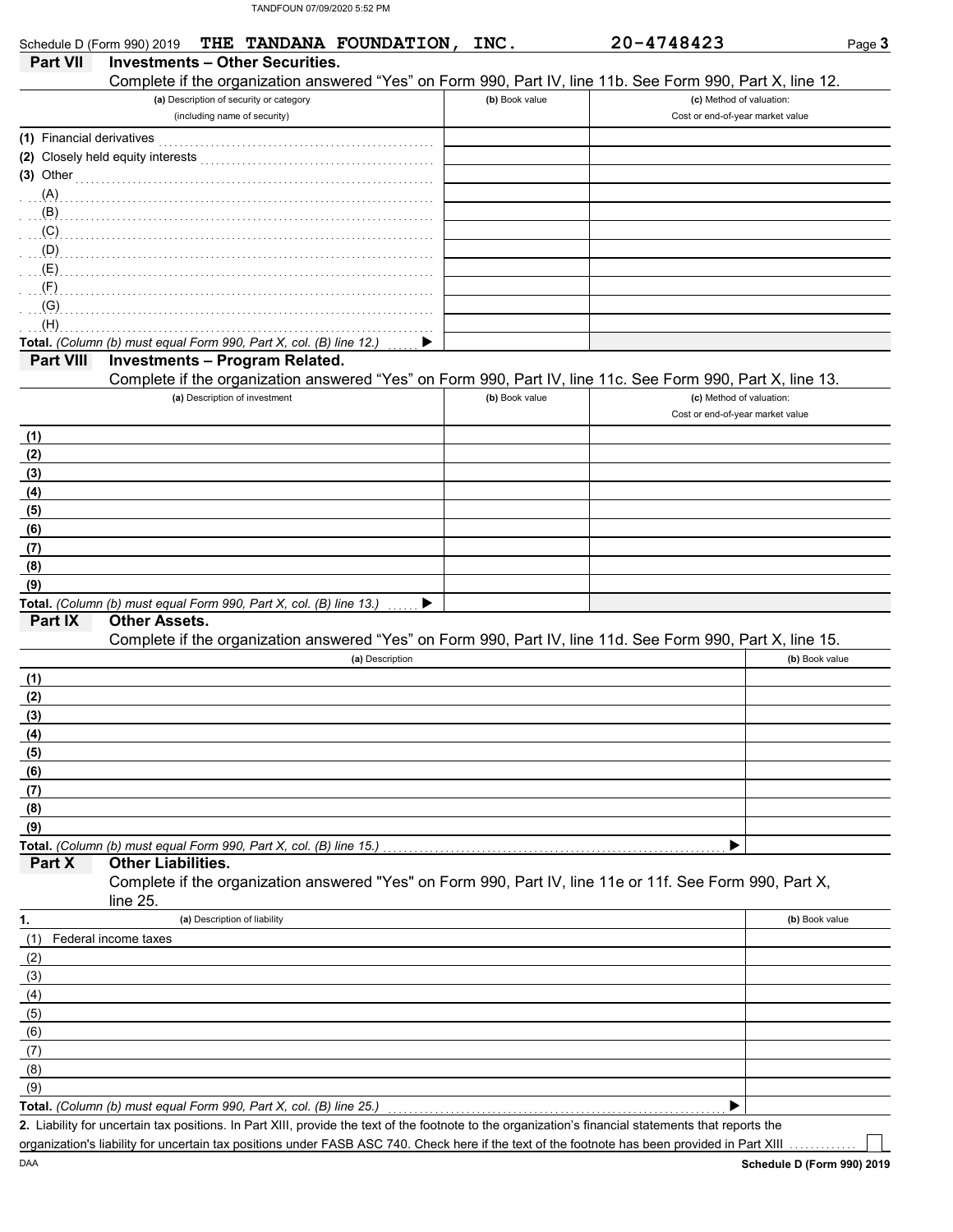| Schedule D (Form 990) 2019 | TANDANA FOUNDATION,<br>THE                                                                                 | INC.           | 20-4748423                       | Page 3         |
|----------------------------|------------------------------------------------------------------------------------------------------------|----------------|----------------------------------|----------------|
| Part VII                   | <b>Investments - Other Securities.</b>                                                                     |                |                                  |                |
|                            | Complete if the organization answered "Yes" on Form 990, Part IV, line 11b. See Form 990, Part X, line 12. |                |                                  |                |
|                            | (a) Description of security or category                                                                    | (b) Book value | (c) Method of valuation:         |                |
|                            | (including name of security)                                                                               |                | Cost or end-of-year market value |                |
| (1) Financial derivatives  |                                                                                                            |                |                                  |                |
|                            | (2) Closely held equity interests                                                                          |                |                                  |                |
| $(3)$ Other                |                                                                                                            |                |                                  |                |
| (A)                        |                                                                                                            |                |                                  |                |
| (B)                        |                                                                                                            |                |                                  |                |
| (C)                        |                                                                                                            |                |                                  |                |
| (D)                        |                                                                                                            |                |                                  |                |
| (E)                        |                                                                                                            |                |                                  |                |
| $(E)$ .                    |                                                                                                            |                |                                  |                |
| (G)                        |                                                                                                            |                |                                  |                |
| (H)                        |                                                                                                            |                |                                  |                |
|                            | Total. (Column (b) must equal Form 990, Part X, col. (B) line 12.)                                         |                |                                  |                |
| <b>Part VIII</b>           | <b>Investments - Program Related.</b>                                                                      |                |                                  |                |
|                            | Complete if the organization answered "Yes" on Form 990, Part IV, line 11c. See Form 990, Part X, line 13. |                |                                  |                |
|                            | (a) Description of investment                                                                              | (b) Book value | (c) Method of valuation:         |                |
|                            |                                                                                                            |                | Cost or end-of-year market value |                |
| (1)                        |                                                                                                            |                |                                  |                |
| (2)                        |                                                                                                            |                |                                  |                |
| (3)                        |                                                                                                            |                |                                  |                |
| (4)                        |                                                                                                            |                |                                  |                |
| (5)                        |                                                                                                            |                |                                  |                |
| (6)                        |                                                                                                            |                |                                  |                |
| (7)                        |                                                                                                            |                |                                  |                |
| (8)                        |                                                                                                            |                |                                  |                |
| (9)                        |                                                                                                            |                |                                  |                |
|                            | Total. (Column (b) must equal Form 990, Part X, col. (B) line 13.)<br>▶                                    |                |                                  |                |
| Part IX                    | <b>Other Assets.</b>                                                                                       |                |                                  |                |
|                            | Complete if the organization answered "Yes" on Form 990, Part IV, line 11d. See Form 990, Part X, line 15. |                |                                  |                |
|                            | (a) Description                                                                                            |                |                                  | (b) Book value |
| (1)                        |                                                                                                            |                |                                  |                |
| (2)                        |                                                                                                            |                |                                  |                |
| (3)                        |                                                                                                            |                |                                  |                |
| (4)                        |                                                                                                            |                |                                  |                |
| (5)                        |                                                                                                            |                |                                  |                |
| (6)                        |                                                                                                            |                |                                  |                |
| (7)                        |                                                                                                            |                |                                  |                |
| (8)                        |                                                                                                            |                |                                  |                |
| (9)                        |                                                                                                            |                |                                  |                |
|                            | Total. (Column (b) must equal Form 990, Part X, col. (B) line 15.)                                         |                |                                  |                |
| Part X                     | <b>Other Liabilities.</b>                                                                                  |                |                                  |                |
|                            | Complete if the organization answered "Yes" on Form 990, Part IV, line 11e or 11f. See Form 990, Part X,   |                |                                  |                |
|                            | line 25.                                                                                                   |                |                                  |                |
| 1.                         | (a) Description of liability                                                                               |                |                                  | (b) Book value |
| (1)                        | Federal income taxes                                                                                       |                |                                  |                |
| (2)                        |                                                                                                            |                |                                  |                |
| (3)                        |                                                                                                            |                |                                  |                |
| (4)                        |                                                                                                            |                |                                  |                |
| (5)                        |                                                                                                            |                |                                  |                |
| (6)                        |                                                                                                            |                |                                  |                |
| (7)                        |                                                                                                            |                |                                  |                |
| (8)                        |                                                                                                            |                |                                  |                |
| (9)                        |                                                                                                            |                |                                  |                |
|                            | Total. (Column (b) must equal Form 990, Part X, col. (B) line 25.)                                         |                |                                  |                |

**Total.** *(Column (b) must equal Form 990, Part X, col. (B) line 25.)* 

Liability for uncertain tax positions. In Part XIII, provide the text of the footnote to the organization's financial statements that reports the **2.**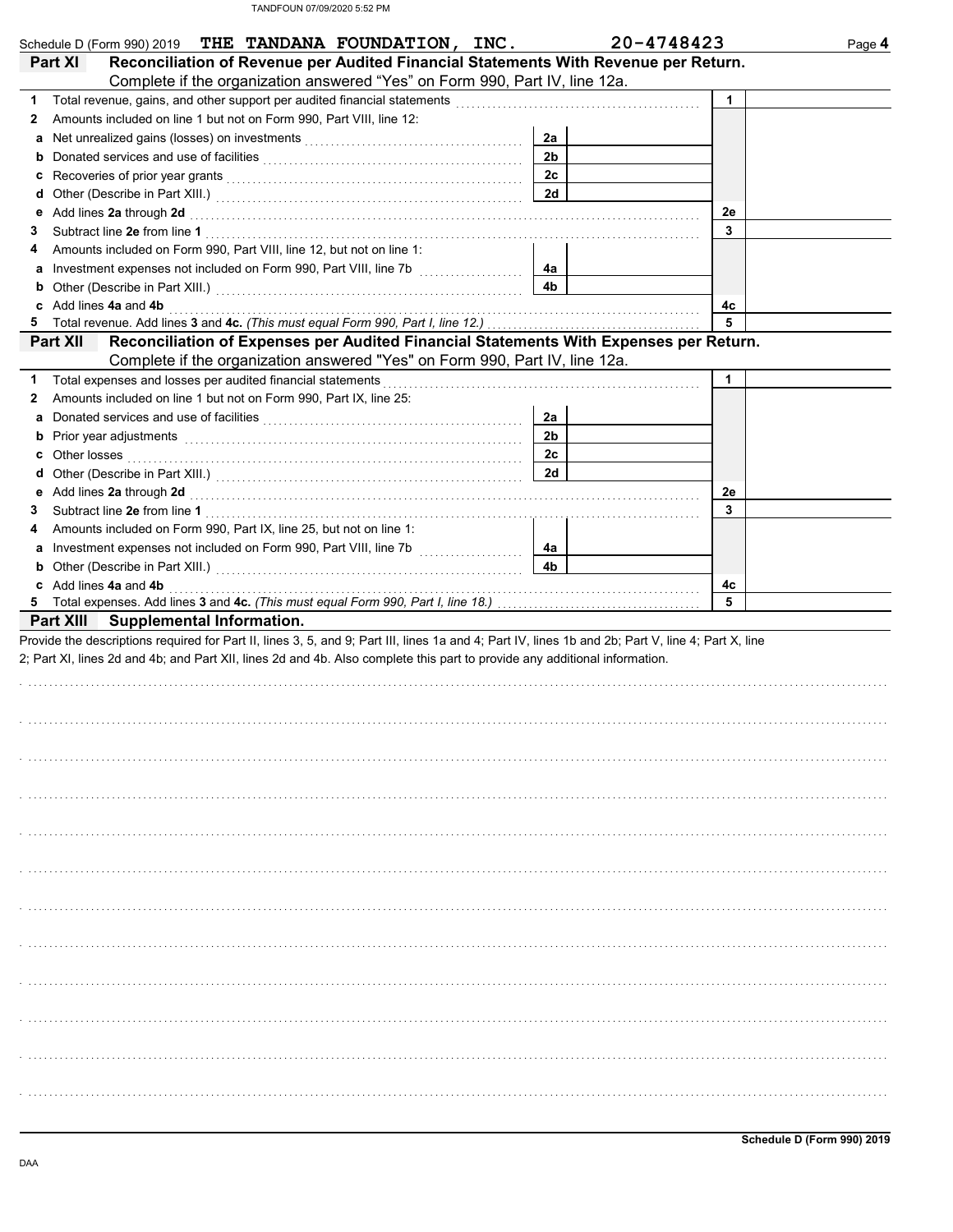| THE TANDANA FOUNDATION, INC.<br>Schedule D (Form 990) 2019                                                                                                                                                                          |                | 20-4748423   | Page 4 |
|-------------------------------------------------------------------------------------------------------------------------------------------------------------------------------------------------------------------------------------|----------------|--------------|--------|
| Reconciliation of Revenue per Audited Financial Statements With Revenue per Return.<br>Part XI                                                                                                                                      |                |              |        |
| Complete if the organization answered "Yes" on Form 990, Part IV, line 12a.                                                                                                                                                         |                |              |        |
| 1                                                                                                                                                                                                                                   |                | $\mathbf{1}$ |        |
| Amounts included on line 1 but not on Form 990, Part VIII, line 12:<br>$\mathbf{2}$                                                                                                                                                 |                |              |        |
|                                                                                                                                                                                                                                     | 2a             |              |        |
| b                                                                                                                                                                                                                                   | 2 <sub>b</sub> |              |        |
| c                                                                                                                                                                                                                                   | 2c             |              |        |
| d                                                                                                                                                                                                                                   | 2d             |              |        |
| Add lines 2a through 2d [11] March 2014 [12] March 2014 [12] March 2014 [12] March 2014 [12] March 2014 [12] March 2014 [12] March 2014 [12] March 2014 [12] March 2014 [12] March 2014 [12] March 2014 [12] March 2014 [12] M<br>е |                | 2e           |        |
| З                                                                                                                                                                                                                                   |                | 3            |        |
| Amounts included on Form 990, Part VIII, line 12, but not on line 1:<br>4                                                                                                                                                           |                |              |        |
|                                                                                                                                                                                                                                     | 4a             |              |        |
| c Add lines 4a and 4b                                                                                                                                                                                                               | 4b             |              |        |
| 5                                                                                                                                                                                                                                   |                | 4c<br>5      |        |
| Reconciliation of Expenses per Audited Financial Statements With Expenses per Return.<br>Part XII                                                                                                                                   |                |              |        |
| Complete if the organization answered "Yes" on Form 990, Part IV, line 12a.                                                                                                                                                         |                |              |        |
| Total expenses and losses per audited financial statements<br>1                                                                                                                                                                     |                | 1            |        |
| Amounts included on line 1 but not on Form 990, Part IX, line 25:<br>2                                                                                                                                                              |                |              |        |
| a                                                                                                                                                                                                                                   | 2a             |              |        |
|                                                                                                                                                                                                                                     | 2b             |              |        |
| C                                                                                                                                                                                                                                   | 2c             |              |        |
| d                                                                                                                                                                                                                                   | 2d             |              |        |
| е                                                                                                                                                                                                                                   |                | 2e           |        |
| 3                                                                                                                                                                                                                                   |                | 3            |        |
| Amounts included on Form 990, Part IX, line 25, but not on line 1:<br>4                                                                                                                                                             |                |              |        |
| a Investment expenses not included on Form 990, Part VIII, line 7b                                                                                                                                                                  | 4a             |              |        |
|                                                                                                                                                                                                                                     | 4b             |              |        |
| c Add lines 4a and 4b                                                                                                                                                                                                               |                | 4c           |        |
|                                                                                                                                                                                                                                     |                | 5            |        |
| Part XIII Supplemental Information.                                                                                                                                                                                                 |                |              |        |
| Provide the descriptions required for Part II, lines 3, 5, and 9; Part III, lines 1a and 4; Part IV, lines 1b and 2b; Part V, line 4; Part X, line                                                                                  |                |              |        |
| 2; Part XI, lines 2d and 4b; and Part XII, lines 2d and 4b. Also complete this part to provide any additional information.                                                                                                          |                |              |        |
|                                                                                                                                                                                                                                     |                |              |        |
|                                                                                                                                                                                                                                     |                |              |        |
|                                                                                                                                                                                                                                     |                |              |        |
|                                                                                                                                                                                                                                     |                |              |        |
|                                                                                                                                                                                                                                     |                |              |        |
|                                                                                                                                                                                                                                     |                |              |        |
|                                                                                                                                                                                                                                     |                |              |        |
|                                                                                                                                                                                                                                     |                |              |        |
|                                                                                                                                                                                                                                     |                |              |        |
|                                                                                                                                                                                                                                     |                |              |        |
|                                                                                                                                                                                                                                     |                |              |        |
|                                                                                                                                                                                                                                     |                |              |        |
|                                                                                                                                                                                                                                     |                |              |        |
|                                                                                                                                                                                                                                     |                |              |        |
|                                                                                                                                                                                                                                     |                |              |        |
|                                                                                                                                                                                                                                     |                |              |        |
|                                                                                                                                                                                                                                     |                |              |        |
|                                                                                                                                                                                                                                     |                |              |        |
|                                                                                                                                                                                                                                     |                |              |        |
|                                                                                                                                                                                                                                     |                |              |        |
|                                                                                                                                                                                                                                     |                |              |        |
|                                                                                                                                                                                                                                     |                |              |        |
|                                                                                                                                                                                                                                     |                |              |        |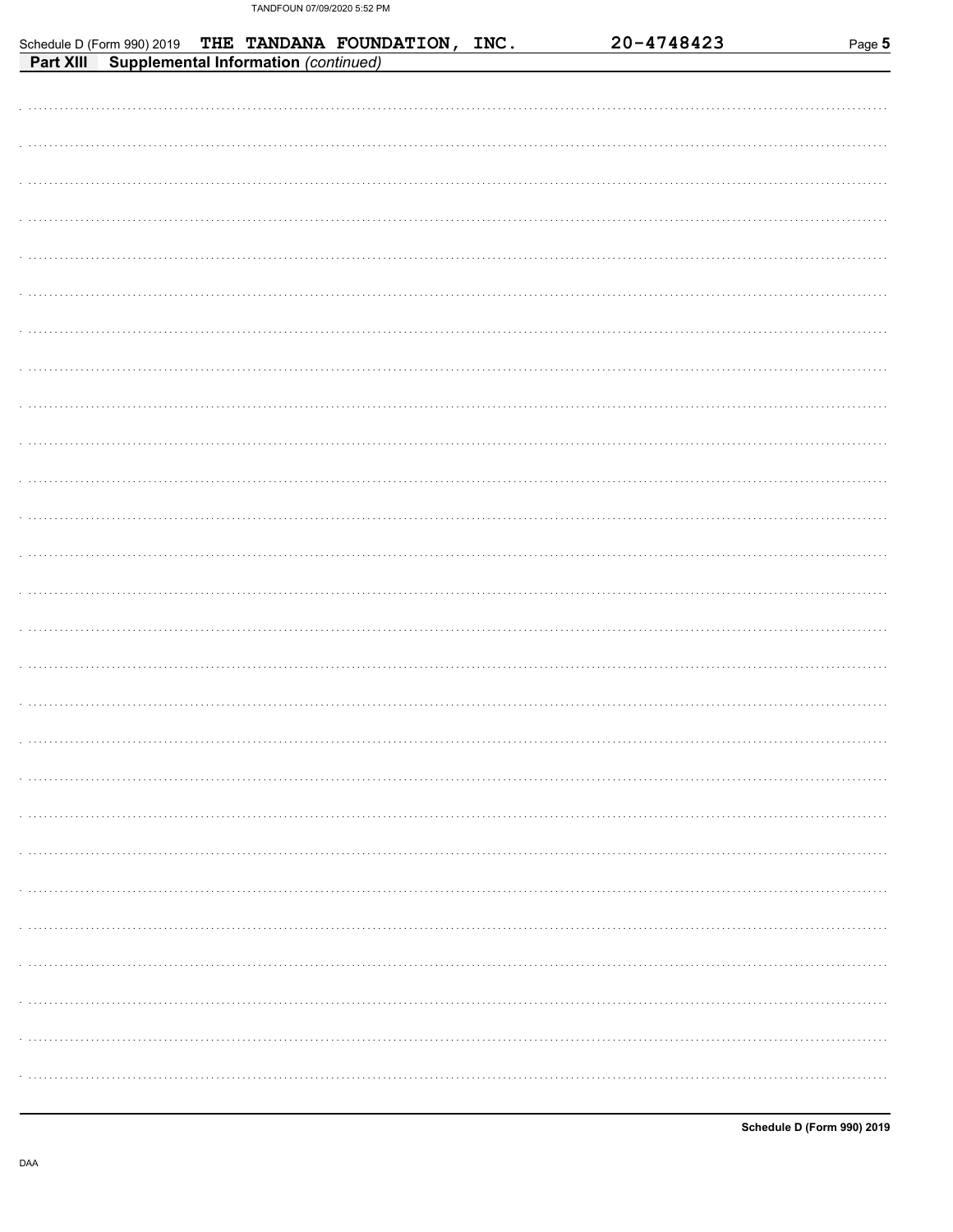|  |  | Schedule D (Form 990) 2019 THE TANDANA FOUNDATION, INC.<br>Part XIII Supplemental Information (continued) | 20-4748423 | Page 5 |
|--|--|-----------------------------------------------------------------------------------------------------------|------------|--------|
|  |  |                                                                                                           |            |        |
|  |  |                                                                                                           |            |        |
|  |  |                                                                                                           |            |        |
|  |  |                                                                                                           |            |        |
|  |  |                                                                                                           |            |        |
|  |  |                                                                                                           |            |        |
|  |  |                                                                                                           |            |        |
|  |  |                                                                                                           |            |        |
|  |  |                                                                                                           |            |        |
|  |  |                                                                                                           |            |        |
|  |  |                                                                                                           |            |        |
|  |  |                                                                                                           |            |        |
|  |  |                                                                                                           |            |        |
|  |  |                                                                                                           |            |        |
|  |  |                                                                                                           |            |        |
|  |  |                                                                                                           |            |        |
|  |  |                                                                                                           |            |        |
|  |  |                                                                                                           |            |        |
|  |  |                                                                                                           |            |        |
|  |  |                                                                                                           |            |        |
|  |  |                                                                                                           |            |        |
|  |  |                                                                                                           |            |        |
|  |  |                                                                                                           |            |        |
|  |  |                                                                                                           |            |        |
|  |  |                                                                                                           |            |        |
|  |  |                                                                                                           |            |        |
|  |  |                                                                                                           |            |        |
|  |  |                                                                                                           |            |        |
|  |  |                                                                                                           |            |        |
|  |  |                                                                                                           |            |        |
|  |  |                                                                                                           |            |        |
|  |  |                                                                                                           |            |        |
|  |  |                                                                                                           |            |        |
|  |  |                                                                                                           |            |        |
|  |  |                                                                                                           |            |        |
|  |  |                                                                                                           |            |        |
|  |  |                                                                                                           |            |        |
|  |  |                                                                                                           |            |        |
|  |  |                                                                                                           |            |        |
|  |  |                                                                                                           |            |        |
|  |  |                                                                                                           |            |        |
|  |  |                                                                                                           |            |        |
|  |  |                                                                                                           |            |        |
|  |  |                                                                                                           |            |        |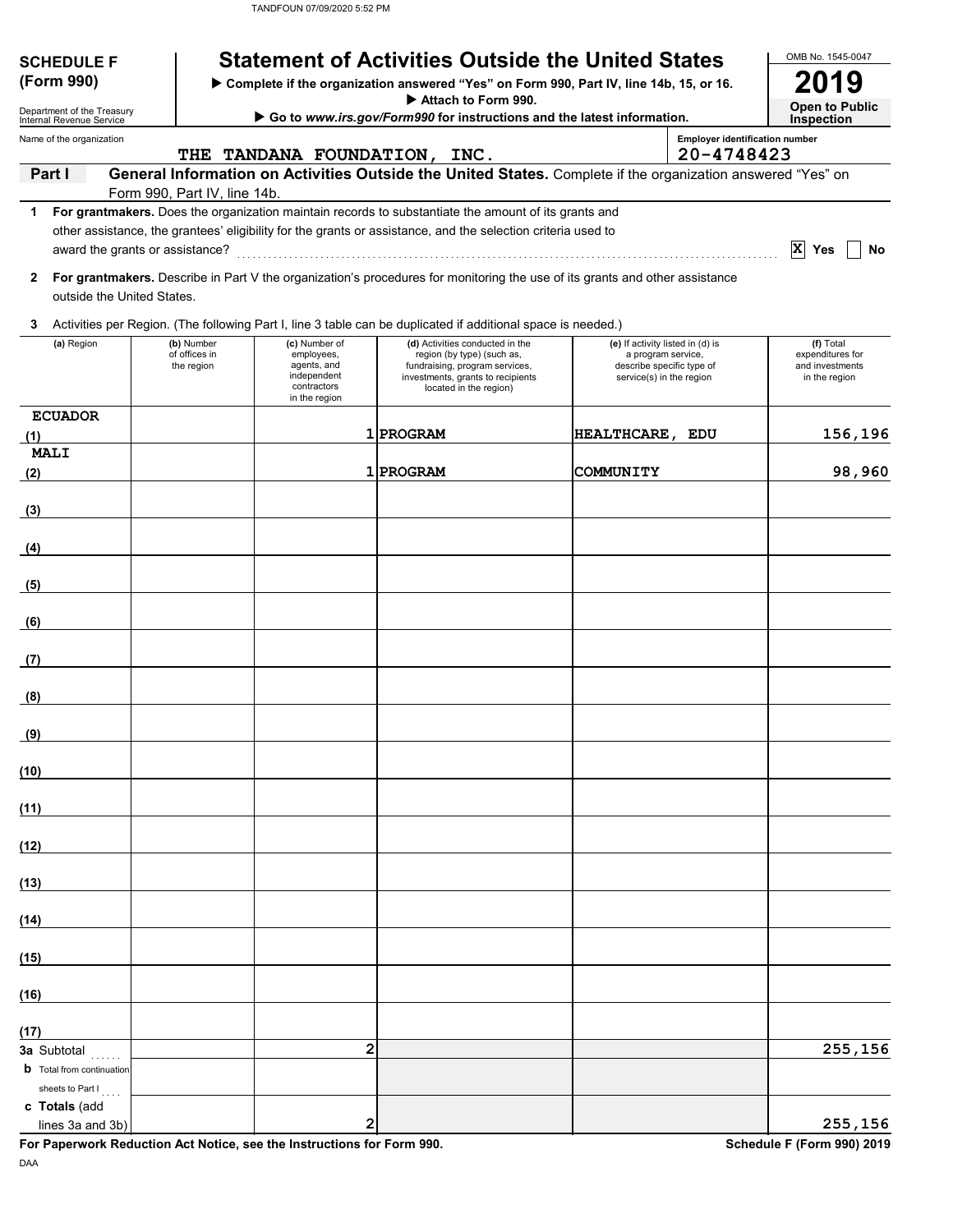| <b>SCHEDULE F</b><br>(Form 990)<br>Department of the Treasury<br>Internal Revenue Service | <b>Statement of Activities Outside the United States</b><br>OMB No. 1545-0047<br>2019<br>▶ Complete if the organization answered "Yes" on Form 990, Part IV, line 14b, 15, or 16.<br><b>Open to Public</b><br>Inspection |                                                                                           |                                                                                                                                                                                                                                             |                                                                                                                 |                                                                   |  |  |
|-------------------------------------------------------------------------------------------|--------------------------------------------------------------------------------------------------------------------------------------------------------------------------------------------------------------------------|-------------------------------------------------------------------------------------------|---------------------------------------------------------------------------------------------------------------------------------------------------------------------------------------------------------------------------------------------|-----------------------------------------------------------------------------------------------------------------|-------------------------------------------------------------------|--|--|
| Name of the organization                                                                  | <b>Employer identification number</b><br>20-4748423<br>THE TANDANA FOUNDATION, INC.                                                                                                                                      |                                                                                           |                                                                                                                                                                                                                                             |                                                                                                                 |                                                                   |  |  |
| Part I                                                                                    | Form 990. Part IV. line 14b.                                                                                                                                                                                             |                                                                                           | General Information on Activities Outside the United States. Complete if the organization answered "Yes" on                                                                                                                                 |                                                                                                                 |                                                                   |  |  |
| $\mathbf 1$<br>award the grants or assistance?                                            |                                                                                                                                                                                                                          |                                                                                           | For grantmakers. Does the organization maintain records to substantiate the amount of its grants and<br>other assistance, the grantees' eligibility for the grants or assistance, and the selection criteria used to                        |                                                                                                                 | $ \mathbf{x} $<br>Yes<br><b>No</b>                                |  |  |
| 2<br>outside the United States.                                                           |                                                                                                                                                                                                                          |                                                                                           | For grantmakers. Describe in Part V the organization's procedures for monitoring the use of its grants and other assistance<br>Activities per Region. (The following Part I, line 3 table can be duplicated if additional space is needed.) |                                                                                                                 |                                                                   |  |  |
| (a) Region                                                                                | (b) Number<br>of offices in<br>the region                                                                                                                                                                                | (c) Number of<br>employees,<br>agents, and<br>independent<br>contractors<br>in the region | (d) Activities conducted in the<br>region (by type) (such as,<br>fundraising, program services,<br>investments, grants to recipients<br>located in the region)                                                                              | (e) If activity listed in (d) is<br>a program service,<br>describe specific type of<br>service(s) in the region | (f) Total<br>expenditures for<br>and investments<br>in the region |  |  |
| <b>ECUADOR</b><br>(1)                                                                     |                                                                                                                                                                                                                          |                                                                                           | 1 PROGRAM                                                                                                                                                                                                                                   | HEALTHCARE, EDU                                                                                                 | 156,196                                                           |  |  |
| <b>MALI</b>                                                                               |                                                                                                                                                                                                                          |                                                                                           |                                                                                                                                                                                                                                             |                                                                                                                 |                                                                   |  |  |
| (2)                                                                                       |                                                                                                                                                                                                                          |                                                                                           | 1 PROGRAM                                                                                                                                                                                                                                   | COMMUNITY                                                                                                       | 98,960                                                            |  |  |
| (3)                                                                                       |                                                                                                                                                                                                                          |                                                                                           |                                                                                                                                                                                                                                             |                                                                                                                 |                                                                   |  |  |
| (4)                                                                                       |                                                                                                                                                                                                                          |                                                                                           |                                                                                                                                                                                                                                             |                                                                                                                 |                                                                   |  |  |
| (5)                                                                                       |                                                                                                                                                                                                                          |                                                                                           |                                                                                                                                                                                                                                             |                                                                                                                 |                                                                   |  |  |
| (6)                                                                                       |                                                                                                                                                                                                                          |                                                                                           |                                                                                                                                                                                                                                             |                                                                                                                 |                                                                   |  |  |

| (7)                              |             |  |         |
|----------------------------------|-------------|--|---------|
| (8)                              |             |  |         |
| (9)                              |             |  |         |
| (10)                             |             |  |         |
| (11)                             |             |  |         |
| (12)                             |             |  |         |
| (13)                             |             |  |         |
| (14)                             |             |  |         |
| (15)                             |             |  |         |
| (16)                             |             |  |         |
| (17)                             |             |  |         |
| 3a Subtotal                      | $\mathbf 2$ |  | 255,156 |
| <b>b</b> Total from continuation |             |  |         |
| sheets to Part I                 |             |  |         |
| c Totals (add                    |             |  |         |
| lines 3a and 3b)                 | $\mathbf 2$ |  | 255,156 |

For Paperwork Reduction Act Notice, see the Instructions for Form 990.

**2 255,156**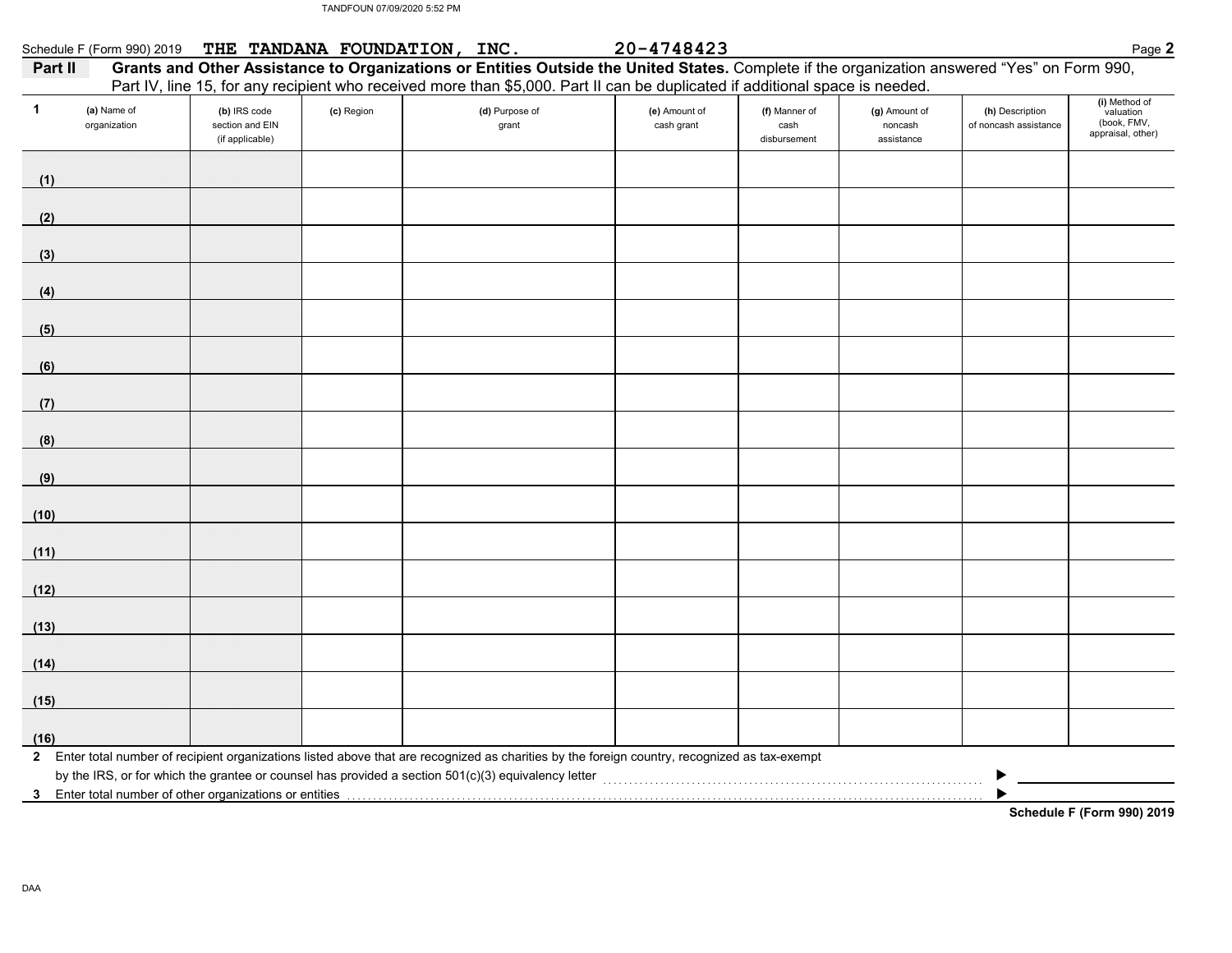| $\overline{1}$ |                             |                                                    |            | Part IV, line 15, for any recipient who received more than \$5,000. Part II can be duplicated if additional space is needed. |                             |                                       |                                        |                                          | (i) Method of                                 |
|----------------|-----------------------------|----------------------------------------------------|------------|------------------------------------------------------------------------------------------------------------------------------|-----------------------------|---------------------------------------|----------------------------------------|------------------------------------------|-----------------------------------------------|
|                | (a) Name of<br>organization | (b) IRS code<br>section and EIN<br>(if applicable) | (c) Region | (d) Purpose of<br>grant                                                                                                      | (e) Amount of<br>cash grant | (f) Manner of<br>cash<br>disbursement | (g) Amount of<br>noncash<br>assistance | (h) Description<br>of noncash assistance | valuation<br>(book, FMV,<br>appraisal, other) |
| (1)            |                             |                                                    |            |                                                                                                                              |                             |                                       |                                        |                                          |                                               |
| (2)            |                             |                                                    |            |                                                                                                                              |                             |                                       |                                        |                                          |                                               |
| (3)            |                             |                                                    |            |                                                                                                                              |                             |                                       |                                        |                                          |                                               |
| (4)            |                             |                                                    |            |                                                                                                                              |                             |                                       |                                        |                                          |                                               |
| (5)            |                             |                                                    |            |                                                                                                                              |                             |                                       |                                        |                                          |                                               |
| (6)            |                             |                                                    |            |                                                                                                                              |                             |                                       |                                        |                                          |                                               |
| (7)            |                             |                                                    |            |                                                                                                                              |                             |                                       |                                        |                                          |                                               |
| (8)            |                             |                                                    |            |                                                                                                                              |                             |                                       |                                        |                                          |                                               |
| (9)            |                             |                                                    |            |                                                                                                                              |                             |                                       |                                        |                                          |                                               |
| (10)           |                             |                                                    |            |                                                                                                                              |                             |                                       |                                        |                                          |                                               |
| (11)           |                             |                                                    |            |                                                                                                                              |                             |                                       |                                        |                                          |                                               |
| (12)           |                             |                                                    |            |                                                                                                                              |                             |                                       |                                        |                                          |                                               |
| (13)           |                             |                                                    |            |                                                                                                                              |                             |                                       |                                        |                                          |                                               |
| (14)           |                             |                                                    |            |                                                                                                                              |                             |                                       |                                        |                                          |                                               |
| (15)           |                             |                                                    |            |                                                                                                                              |                             |                                       |                                        |                                          |                                               |
| (16)           |                             |                                                    |            |                                                                                                                              |                             |                                       |                                        |                                          |                                               |

3 Enter total number of other organizations or entities with the content to content the content of the content of the content of the content of the content of the content of the content of the content of the content of the

**Schedule F (Form 990) 2019**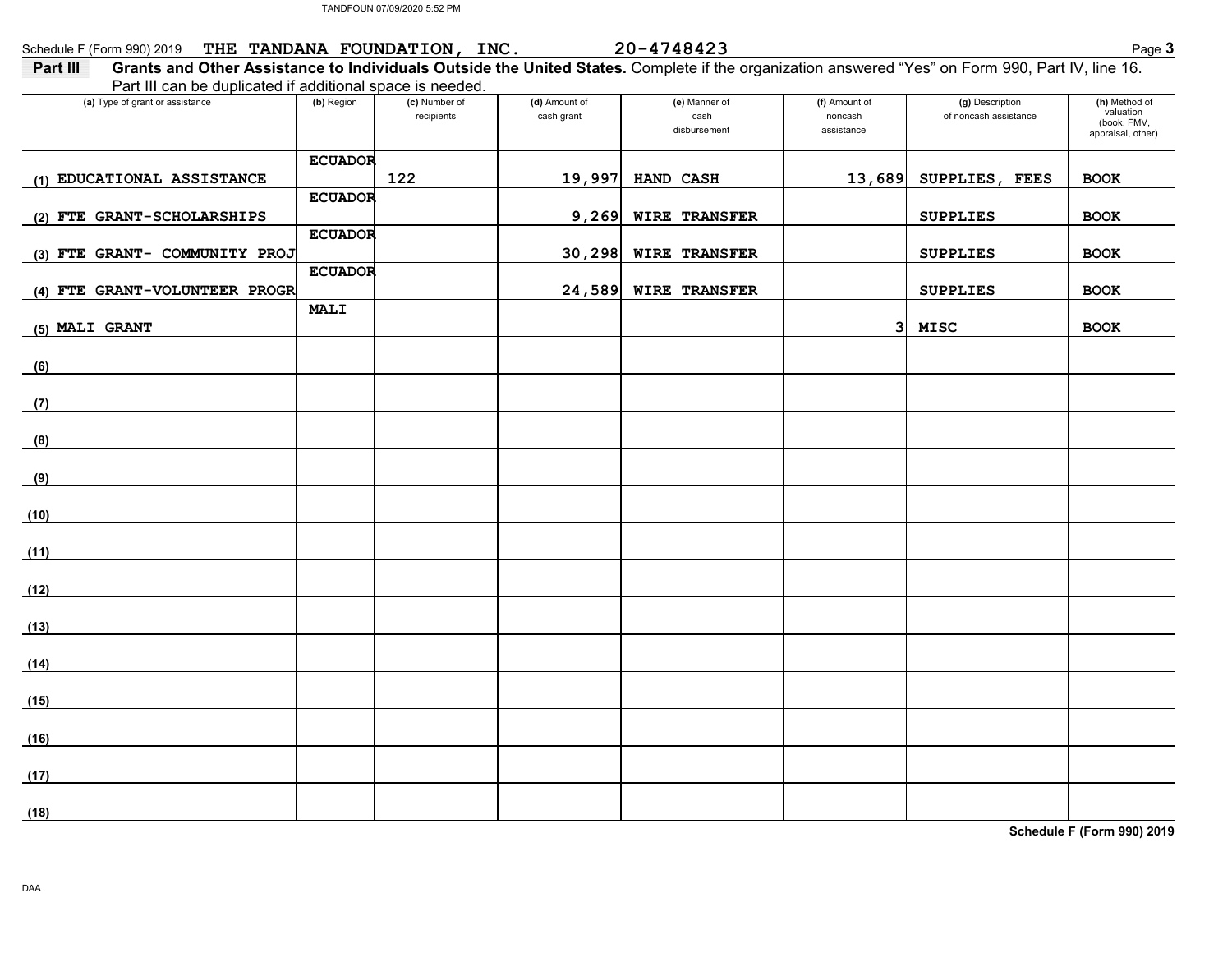recipients Schedule F (Form 990) 2019 Page **3 THE TANDANA FOUNDATION, INC. 20-4748423 Part III Grants and Other Assistance to Individuals Outside the United States.** Complete if the organization answered "Yes" on Form 990, Part IV, line 16. disbursementcash grant **cash (a)** Type of grant or assistance **(b)** Region **(c)** Number of **(d)** Amount of **(e)** Manner of **(f)** Amount of noncashassistanceof noncash assistance**(g)** Description **(h)** Method of valuation (book, FMV, appraisal, other) Part III can be duplicated if additional space is needed. **(1) EDUCATIONAL ASSISTANCE (2) FTE GRANT-SCHOLARSHIPS(3) FTE GRANT- COMMUNITY PROJ(4) FTE GRANT-VOLUNTEER PROGR (5) MALI GRANT (6) (7) (8) (9) (10) (11) (12) (13) (14) (15) (16) (17) (18) ECUADOR122 19,997 HAND CASH 13,689 SUPPLIES, FEES BOOK ECUADOR9,269 WIRE TRANSFER SUPPLIES BOOK ECUADOR30,298 WIRE TRANSFER SUPPLIES BOOK ECUADOR24,589 WIRE TRANSFER SUPPLIES BOOK MALI3 MISC BOOK**

**Schedule F (Form 990) 2019**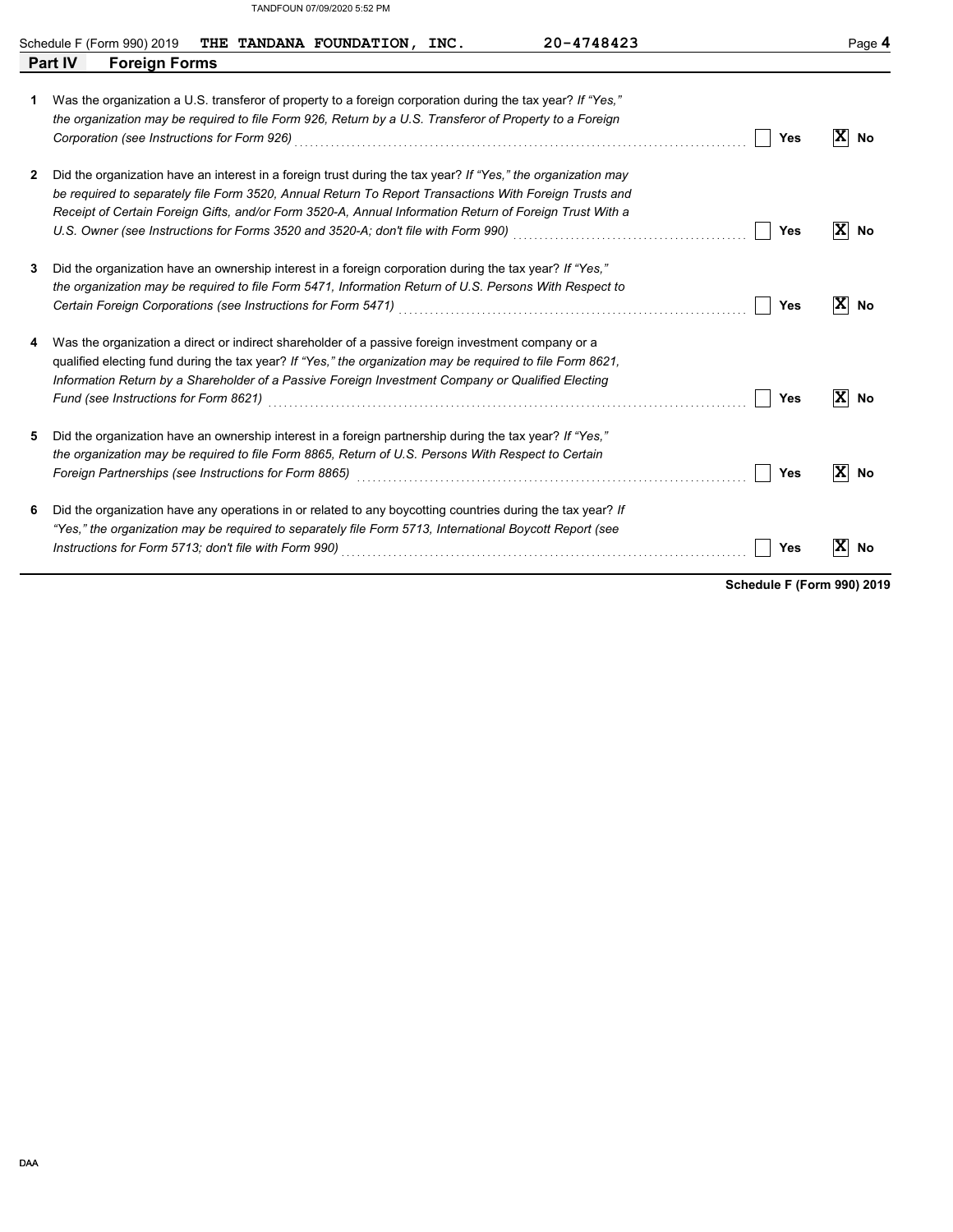|   |                | Schedule F (Form 990) 2019 |  | THE TANDANA FOUNDATION, INC.                                  | 20-4748423                                                                                                                                                                                                                                                                                                                                                                                                                                          |     |                | Page 4 |
|---|----------------|----------------------------|--|---------------------------------------------------------------|-----------------------------------------------------------------------------------------------------------------------------------------------------------------------------------------------------------------------------------------------------------------------------------------------------------------------------------------------------------------------------------------------------------------------------------------------------|-----|----------------|--------|
|   | <b>Part IV</b> | <b>Foreign Forms</b>       |  |                                                               |                                                                                                                                                                                                                                                                                                                                                                                                                                                     |     |                |        |
| 1 |                |                            |  |                                                               | Was the organization a U.S. transferor of property to a foreign corporation during the tax year? If "Yes,"<br>the organization may be required to file Form 926, Return by a U.S. Transferor of Property to a Foreign                                                                                                                                                                                                                               | Yes | X No           |        |
| 2 |                |                            |  |                                                               | Did the organization have an interest in a foreign trust during the tax year? If "Yes," the organization may<br>be required to separately file Form 3520, Annual Return To Report Transactions With Foreign Trusts and<br>Receipt of Certain Foreign Gifts, and/or Form 3520-A, Annual Information Return of Foreign Trust With a<br>U.S. Owner (see Instructions for Forms 3520 and 3520-A; don't file with Form 990) [[[[[[[[[[[[[[[[[[[[[[[[[[[[ | Yes | $ X $ No       |        |
| 3 |                |                            |  | Certain Foreign Corporations (see Instructions for Form 5471) | Did the organization have an ownership interest in a foreign corporation during the tax year? If "Yes,"<br>the organization may be required to file Form 5471, Information Return of U.S. Persons With Respect to                                                                                                                                                                                                                                   | Yes | X No           |        |
| 4 |                |                            |  |                                                               | Was the organization a direct or indirect shareholder of a passive foreign investment company or a<br>qualified electing fund during the tax year? If "Yes," the organization may be required to file Form 8621,<br>Information Return by a Shareholder of a Passive Foreign Investment Company or Qualified Electing                                                                                                                               | Yes | $ X $ No       |        |
| 5 |                |                            |  |                                                               | Did the organization have an ownership interest in a foreign partnership during the tax year? If "Yes,"<br>the organization may be required to file Form 8865, Return of U.S. Persons With Respect to Certain                                                                                                                                                                                                                                       | Yes | X No           |        |
| 6 |                |                            |  |                                                               | Did the organization have any operations in or related to any boycotting countries during the tax year? If<br>"Yes," the organization may be required to separately file Form 5713, International Boycott Report (see                                                                                                                                                                                                                               | Yes | $ \mathbf{x} $ | No     |

**Schedule F (Form 990) 2019**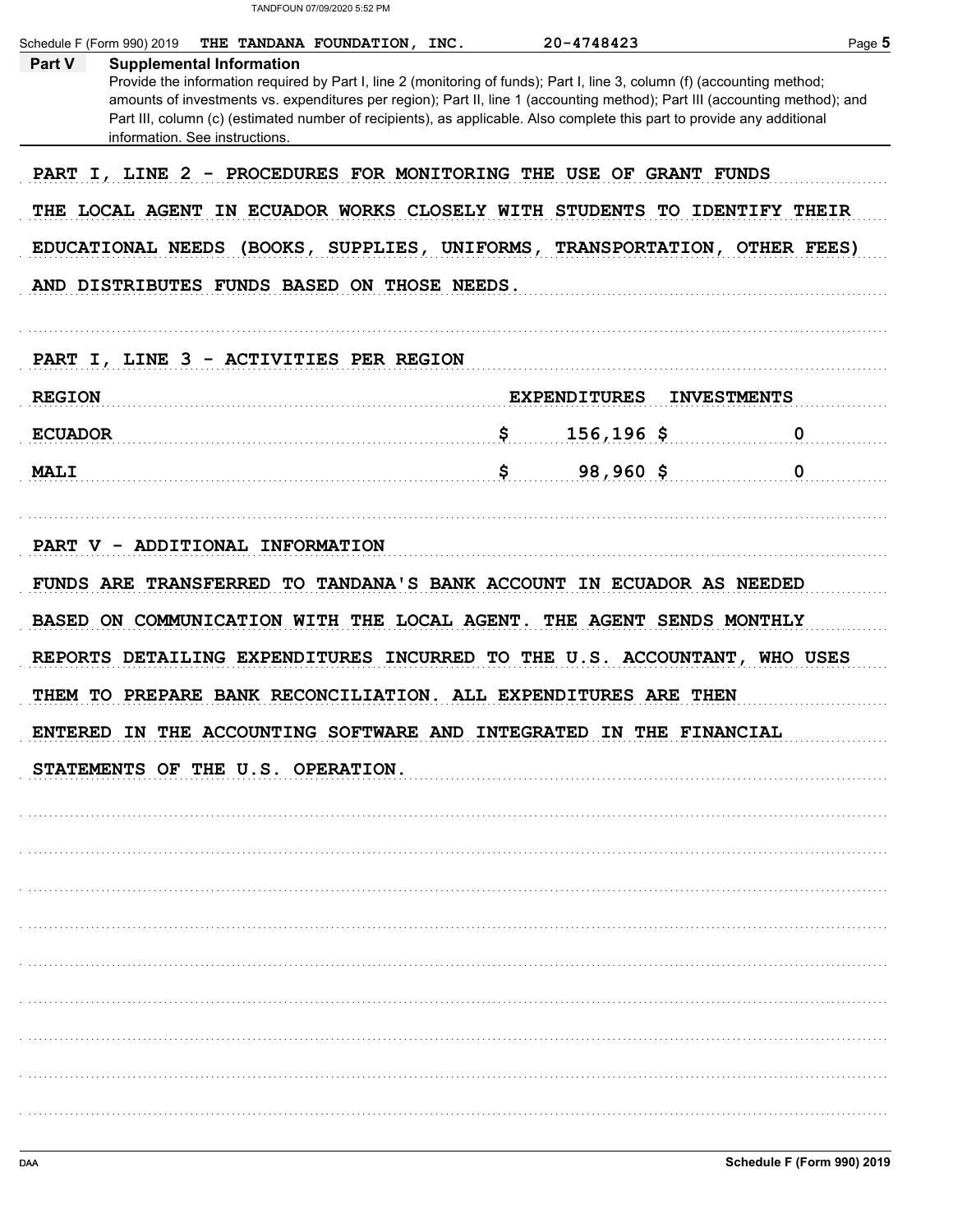|                | Schedule F (Form 990) 2019<br>THE TANDANA FOUNDATION, INC.                                                                                                                                                                                             | 20-4748423          |                         | Page 5 |
|----------------|--------------------------------------------------------------------------------------------------------------------------------------------------------------------------------------------------------------------------------------------------------|---------------------|-------------------------|--------|
| Part V         | <b>Supplemental Information</b><br>Provide the information required by Part I, line 2 (monitoring of funds); Part I, line 3, column (f) (accounting method;                                                                                            |                     |                         |        |
|                | amounts of investments vs. expenditures per region); Part II, line 1 (accounting method); Part III (accounting method); and<br>Part III, column (c) (estimated number of recipients), as applicable. Also complete this part to provide any additional |                     |                         |        |
|                | information. See instructions.                                                                                                                                                                                                                         |                     |                         |        |
|                | PART I, LINE 2 - PROCEDURES FOR MONITORING THE USE OF GRANT FUNDS                                                                                                                                                                                      |                     |                         |        |
|                |                                                                                                                                                                                                                                                        |                     |                         |        |
|                | THE LOCAL AGENT IN ECUADOR WORKS CLOSELY WITH STUDENTS TO IDENTIFY THEIR                                                                                                                                                                               |                     |                         |        |
|                | EDUCATIONAL NEEDS (BOOKS, SUPPLIES, UNIFORMS, TRANSPORTATION, OTHER FEES)                                                                                                                                                                              |                     |                         |        |
|                | AND DISTRIBUTES FUNDS BASED ON THOSE NEEDS.                                                                                                                                                                                                            |                     |                         |        |
|                |                                                                                                                                                                                                                                                        |                     |                         |        |
|                |                                                                                                                                                                                                                                                        |                     |                         |        |
|                | PART I, LINE 3 - ACTIVITIES PER REGION                                                                                                                                                                                                                 |                     |                         |        |
| <b>REGION</b>  |                                                                                                                                                                                                                                                        | <b>EXPENDITURES</b> | <b>INVESTMENTS</b>      |        |
| <b>ECUADOR</b> |                                                                                                                                                                                                                                                        | \$<br>$156, 196$ \$ |                         | 0      |
| <b>MALI</b>    |                                                                                                                                                                                                                                                        | \$<br>$98,960$ \$   |                         | 0      |
|                |                                                                                                                                                                                                                                                        |                     |                         |        |
|                |                                                                                                                                                                                                                                                        |                     |                         |        |
| PART V         | - ADDITIONAL INFORMATION                                                                                                                                                                                                                               |                     |                         |        |
|                | FUNDS ARE TRANSFERRED TO TANDANA'S BANK ACCOUNT IN ECUADOR AS NEEDED                                                                                                                                                                                   |                     |                         |        |
|                | BASED ON COMMUNICATION WITH THE LOCAL AGENT.                                                                                                                                                                                                           |                     | THE AGENT SENDS MONTHLY |        |
|                |                                                                                                                                                                                                                                                        |                     |                         |        |
|                | REPORTS DETAILING EXPENDITURES INCURRED TO THE U.S. ACCOUNTANT, WHO USES                                                                                                                                                                               |                     |                         |        |
|                | THEM TO PREPARE BANK RECONCILIATION. ALL EXPENDITURES ARE THEN                                                                                                                                                                                         |                     |                         |        |
|                | ENTERED IN THE ACCOUNTING SOFTWARE AND INTEGRATED IN THE FINANCIAL                                                                                                                                                                                     |                     |                         |        |
|                |                                                                                                                                                                                                                                                        |                     |                         |        |
|                | STATEMENTS OF THE U.S. OPERATION.                                                                                                                                                                                                                      |                     |                         |        |
|                |                                                                                                                                                                                                                                                        |                     |                         |        |
|                |                                                                                                                                                                                                                                                        |                     |                         |        |
|                |                                                                                                                                                                                                                                                        |                     |                         |        |
|                |                                                                                                                                                                                                                                                        |                     |                         |        |
|                |                                                                                                                                                                                                                                                        |                     |                         |        |
|                |                                                                                                                                                                                                                                                        |                     |                         |        |
|                |                                                                                                                                                                                                                                                        |                     |                         |        |
|                |                                                                                                                                                                                                                                                        |                     |                         |        |
|                |                                                                                                                                                                                                                                                        |                     |                         |        |
|                |                                                                                                                                                                                                                                                        |                     |                         |        |
|                |                                                                                                                                                                                                                                                        |                     |                         |        |
|                |                                                                                                                                                                                                                                                        |                     |                         |        |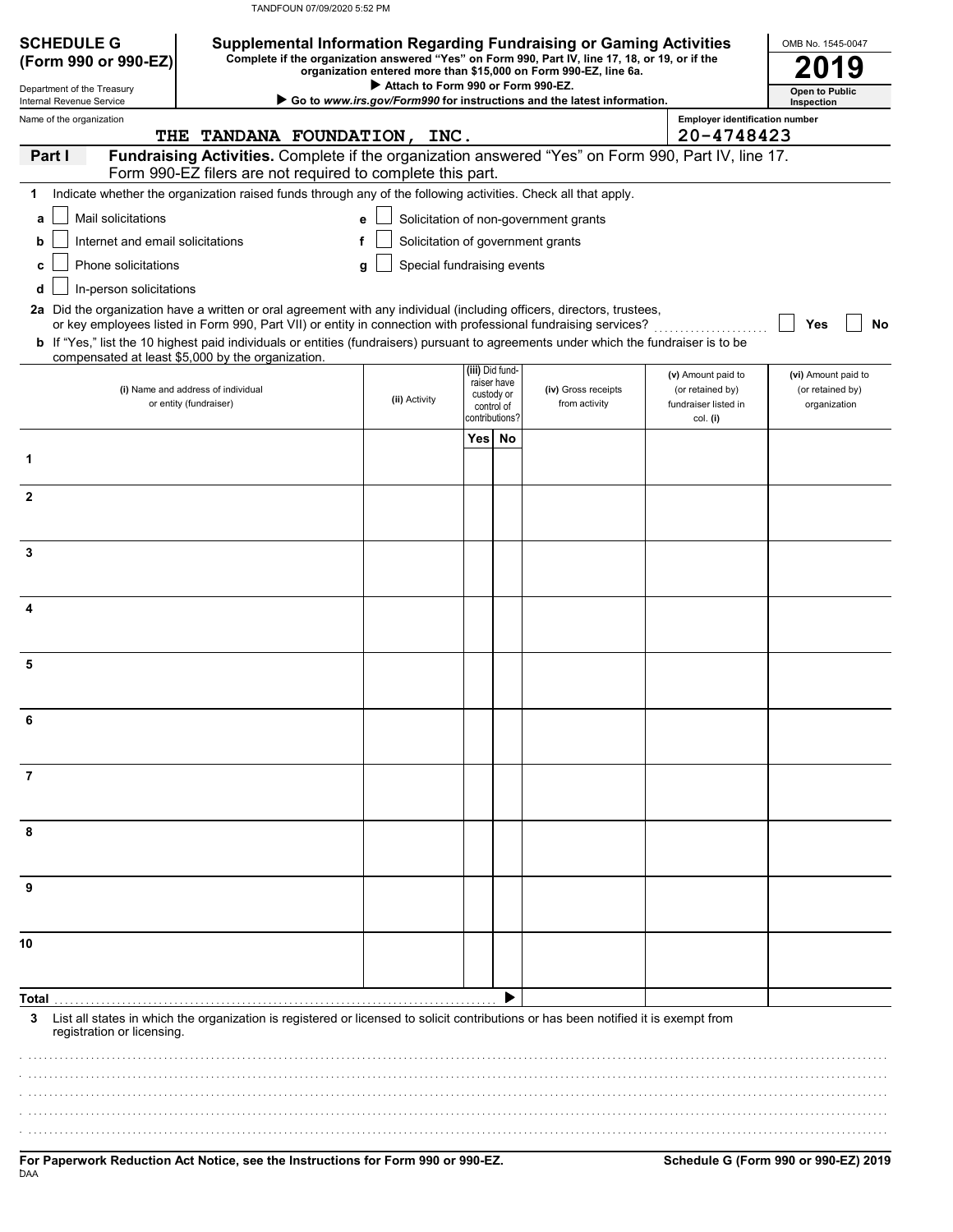| <b>SCHEDULE G</b><br>(Form 990 or 990-EZ)              | <b>Supplemental Information Regarding Fundraising or Gaming Activities</b><br>Complete if the organization answered "Yes" on Form 990, Part IV, line 17, 18, or 19, or if the                                                            |                                                                        |                                                                                                        |                           |                                       |                                       | OMB No. 1545-0047   |  |  |
|--------------------------------------------------------|------------------------------------------------------------------------------------------------------------------------------------------------------------------------------------------------------------------------------------------|------------------------------------------------------------------------|--------------------------------------------------------------------------------------------------------|---------------------------|---------------------------------------|---------------------------------------|---------------------|--|--|
|                                                        |                                                                                                                                                                                                                                          |                                                                        | organization entered more than \$15,000 on Form 990-EZ, line 6a.<br>Attach to Form 990 or Form 990-EZ. |                           |                                       |                                       |                     |  |  |
| Department of the Treasury<br>Internal Revenue Service |                                                                                                                                                                                                                                          | Go to www.irs.gov/Form990 for instructions and the latest information. | Open to Public<br>Inspection                                                                           |                           |                                       |                                       |                     |  |  |
| Name of the organization                               |                                                                                                                                                                                                                                          |                                                                        |                                                                                                        |                           |                                       | <b>Employer identification number</b> |                     |  |  |
| Part I                                                 | TANDANA FOUNDATION, INC.<br>THE<br>Fundraising Activities. Complete if the organization answered "Yes" on Form 990, Part IV, line 17.                                                                                                    |                                                                        |                                                                                                        |                           |                                       | 20-4748423                            |                     |  |  |
|                                                        | Form 990-EZ filers are not required to complete this part.                                                                                                                                                                               |                                                                        |                                                                                                        |                           |                                       |                                       |                     |  |  |
| 1                                                      | Indicate whether the organization raised funds through any of the following activities. Check all that apply.                                                                                                                            |                                                                        |                                                                                                        |                           |                                       |                                       |                     |  |  |
| Mail solicitations<br>a                                |                                                                                                                                                                                                                                          | e                                                                      |                                                                                                        |                           | Solicitation of non-government grants |                                       |                     |  |  |
| Internet and email solicitations<br>b                  |                                                                                                                                                                                                                                          | Solicitation of government grants                                      |                                                                                                        |                           |                                       |                                       |                     |  |  |
| Phone solicitations<br>с                               |                                                                                                                                                                                                                                          | Special fundraising events<br>g                                        |                                                                                                        |                           |                                       |                                       |                     |  |  |
| In-person solicitations                                |                                                                                                                                                                                                                                          |                                                                        |                                                                                                        |                           |                                       |                                       |                     |  |  |
| d                                                      |                                                                                                                                                                                                                                          |                                                                        |                                                                                                        |                           |                                       |                                       |                     |  |  |
|                                                        | 2a Did the organization have a written or oral agreement with any individual (including officers, directors, trustees,<br>or key employees listed in Form 990, Part VII) or entity in connection with professional fundraising services? |                                                                        |                                                                                                        |                           |                                       |                                       | No<br>Yes           |  |  |
|                                                        | b If "Yes," list the 10 highest paid individuals or entities (fundraisers) pursuant to agreements under which the fundraiser is to be                                                                                                    |                                                                        |                                                                                                        |                           |                                       |                                       |                     |  |  |
|                                                        | compensated at least \$5,000 by the organization.                                                                                                                                                                                        |                                                                        |                                                                                                        | (iii) Did fund-           |                                       | (v) Amount paid to                    | (vi) Amount paid to |  |  |
|                                                        | (i) Name and address of individual                                                                                                                                                                                                       |                                                                        |                                                                                                        | raiser have<br>custody or | (iv) Gross receipts                   | (or retained by)                      | (or retained by)    |  |  |
|                                                        | or entity (fundraiser)                                                                                                                                                                                                                   | (ii) Activity                                                          | contributions?                                                                                         | control of                | from activity                         | fundraiser listed in                  | organization        |  |  |
|                                                        |                                                                                                                                                                                                                                          |                                                                        | Yesl                                                                                                   | No                        |                                       | col. (i)                              |                     |  |  |
|                                                        |                                                                                                                                                                                                                                          |                                                                        |                                                                                                        |                           |                                       |                                       |                     |  |  |
|                                                        |                                                                                                                                                                                                                                          |                                                                        |                                                                                                        |                           |                                       |                                       |                     |  |  |
| $\mathbf{2}$                                           |                                                                                                                                                                                                                                          |                                                                        |                                                                                                        |                           |                                       |                                       |                     |  |  |
|                                                        |                                                                                                                                                                                                                                          |                                                                        |                                                                                                        |                           |                                       |                                       |                     |  |  |
|                                                        |                                                                                                                                                                                                                                          |                                                                        |                                                                                                        |                           |                                       |                                       |                     |  |  |
| 3                                                      |                                                                                                                                                                                                                                          |                                                                        |                                                                                                        |                           |                                       |                                       |                     |  |  |
|                                                        |                                                                                                                                                                                                                                          |                                                                        |                                                                                                        |                           |                                       |                                       |                     |  |  |
| 4                                                      |                                                                                                                                                                                                                                          |                                                                        |                                                                                                        |                           |                                       |                                       |                     |  |  |
|                                                        |                                                                                                                                                                                                                                          |                                                                        |                                                                                                        |                           |                                       |                                       |                     |  |  |
|                                                        |                                                                                                                                                                                                                                          |                                                                        |                                                                                                        |                           |                                       |                                       |                     |  |  |
| 5                                                      |                                                                                                                                                                                                                                          |                                                                        |                                                                                                        |                           |                                       |                                       |                     |  |  |
|                                                        |                                                                                                                                                                                                                                          |                                                                        |                                                                                                        |                           |                                       |                                       |                     |  |  |
|                                                        |                                                                                                                                                                                                                                          |                                                                        |                                                                                                        |                           |                                       |                                       |                     |  |  |
|                                                        |                                                                                                                                                                                                                                          |                                                                        |                                                                                                        |                           |                                       |                                       |                     |  |  |
|                                                        |                                                                                                                                                                                                                                          |                                                                        |                                                                                                        |                           |                                       |                                       |                     |  |  |
| 7                                                      |                                                                                                                                                                                                                                          |                                                                        |                                                                                                        |                           |                                       |                                       |                     |  |  |
|                                                        |                                                                                                                                                                                                                                          |                                                                        |                                                                                                        |                           |                                       |                                       |                     |  |  |
| 8                                                      |                                                                                                                                                                                                                                          |                                                                        |                                                                                                        |                           |                                       |                                       |                     |  |  |
|                                                        |                                                                                                                                                                                                                                          |                                                                        |                                                                                                        |                           |                                       |                                       |                     |  |  |
|                                                        |                                                                                                                                                                                                                                          |                                                                        |                                                                                                        |                           |                                       |                                       |                     |  |  |
| 9                                                      |                                                                                                                                                                                                                                          |                                                                        |                                                                                                        |                           |                                       |                                       |                     |  |  |
|                                                        |                                                                                                                                                                                                                                          |                                                                        |                                                                                                        |                           |                                       |                                       |                     |  |  |
| 10                                                     |                                                                                                                                                                                                                                          |                                                                        |                                                                                                        |                           |                                       |                                       |                     |  |  |
|                                                        |                                                                                                                                                                                                                                          |                                                                        |                                                                                                        |                           |                                       |                                       |                     |  |  |
|                                                        |                                                                                                                                                                                                                                          |                                                                        |                                                                                                        |                           |                                       |                                       |                     |  |  |
| Total                                                  |                                                                                                                                                                                                                                          |                                                                        |                                                                                                        |                           |                                       |                                       |                     |  |  |
| 3<br>registration or licensing.                        | List all states in which the organization is registered or licensed to solicit contributions or has been notified it is exempt from                                                                                                      |                                                                        |                                                                                                        |                           |                                       |                                       |                     |  |  |
|                                                        |                                                                                                                                                                                                                                          |                                                                        |                                                                                                        |                           |                                       |                                       |                     |  |  |
|                                                        |                                                                                                                                                                                                                                          |                                                                        |                                                                                                        |                           |                                       |                                       |                     |  |  |
|                                                        |                                                                                                                                                                                                                                          |                                                                        |                                                                                                        |                           |                                       |                                       |                     |  |  |
|                                                        |                                                                                                                                                                                                                                          |                                                                        |                                                                                                        |                           |                                       |                                       |                     |  |  |
|                                                        |                                                                                                                                                                                                                                          |                                                                        |                                                                                                        |                           |                                       |                                       |                     |  |  |
|                                                        |                                                                                                                                                                                                                                          |                                                                        |                                                                                                        |                           |                                       |                                       |                     |  |  |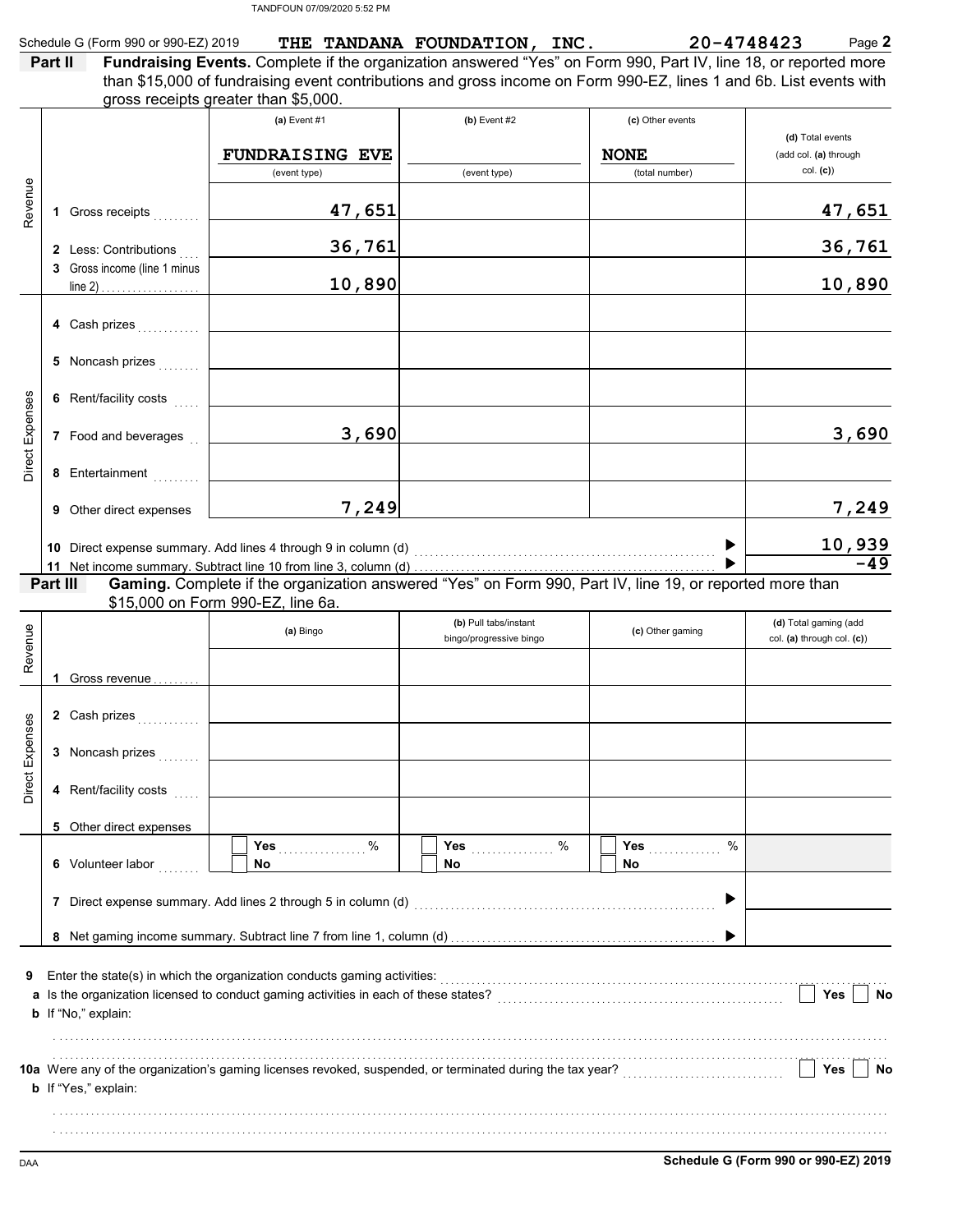|                 |                             | Schedule G (Form 990 or 990-EZ) 2019                  |                                                                                                                                                                                                                                       |       | THE TANDANA FOUNDATION, INC. |      |                               | 20-4748423                        | Page 2               |
|-----------------|-----------------------------|-------------------------------------------------------|---------------------------------------------------------------------------------------------------------------------------------------------------------------------------------------------------------------------------------------|-------|------------------------------|------|-------------------------------|-----------------------------------|----------------------|
|                 | Part II                     |                                                       | Fundraising Events. Complete if the organization answered "Yes" on Form 990, Part IV, line 18, or reported more<br>than \$15,000 of fundraising event contributions and gross income on Form 990-EZ, lines 1 and 6b. List events with |       |                              |      |                               |                                   |                      |
|                 |                             |                                                       | gross receipts greater than \$5,000.                                                                                                                                                                                                  |       |                              |      |                               |                                   |                      |
|                 |                             |                                                       | (a) Event #1                                                                                                                                                                                                                          |       | $(b)$ Event #2               |      | (c) Other events              | (d) Total events                  |                      |
|                 |                             |                                                       | <b>FUNDRAISING EVE</b><br>(event type)                                                                                                                                                                                                |       | (event type)                 |      | <b>NONE</b><br>(total number) | (add col. (a) through<br>col. (c) |                      |
|                 |                             |                                                       |                                                                                                                                                                                                                                       |       |                              |      |                               |                                   |                      |
| Revenue         |                             | 1 Gross receipts                                      | 47,651                                                                                                                                                                                                                                |       |                              |      |                               |                                   | <u>47,651</u>        |
|                 |                             | 2 Less: Contributions<br>3 Gross income (line 1 minus | 36,761                                                                                                                                                                                                                                |       |                              |      |                               |                                   | 36,761               |
|                 |                             |                                                       | 10,890                                                                                                                                                                                                                                |       |                              |      |                               |                                   | 10,890               |
|                 |                             | 4 Cash prizes                                         |                                                                                                                                                                                                                                       |       |                              |      |                               |                                   |                      |
|                 |                             | 5 Noncash prizes                                      |                                                                                                                                                                                                                                       |       |                              |      |                               |                                   |                      |
|                 |                             | 6 Rent/facility costs                                 |                                                                                                                                                                                                                                       |       |                              |      |                               |                                   |                      |
| Direct Expenses |                             | 7 Food and beverages                                  |                                                                                                                                                                                                                                       | 3,690 |                              |      |                               |                                   | 3,690                |
|                 |                             | 8 Entertainment                                       |                                                                                                                                                                                                                                       |       |                              |      |                               |                                   |                      |
|                 |                             | <b>9</b> Other direct expenses                        |                                                                                                                                                                                                                                       | 7,249 |                              |      |                               |                                   | 7,249                |
|                 |                             |                                                       |                                                                                                                                                                                                                                       |       |                              |      |                               |                                   | $\frac{10,939}{-49}$ |
|                 |                             |                                                       |                                                                                                                                                                                                                                       |       |                              |      |                               |                                   |                      |
|                 | Part III                    |                                                       | Gaming. Complete if the organization answered "Yes" on Form 990, Part IV, line 19, or reported more than                                                                                                                              |       |                              |      |                               |                                   |                      |
|                 |                             |                                                       | \$15,000 on Form 990-EZ, line 6a.                                                                                                                                                                                                     |       | (b) Pull tabs/instant        |      |                               | (d) Total gaming (add             |                      |
| Revenue         |                             |                                                       | (a) Bingo                                                                                                                                                                                                                             |       | bingo/progressive bingo      |      | (c) Other gaming              | col. (a) through col. (c))        |                      |
|                 |                             |                                                       |                                                                                                                                                                                                                                       |       |                              |      |                               |                                   |                      |
|                 | 1                           | Gross revenue                                         |                                                                                                                                                                                                                                       |       |                              |      |                               |                                   |                      |
| ses             |                             | 2 Cash prizes                                         |                                                                                                                                                                                                                                       |       |                              |      |                               |                                   |                      |
|                 |                             | 3 Noncash prizes                                      |                                                                                                                                                                                                                                       |       |                              |      |                               |                                   |                      |
| Direct Expen    |                             | 4 Rent/facility costs                                 |                                                                                                                                                                                                                                       |       |                              |      |                               |                                   |                      |
|                 |                             |                                                       |                                                                                                                                                                                                                                       |       |                              |      |                               |                                   |                      |
|                 |                             | 5 Other direct expenses                               | Yes                                                                                                                                                                                                                                   | %     | Yes <b>William</b>           | $\%$ | $\frac{0}{0}$<br>Yes          |                                   |                      |
|                 |                             | 6 Volunteer labor                                     | No.                                                                                                                                                                                                                                   |       | No.                          |      | No.                           |                                   |                      |
|                 |                             |                                                       |                                                                                                                                                                                                                                       |       |                              |      |                               |                                   |                      |
|                 |                             |                                                       |                                                                                                                                                                                                                                       |       |                              |      |                               |                                   |                      |
|                 |                             |                                                       |                                                                                                                                                                                                                                       |       |                              |      |                               |                                   |                      |
| 9               | <b>b</b> If "No," explain:  |                                                       |                                                                                                                                                                                                                                       |       |                              |      |                               |                                   | Yes<br>No            |
|                 |                             |                                                       | 10a Were any of the organization's gaming licenses revoked, suspended, or terminated during the tax year?<br>10a Were any of the organization's gaming licenses revoked, suspended, or terminated during the tax year?                |       |                              |      |                               |                                   | Yes<br>No            |
|                 | <b>b</b> If "Yes," explain: |                                                       |                                                                                                                                                                                                                                       |       |                              |      |                               |                                   |                      |
|                 |                             |                                                       |                                                                                                                                                                                                                                       |       |                              |      |                               |                                   |                      |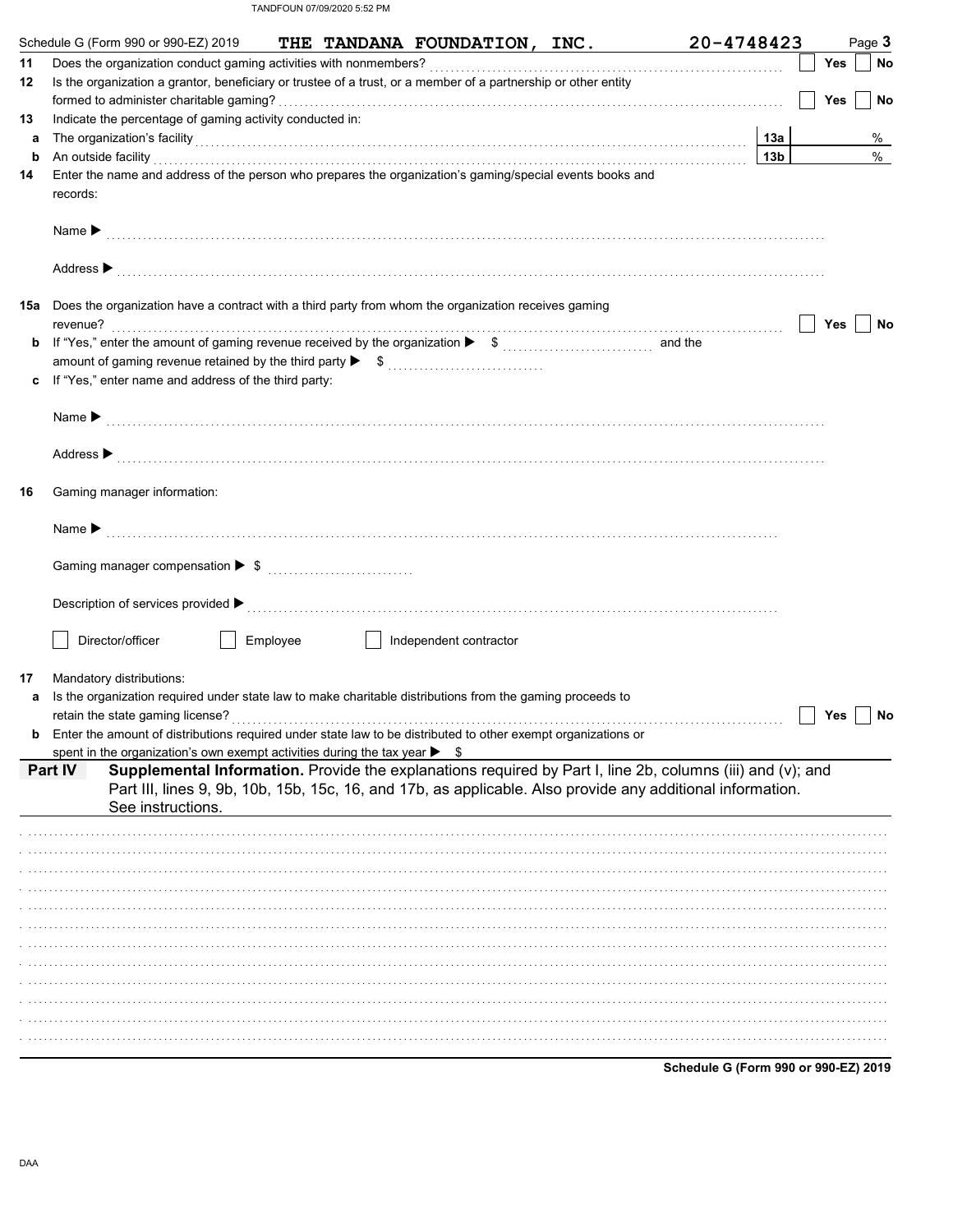|         | Schedule G (Form 990 or 990-EZ) 2019<br>THE TANDANA FOUNDATION, INC.                                                                                                                                                                 | 20-4748423      |  |            | Page 3 |    |
|---------|--------------------------------------------------------------------------------------------------------------------------------------------------------------------------------------------------------------------------------------|-----------------|--|------------|--------|----|
| 11      | Does the organization conduct gaming activities with nonmembers?                                                                                                                                                                     |                 |  | Yes        |        | No |
| 12      | Is the organization a grantor, beneficiary or trustee of a trust, or a member of a partnership or other entity                                                                                                                       |                 |  |            |        |    |
|         |                                                                                                                                                                                                                                      |                 |  | Yes        |        | No |
| 13      | Indicate the percentage of gaming activity conducted in:                                                                                                                                                                             |                 |  |            |        |    |
| a       | The organization's facility <b>contained a contained a contained a contained a contained a contained a contained a</b>                                                                                                               | 13а             |  |            | %      |    |
| b       | An outside facility <b>contained a set of the contract of the contract of the contract of the contract of the contract of the contract of the contract of the contract of the contract of the contract of the contract of the co</b> | 13 <sub>b</sub> |  |            | $\%$   |    |
| 14      | Enter the name and address of the person who prepares the organization's gaming/special events books and<br>records:                                                                                                                 |                 |  |            |        |    |
|         | Name <b>Decision and Construction Construction</b> and Construction and Construction and Construction and Construction and Construction and Construction and Construction and Construction and Construction and Construction and Co  |                 |  |            |        |    |
|         | Address > the contract of the contract of the contract of the contract of the contract of the contract of the contract of the contract of the contract of the contract of the contract of the contract of the contract of the        |                 |  |            |        |    |
|         | 15a Does the organization have a contract with a third party from whom the organization receives gaming<br>revenue?                                                                                                                  |                 |  | Yes        |        | No |
| b       |                                                                                                                                                                                                                                      |                 |  |            |        |    |
|         |                                                                                                                                                                                                                                      |                 |  |            |        |    |
|         | If "Yes," enter name and address of the third party:                                                                                                                                                                                 |                 |  |            |        |    |
|         |                                                                                                                                                                                                                                      |                 |  |            |        |    |
|         | Name $\blacktriangleright$                                                                                                                                                                                                           |                 |  |            |        |    |
|         |                                                                                                                                                                                                                                      |                 |  |            |        |    |
|         | Address $\blacktriangleright$                                                                                                                                                                                                        |                 |  |            |        |    |
| 16      | Gaming manager information:                                                                                                                                                                                                          |                 |  |            |        |    |
|         |                                                                                                                                                                                                                                      |                 |  |            |        |    |
|         |                                                                                                                                                                                                                                      |                 |  |            |        |    |
|         |                                                                                                                                                                                                                                      |                 |  |            |        |    |
|         | Director/officer<br>Employee<br>Independent contractor                                                                                                                                                                               |                 |  |            |        |    |
|         |                                                                                                                                                                                                                                      |                 |  |            |        |    |
| 17<br>a | Mandatory distributions:<br>Is the organization required under state law to make charitable distributions from the gaming proceeds to                                                                                                |                 |  |            |        |    |
|         | retain the state gaming license?                                                                                                                                                                                                     |                 |  | <b>Yes</b> |        | No |
| b       | Enter the amount of distributions required under state law to be distributed to other exempt organizations or                                                                                                                        |                 |  |            |        |    |
|         | spent in the organization's own exempt activities during the tax year $\triangleright$ \$                                                                                                                                            |                 |  |            |        |    |
|         | Supplemental Information. Provide the explanations required by Part I, line 2b, columns (iii) and (v); and<br>Part IV                                                                                                                |                 |  |            |        |    |
|         | Part III, lines 9, 9b, 10b, 15b, 15c, 16, and 17b, as applicable. Also provide any additional information.                                                                                                                           |                 |  |            |        |    |
|         | See instructions.                                                                                                                                                                                                                    |                 |  |            |        |    |
|         |                                                                                                                                                                                                                                      |                 |  |            |        |    |
|         |                                                                                                                                                                                                                                      |                 |  |            |        |    |
|         |                                                                                                                                                                                                                                      |                 |  |            |        |    |
|         |                                                                                                                                                                                                                                      |                 |  |            |        |    |
|         |                                                                                                                                                                                                                                      |                 |  |            |        |    |
|         |                                                                                                                                                                                                                                      |                 |  |            |        |    |
|         |                                                                                                                                                                                                                                      |                 |  |            |        |    |
|         |                                                                                                                                                                                                                                      |                 |  |            |        |    |
|         |                                                                                                                                                                                                                                      |                 |  |            |        |    |
|         |                                                                                                                                                                                                                                      |                 |  |            |        |    |
|         |                                                                                                                                                                                                                                      |                 |  |            |        |    |
|         |                                                                                                                                                                                                                                      |                 |  |            |        |    |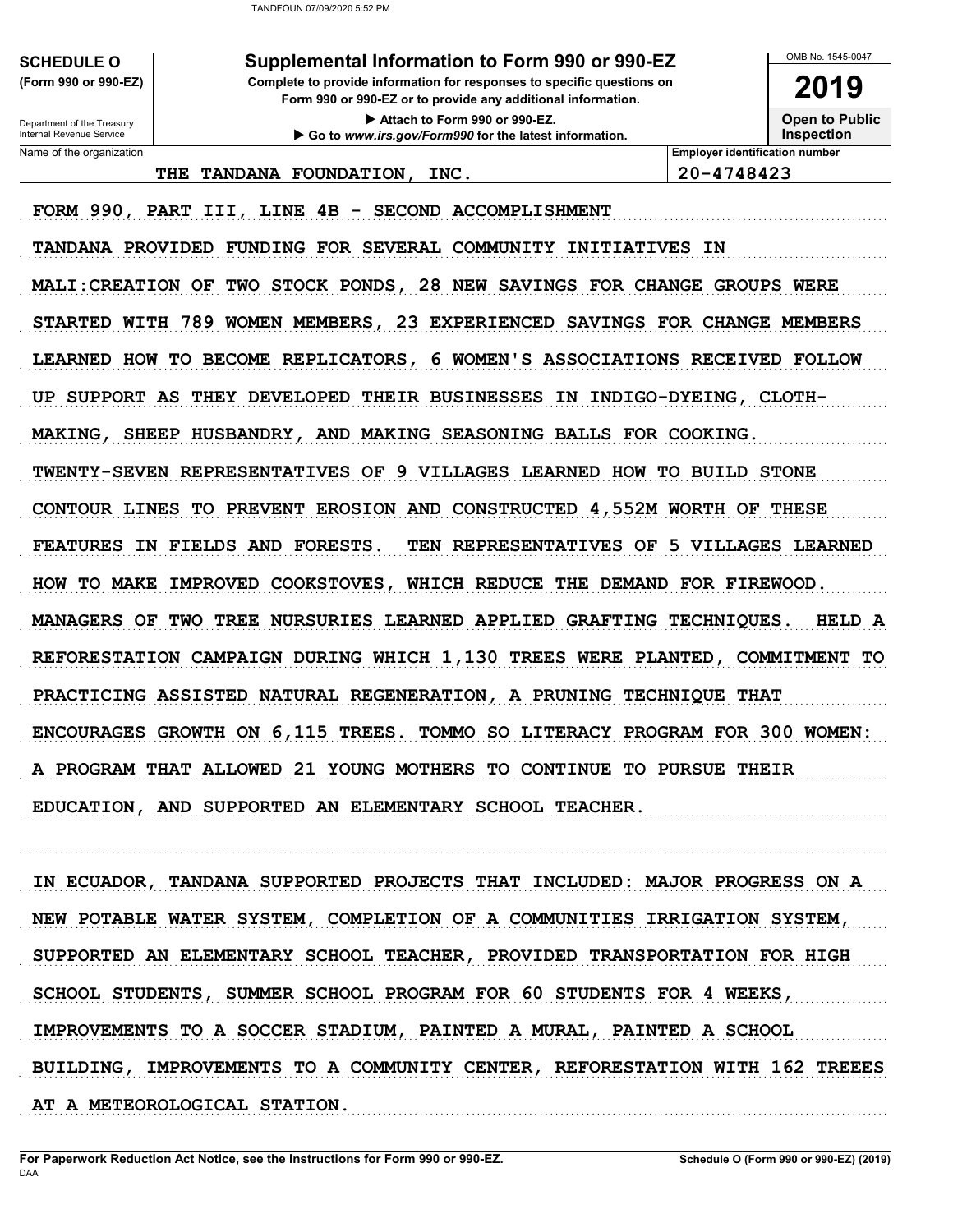| <b>SCHEDULE O</b>                                      |      |                                                                                                                                        |                           | Supplemental Information to Form 990 or 990-EZ |                                       | OMB No. 1545-0047 |
|--------------------------------------------------------|------|----------------------------------------------------------------------------------------------------------------------------------------|---------------------------|------------------------------------------------|---------------------------------------|-------------------|
| (Form 990 or 990-EZ)                                   |      | Complete to provide information for responses to specific questions on<br>Form 990 or 990-EZ or to provide any additional information. |                           |                                                |                                       | 2019              |
| Department of the Treasury<br>Internal Revenue Service |      | Attach to Form 990 or 990-EZ.<br>Go to www.irs.gov/Form990 for the latest information.                                                 |                           |                                                |                                       |                   |
| Name of the organization                               |      |                                                                                                                                        |                           |                                                | <b>Employer identification number</b> |                   |
|                                                        | THE. |                                                                                                                                        | <b>TANDANA FOUNDATION</b> | INC.                                           | 20-4748423                            |                   |

FORM 990, PART III, LINE 4B - SECOND ACCOMPLISHMENT

TANDANA PROVIDED FUNDING FOR SEVERAL COMMUNITY INITIATIVES IN MALI: CREATION OF TWO STOCK PONDS, 28 NEW SAVINGS FOR CHANGE GROUPS WERE STARTED WITH 789 WOMEN MEMBERS, 23 EXPERIENCED SAVINGS FOR CHANGE MEMBERS LEARNED HOW TO BECOME REPLICATORS, 6 WOMEN'S ASSOCIATIONS RECEIVED FOLLOW UP SUPPORT AS THEY DEVELOPED THEIR BUSINESSES IN INDIGO-DYEING, CLOTH-MAKING, SHEEP HUSBANDRY, AND MAKING SEASONING BALLS FOR COOKING. TWENTY-SEVEN REPRESENTATIVES OF 9 VILLAGES LEARNED HOW TO BUILD STONE CONTOUR LINES TO PREVENT EROSION AND CONSTRUCTED 4,552M WORTH OF THESE FEATURES IN FIELDS AND FORESTS. TEN REPRESENTATIVES OF 5 VILLAGES LEARNED HOW TO MAKE IMPROVED COOKSTOVES, WHICH REDUCE THE DEMAND FOR FIREWOOD. MANAGERS OF TWO TREE NURSURIES LEARNED APPLIED GRAFTING TECHNIQUES. HELD A REFORESTATION CAMPAIGN DURING WHICH 1,130 TREES WERE PLANTED, COMMITMENT TO PRACTICING ASSISTED NATURAL REGENERATION, A PRUNING TECHNIQUE THAT ENCOURAGES GROWTH ON 6,115 TREES. TOMMO SO LITERACY PROGRAM FOR 300 WOMEN: A PROGRAM THAT ALLOWED 21 YOUNG MOTHERS TO CONTINUE TO PURSUE THEIR EDUCATION, AND SUPPORTED AN ELEMENTARY SCHOOL TEACHER.

IN ECUADOR, TANDANA SUPPORTED PROJECTS THAT INCLUDED: MAJOR PROGRESS ON A NEW POTABLE WATER SYSTEM, COMPLETION OF A COMMUNITIES IRRIGATION SYSTEM, SUPPORTED AN ELEMENTARY SCHOOL TEACHER, PROVIDED TRANSPORTATION FOR HIGH SCHOOL STUDENTS, SUMMER SCHOOL PROGRAM FOR 60 STUDENTS FOR 4 WEEKS, IMPROVEMENTS TO A SOCCER STADIUM, PAINTED A MURAL, PAINTED A SCHOOL BUILDING, IMPROVEMENTS TO A COMMUNITY CENTER, REFORESTATION WITH 162 TREEES AT A METEOROLOGICAL STATION.

. . . . . . . . . . . . . . . . . . . . . . . . . . . . . . . . . . . . . . . . . . . . . . . . . . . . . . . . . . . . . . . . . . . . . . . . . . . . . . . . . . . . . . . . . . . . . . . . . . . . . . . . . . . . . . . . . . . . . . . . . . . . . . . . . . . . . . . . . . . . . . . . . . . . . . . . . . . . . . . . . . . . . .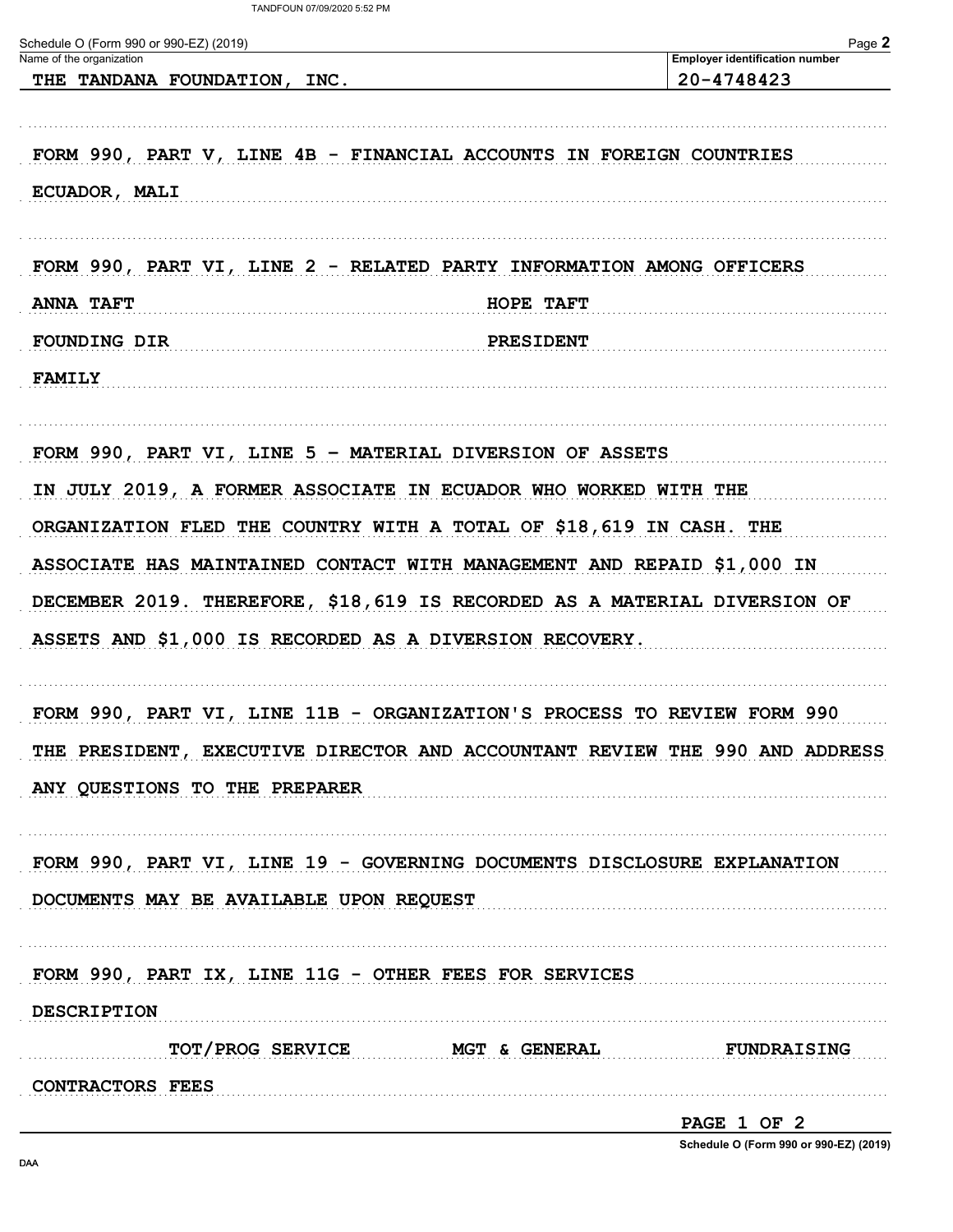| Schedule O (Form 990 or 990-EZ) (2019)                                               |                                            | Page 2                                              |
|--------------------------------------------------------------------------------------|--------------------------------------------|-----------------------------------------------------|
| Name of the organization<br>THE TANDANA FOUNDATION, INC.                             |                                            | <b>Employer identification number</b><br>20-4748423 |
| FORM 990, PART V, LINE 4B - FINANCIAL ACCOUNTS IN FOREIGN COUNTRIES<br>ECUADOR, MALI |                                            |                                                     |
| FORM 990, PART VI, LINE 2 - RELATED PARTY INFORMATION AMONG OFFICERS                 |                                            |                                                     |
| <b>ANNA TAFT</b>                                                                     | HOPE TAFT                                  |                                                     |
| <b>FOUNDING DIR</b>                                                                  | <b>PRESIDENT</b>                           |                                                     |
| <b>FAMILY</b>                                                                        |                                            |                                                     |
| FORM 990, PART VI, LINE $5$ - MATERIAL DIVERSION OF ASSETS                           |                                            |                                                     |
| IN JULY 2019, A FORMER ASSOCIATE IN ECUADOR WHO WORKED WITH THE                      |                                            |                                                     |
| ORGANIZATION FLED THE COUNTRY WITH A TOTAL OF \$18,619 IN CASH. THE                  |                                            |                                                     |
| ASSOCIATE HAS MAINTAINED CONTACT WITH MANAGEMENT AND REPAID \$1,000 IN               |                                            |                                                     |
| DECEMBER 2019. THEREFORE, \$18,619 IS RECORDED AS A MATERIAL DIVERSION OF            |                                            |                                                     |
| ASSETS AND \$1,000 IS RECORDED AS A DIVERSION RECOVERY.                              |                                            |                                                     |
|                                                                                      |                                            |                                                     |
| FORM 990, PART VI, LINE 11B - ORGANIZATION'S PROCESS TO REVIEW FORM 990              |                                            |                                                     |
| THE PRESIDENT, EXECUTIVE DIRECTOR AND ACCOUNTANT REVIEW THE 990 AND ADDRESS          |                                            |                                                     |
| ANY QUESTIONS TO THE PREPARER                                                        |                                            |                                                     |
| FORM 990, PART VI, LINE 19 - GOVERNING DOCUMENTS DISCLOSURE EXPLANATION              |                                            |                                                     |
| DOCUMENTS MAY BE AVAILABLE UPON REQUEST                                              |                                            |                                                     |
| FORM 990, PART IX, LINE 11G - OTHER FEES FOR SERVICES                                |                                            |                                                     |
| <b>DESCRIPTION</b>                                                                   |                                            |                                                     |
|                                                                                      | TOT/PROG SERVICE MGT & GENERAL FUNDRAISING |                                                     |
| CONTRACTORS FEES                                                                     |                                            |                                                     |

PAGE 1 OF 2

Schedule O (Form 990 or 990-EZ) (2019)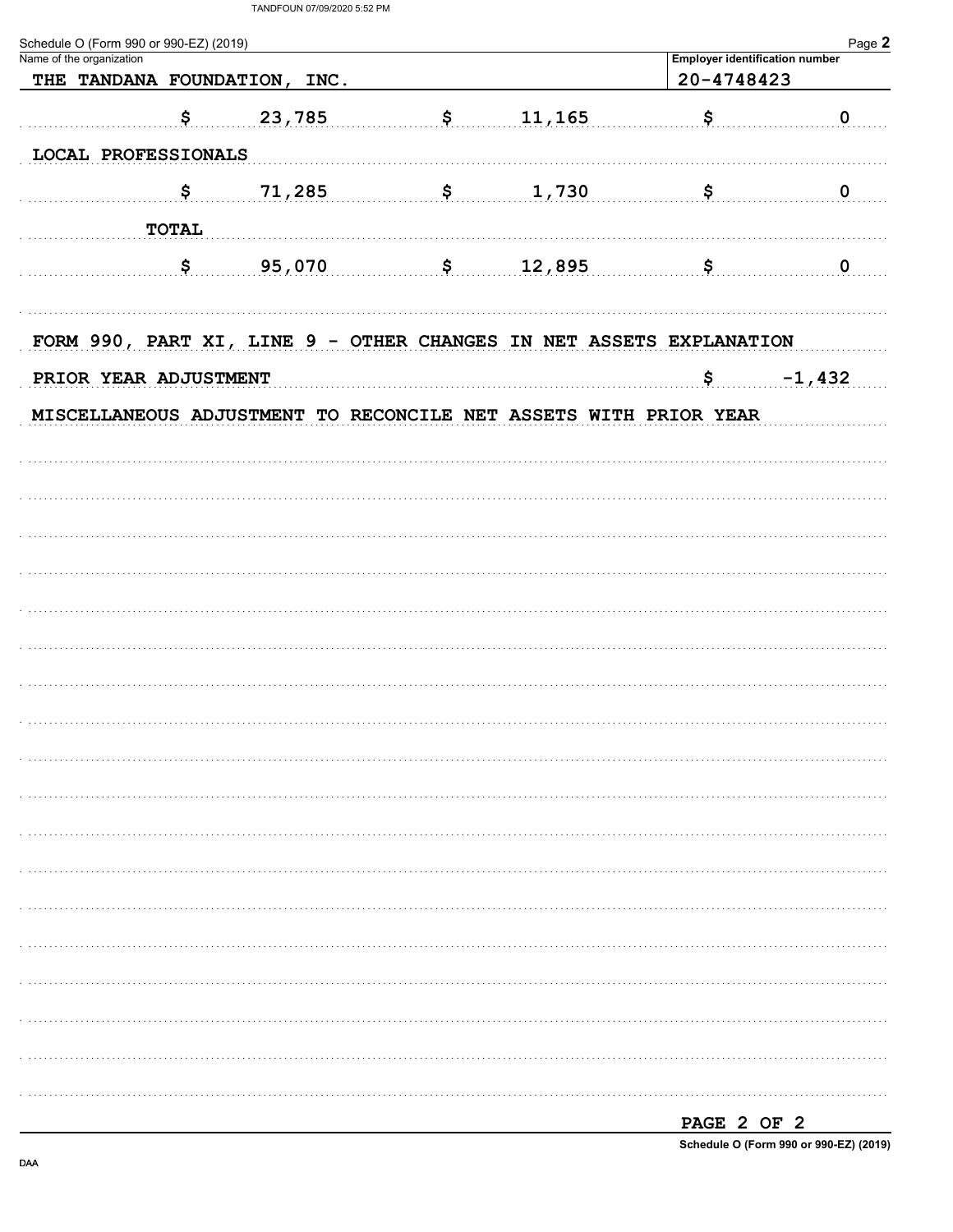| Name of the organization<br>THE TANDANA FOUNDATION, INC.            | Schedule O (Form 990 or 990-EZ) (2019) |        |                     | 20-4748423                | Page 2<br>Employer identification number |
|---------------------------------------------------------------------|----------------------------------------|--------|---------------------|---------------------------|------------------------------------------|
|                                                                     | \$                                     | 23,785 | \$<br>11,165        | $\boldsymbol{\mathsf{S}}$ | $\mathbf 0$                              |
| LOCAL PROFESSIONALS                                                 |                                        |        |                     |                           |                                          |
|                                                                     | \$                                     | 71,285 | $\frac{1,730}{2}$   |                           | $\mathbf 0$                              |
| <b>TOTAL</b>                                                        |                                        |        |                     |                           |                                          |
|                                                                     |                                        |        |                     |                           |                                          |
|                                                                     | $$$ .                                  | 95,070 | $\frac{\$}{12,895}$ |                           | $\overline{\mathbf{0}}$                  |
| FORM 990, PART XI, LINE 9 - OTHER CHANGES IN NET ASSETS EXPLANATION |                                        |        |                     |                           |                                          |
| PRIOR YEAR ADJUSTMENT                                               |                                        |        |                     | \$                        | $-1,432$                                 |
| MISCELLANEOUS ADJUSTMENT TO RECONCILE NET ASSETS WITH PRIOR YEAR    |                                        |        |                     |                           |                                          |
|                                                                     |                                        |        |                     |                           |                                          |
|                                                                     |                                        |        |                     |                           |                                          |
|                                                                     |                                        |        |                     |                           |                                          |
|                                                                     |                                        |        |                     |                           |                                          |
|                                                                     |                                        |        |                     |                           |                                          |
|                                                                     |                                        |        |                     |                           |                                          |
|                                                                     |                                        |        |                     |                           |                                          |
|                                                                     |                                        |        |                     |                           |                                          |
|                                                                     |                                        |        |                     |                           |                                          |
|                                                                     |                                        |        |                     |                           |                                          |
|                                                                     |                                        |        |                     |                           |                                          |
|                                                                     |                                        |        |                     |                           |                                          |
|                                                                     |                                        |        |                     |                           |                                          |
|                                                                     |                                        |        |                     |                           |                                          |
|                                                                     |                                        |        |                     |                           |                                          |
|                                                                     |                                        |        |                     |                           |                                          |
|                                                                     |                                        |        |                     |                           |                                          |
|                                                                     |                                        |        |                     |                           |                                          |
|                                                                     |                                        |        |                     |                           |                                          |
|                                                                     |                                        |        |                     |                           |                                          |
|                                                                     |                                        |        |                     |                           |                                          |

PAGE 2 OF 2

Schedule O (Form 990 or 990-EZ) (2019)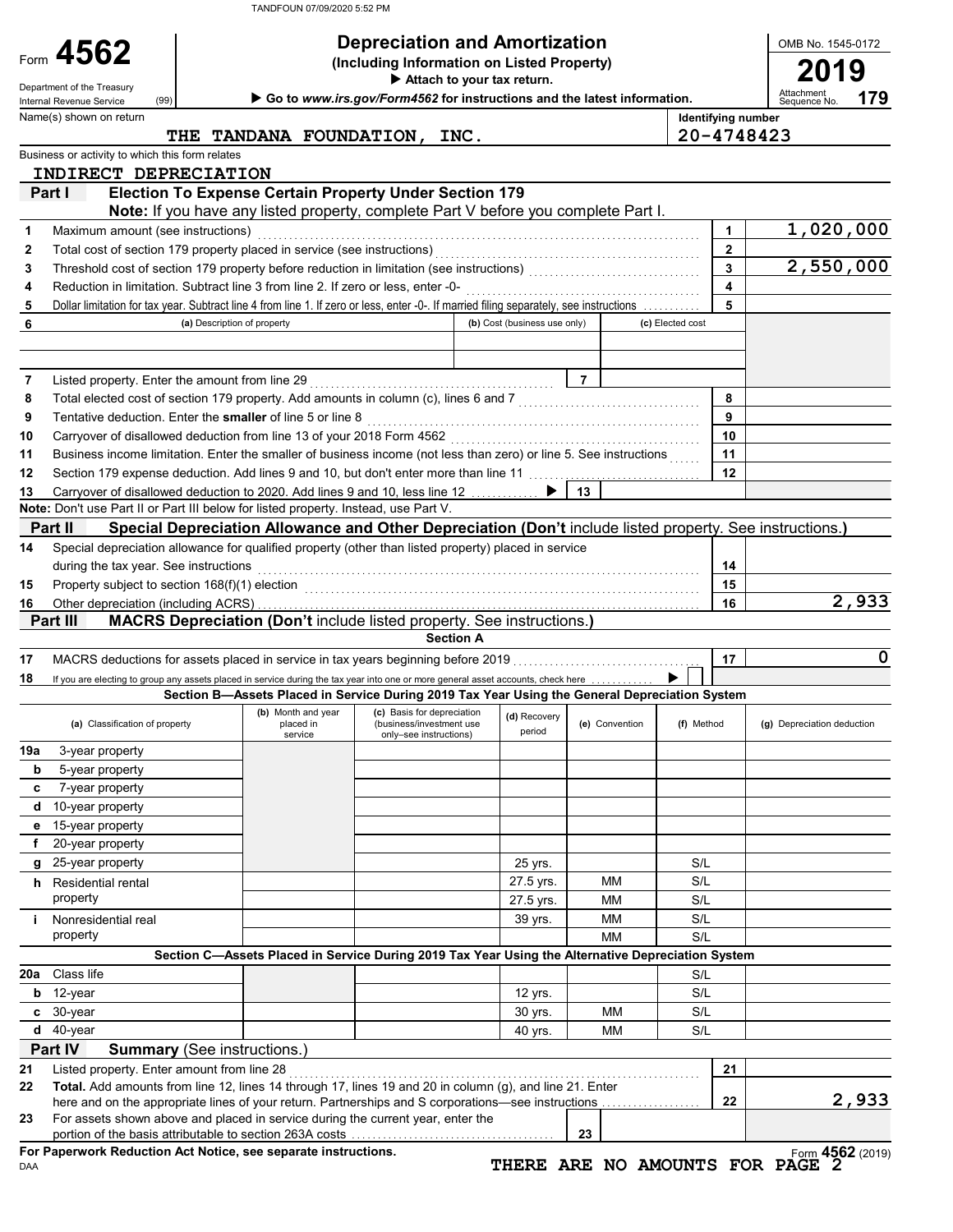|        | Form $4562$<br>Department of the Treasury<br>(99)<br>Internal Revenue Service                                                                                                                                 | <b>Depreciation and Amortization</b><br>(Including Information on Listed Property)<br>Attach to your tax return.<br>Go to www.irs.gov/Form4562 for instructions and the latest information. |                                                                                                                  |                              |                |                           |              |                            | Attachment |  |  | OMB No. 1545-0172<br>2019<br>179<br>Sequence No. |
|--------|---------------------------------------------------------------------------------------------------------------------------------------------------------------------------------------------------------------|---------------------------------------------------------------------------------------------------------------------------------------------------------------------------------------------|------------------------------------------------------------------------------------------------------------------|------------------------------|----------------|---------------------------|--------------|----------------------------|------------|--|--|--------------------------------------------------|
|        | Name(s) shown on return                                                                                                                                                                                       |                                                                                                                                                                                             |                                                                                                                  |                              |                | <b>Identifying number</b> |              |                            |            |  |  |                                                  |
|        | THE                                                                                                                                                                                                           | TANDANA FOUNDATION,                                                                                                                                                                         | INC.                                                                                                             |                              |                | 20-4748423                |              |                            |            |  |  |                                                  |
|        | Business or activity to which this form relates                                                                                                                                                               |                                                                                                                                                                                             |                                                                                                                  |                              |                |                           |              |                            |            |  |  |                                                  |
|        | INDIRECT DEPRECIATION<br>Part I                                                                                                                                                                               | <b>Election To Expense Certain Property Under Section 179</b>                                                                                                                               |                                                                                                                  |                              |                |                           |              |                            |            |  |  |                                                  |
|        |                                                                                                                                                                                                               | Note: If you have any listed property, complete Part V before you complete Part I.                                                                                                          |                                                                                                                  |                              |                |                           |              |                            |            |  |  |                                                  |
| 1      | Maximum amount (see instructions)                                                                                                                                                                             |                                                                                                                                                                                             |                                                                                                                  |                              |                |                           | $\mathbf{1}$ | 1,020,000                  |            |  |  |                                                  |
| 2      |                                                                                                                                                                                                               |                                                                                                                                                                                             |                                                                                                                  |                              |                |                           | 2            |                            |            |  |  |                                                  |
| 3      | Threshold cost of section 179 property before reduction in limitation (see instructions) [[[[[[[[[[[[[[[[[[[[                                                                                                 |                                                                                                                                                                                             |                                                                                                                  |                              |                |                           | 3            | 2,550,000                  |            |  |  |                                                  |
| 4      | Reduction in limitation. Subtract line 3 from line 2. If zero or less, enter -0-                                                                                                                              |                                                                                                                                                                                             |                                                                                                                  |                              |                |                           | 4            |                            |            |  |  |                                                  |
| 5<br>6 | Dollar limitation for tax year. Subtract line 4 from line 1. If zero or less, enter -0-. If married filing separately, see instructions                                                                       | (a) Description of property                                                                                                                                                                 |                                                                                                                  | (b) Cost (business use only) |                | (c) Elected cost          | 5            |                            |            |  |  |                                                  |
|        |                                                                                                                                                                                                               |                                                                                                                                                                                             |                                                                                                                  |                              |                |                           |              |                            |            |  |  |                                                  |
|        |                                                                                                                                                                                                               |                                                                                                                                                                                             |                                                                                                                  |                              |                |                           |              |                            |            |  |  |                                                  |
| 7      | Listed property. Enter the amount from line 29                                                                                                                                                                |                                                                                                                                                                                             |                                                                                                                  |                              | $\overline{7}$ |                           | 8            |                            |            |  |  |                                                  |
| 8<br>9 | Total elected cost of section 179 property. Add amounts in column (c), lines 6 and 7 [[[[[[[[[[[[[[[[[[[[[[[[<br>Tentative deduction. Enter the smaller of line 5 or line 8                                   |                                                                                                                                                                                             |                                                                                                                  |                              |                |                           | 9            |                            |            |  |  |                                                  |
| 10     |                                                                                                                                                                                                               |                                                                                                                                                                                             |                                                                                                                  |                              |                |                           | 10           |                            |            |  |  |                                                  |
| 11     | Business income limitation. Enter the smaller of business income (not less than zero) or line 5. See instructions                                                                                             |                                                                                                                                                                                             |                                                                                                                  |                              |                |                           | 11           |                            |            |  |  |                                                  |
| 12     | Section 179 expense deduction. Add lines 9 and 10, but don't enter more than line 11                                                                                                                          |                                                                                                                                                                                             |                                                                                                                  |                              |                |                           | 12           |                            |            |  |  |                                                  |
| 13     | Carryover of disallowed deduction to 2020. Add lines 9 and 10, less line 12                                                                                                                                   |                                                                                                                                                                                             |                                                                                                                  |                              | 13             |                           |              |                            |            |  |  |                                                  |
|        | Note: Don't use Part II or Part III below for listed property. Instead, use Part V.                                                                                                                           |                                                                                                                                                                                             |                                                                                                                  |                              |                |                           |              |                            |            |  |  |                                                  |
|        | Part II                                                                                                                                                                                                       | Special Depreciation Allowance and Other Depreciation (Don't include listed property. See instructions.)                                                                                    |                                                                                                                  |                              |                |                           |              |                            |            |  |  |                                                  |
| 14     | Special depreciation allowance for qualified property (other than listed property) placed in service                                                                                                          |                                                                                                                                                                                             |                                                                                                                  |                              |                |                           |              |                            |            |  |  |                                                  |
| 15     | during the tax year. See instructions                                                                                                                                                                         |                                                                                                                                                                                             |                                                                                                                  |                              |                |                           | 14<br>15     |                            |            |  |  |                                                  |
| 16     |                                                                                                                                                                                                               |                                                                                                                                                                                             |                                                                                                                  |                              |                |                           | 16           | 2,933                      |            |  |  |                                                  |
|        | Part III                                                                                                                                                                                                      | <b>MACRS Depreciation (Don't include listed property. See instructions.)</b>                                                                                                                |                                                                                                                  |                              |                |                           |              |                            |            |  |  |                                                  |
|        |                                                                                                                                                                                                               |                                                                                                                                                                                             | <b>Section A</b>                                                                                                 |                              |                |                           |              |                            |            |  |  |                                                  |
| 17     | MACRS deductions for assets placed in service in tax years beginning before 2019                                                                                                                              |                                                                                                                                                                                             |                                                                                                                  |                              |                |                           |              |                            |            |  |  |                                                  |
|        |                                                                                                                                                                                                               |                                                                                                                                                                                             |                                                                                                                  |                              |                |                           | 17           | $\mathbf 0$                |            |  |  |                                                  |
| 18     | If you are electing to group any assets placed in service during the tax year into one or more general asset accounts, check here                                                                             |                                                                                                                                                                                             |                                                                                                                  |                              |                |                           |              |                            |            |  |  |                                                  |
|        |                                                                                                                                                                                                               | Section B-Assets Placed in Service During 2019 Tax Year Using the General Depreciation System                                                                                               |                                                                                                                  |                              |                |                           |              |                            |            |  |  |                                                  |
|        | (a) Classification of property                                                                                                                                                                                | placed in<br>service                                                                                                                                                                        | (b) Month and year (c) Basis for depreciation (d) Recovery<br>(business/investment use<br>only-see instructions) | period                       | (e) Convention | (f) Method                |              | (g) Depreciation deduction |            |  |  |                                                  |
| 19a    | 3-year property                                                                                                                                                                                               |                                                                                                                                                                                             |                                                                                                                  |                              |                |                           |              |                            |            |  |  |                                                  |
| b      | 5-year property                                                                                                                                                                                               |                                                                                                                                                                                             |                                                                                                                  |                              |                |                           |              |                            |            |  |  |                                                  |
| c      | 7-year property                                                                                                                                                                                               |                                                                                                                                                                                             |                                                                                                                  |                              |                |                           |              |                            |            |  |  |                                                  |
| d      | 10-year property                                                                                                                                                                                              |                                                                                                                                                                                             |                                                                                                                  |                              |                |                           |              |                            |            |  |  |                                                  |
| е      | 15-year property                                                                                                                                                                                              |                                                                                                                                                                                             |                                                                                                                  |                              |                |                           |              |                            |            |  |  |                                                  |
| f      | 20-year property                                                                                                                                                                                              |                                                                                                                                                                                             |                                                                                                                  |                              |                |                           |              |                            |            |  |  |                                                  |
| g      | 25-year property                                                                                                                                                                                              |                                                                                                                                                                                             |                                                                                                                  | 25 yrs.                      |                | S/L                       |              |                            |            |  |  |                                                  |
| h.     | <b>Residential rental</b><br>property                                                                                                                                                                         |                                                                                                                                                                                             |                                                                                                                  | 27.5 yrs.                    | МM             | S/L                       |              |                            |            |  |  |                                                  |
| i.     |                                                                                                                                                                                                               |                                                                                                                                                                                             |                                                                                                                  | 27.5 yrs.                    | МM<br>МM       | S/L<br>S/L                |              |                            |            |  |  |                                                  |
|        | Nonresidential real<br>property                                                                                                                                                                               |                                                                                                                                                                                             |                                                                                                                  | 39 yrs.                      | <b>MM</b>      | S/L                       |              |                            |            |  |  |                                                  |
|        |                                                                                                                                                                                                               | Section C-Assets Placed in Service During 2019 Tax Year Using the Alternative Depreciation System                                                                                           |                                                                                                                  |                              |                |                           |              |                            |            |  |  |                                                  |
| 20a l  | Class life                                                                                                                                                                                                    |                                                                                                                                                                                             |                                                                                                                  |                              |                | S/L                       |              |                            |            |  |  |                                                  |
| b      | 12-year                                                                                                                                                                                                       |                                                                                                                                                                                             |                                                                                                                  | 12 yrs.                      |                | S/L                       |              |                            |            |  |  |                                                  |
| c      | 30-year                                                                                                                                                                                                       |                                                                                                                                                                                             |                                                                                                                  | 30 yrs.                      | МM             | S/L                       |              |                            |            |  |  |                                                  |
| d      | 40-year                                                                                                                                                                                                       |                                                                                                                                                                                             |                                                                                                                  | 40 yrs.                      | MM             | S/L                       |              |                            |            |  |  |                                                  |
|        | Part IV<br><b>Summary</b> (See instructions.)                                                                                                                                                                 |                                                                                                                                                                                             |                                                                                                                  |                              |                |                           |              |                            |            |  |  |                                                  |
| 21     | Listed property. Enter amount from line 28                                                                                                                                                                    |                                                                                                                                                                                             |                                                                                                                  |                              |                |                           | 21           |                            |            |  |  |                                                  |
| 22     | Total. Add amounts from line 12, lines 14 through 17, lines 19 and 20 in column (g), and line 21. Enter<br>here and on the appropriate lines of your return. Partnerships and S corporations-see instructions |                                                                                                                                                                                             |                                                                                                                  |                              |                |                           | 22           | 2,933                      |            |  |  |                                                  |
| 23     | For assets shown above and placed in service during the current year, enter the                                                                                                                               |                                                                                                                                                                                             |                                                                                                                  |                              | 23             |                           |              |                            |            |  |  |                                                  |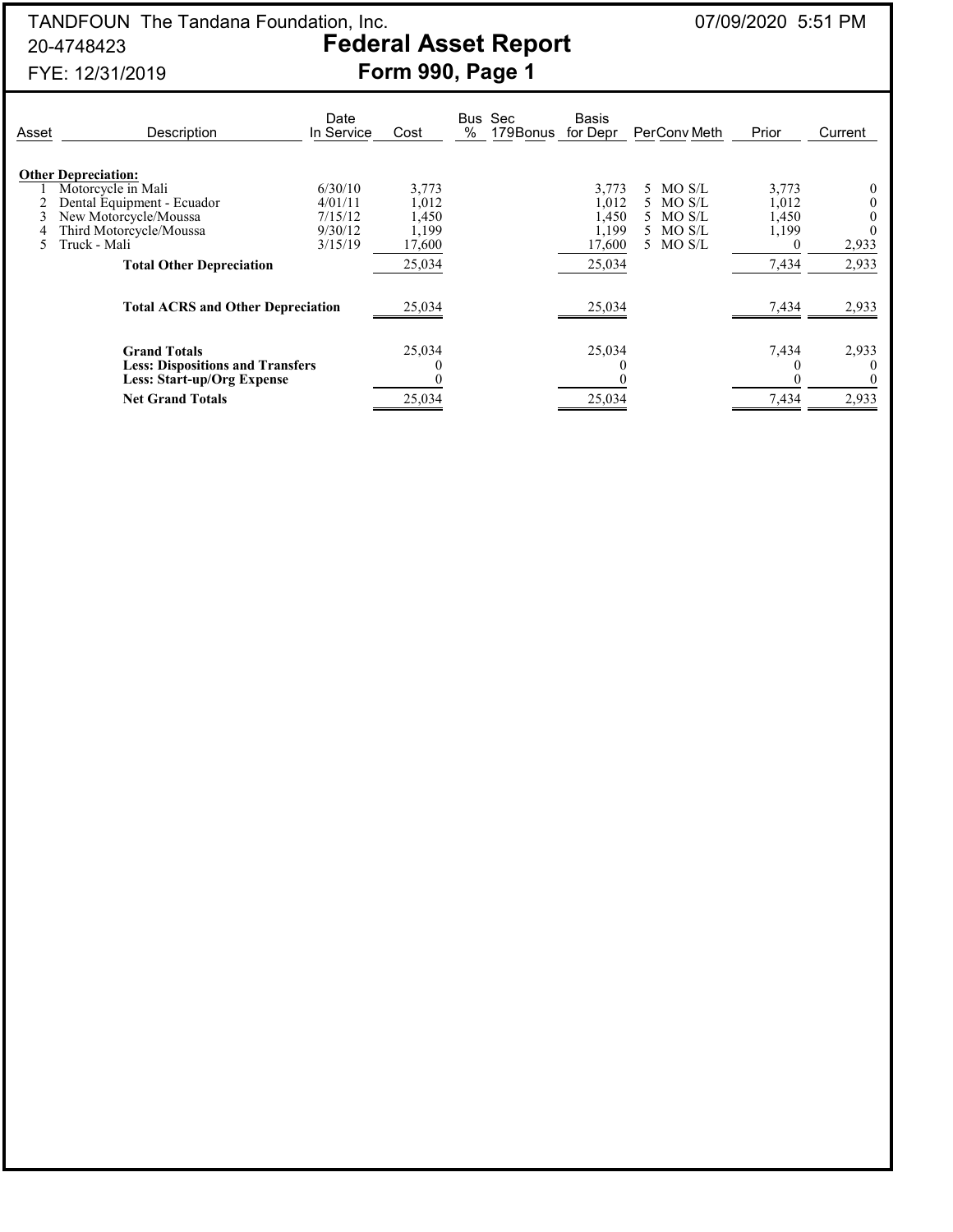# TANDFOUN The Tandana Foundation, Inc. 07/09/2020 5:51 PM 20-4748423 **Federal Asset Report** FYE: 12/31/2019 **Form 990, Page 1**

| Asset | Description                                                                                  | Date<br>In Service | Cost   | Bus Sec<br>$\%$<br>179Bonus | Basis<br>for Depr | PerCony Meth | Prior | Current                |
|-------|----------------------------------------------------------------------------------------------|--------------------|--------|-----------------------------|-------------------|--------------|-------|------------------------|
|       | <b>Other Depreciation:</b>                                                                   |                    |        |                             |                   |              |       |                        |
|       | Motorcycle in Mali                                                                           | 6/30/10            | 3,773  |                             | 3,773             | 5 MO S/L     | 3,773 | 0                      |
|       | Dental Equipment - Ecuador                                                                   | 4/01/11            | 1,012  |                             | 1,012             | 5 MO S/L     | 1,012 | 0                      |
|       | New Motorcycle/Moussa                                                                        | 7/15/12            | 1,450  |                             | 1.450             | 5 MO S/L     | 1,450 | $\boldsymbol{0}$       |
|       | Third Motorcycle/Moussa                                                                      | 9/30/12            | 1,199  |                             | 1,199             | 5 MO S/L     | 1,199 | $\theta$               |
|       | Truck - Mali                                                                                 | 3/15/19            | 17,600 |                             | 17,600            | 5 MO S/L     |       | 2,933                  |
|       | <b>Total Other Depreciation</b>                                                              |                    | 25,034 |                             | 25,034            |              | 7,434 | 2,933                  |
|       | <b>Total ACRS and Other Depreciation</b>                                                     |                    | 25,034 |                             | 25,034            |              | 7,434 | 2,933                  |
|       | <b>Grand Totals</b><br><b>Less: Dispositions and Transfers</b><br>Less: Start-up/Org Expense |                    | 25,034 |                             | 25,034            |              | 7,434 | 2,933<br>$\theta$<br>0 |
|       | <b>Net Grand Totals</b>                                                                      |                    | 25,034 |                             | 25,034            |              | 7,434 | 2,933                  |